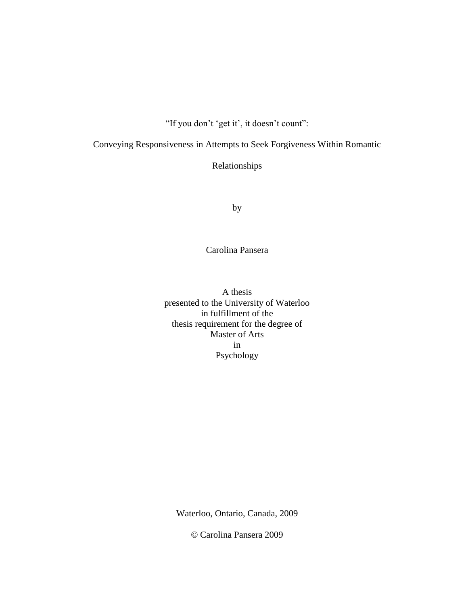"If you don't 'get it', it doesn't count":

Conveying Responsiveness in Attempts to Seek Forgiveness Within Romantic

Relationships

by

Carolina Pansera

A thesis presented to the University of Waterloo in fulfillment of the thesis requirement for the degree of Master of Arts in Psychology

Waterloo, Ontario, Canada, 2009

© Carolina Pansera 2009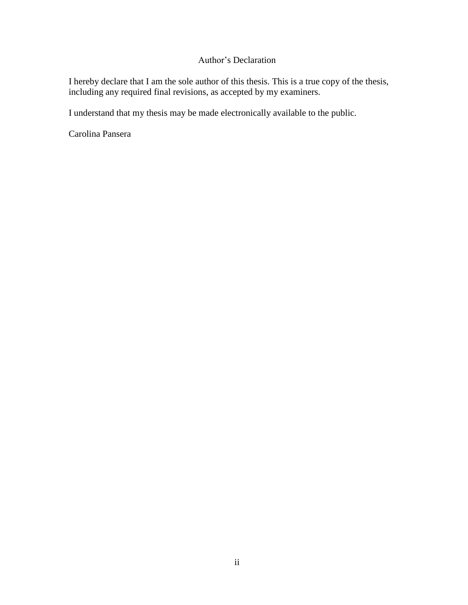# Author"s Declaration

I hereby declare that I am the sole author of this thesis. This is a true copy of the thesis, including any required final revisions, as accepted by my examiners.

I understand that my thesis may be made electronically available to the public.

Carolina Pansera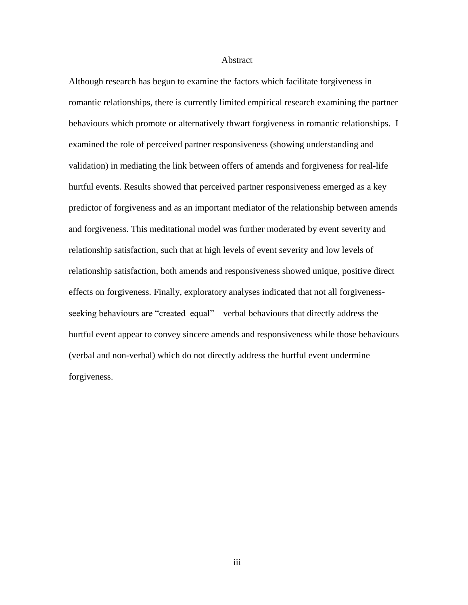#### Abstract

Although research has begun to examine the factors which facilitate forgiveness in romantic relationships, there is currently limited empirical research examining the partner behaviours which promote or alternatively thwart forgiveness in romantic relationships. I examined the role of perceived partner responsiveness (showing understanding and validation) in mediating the link between offers of amends and forgiveness for real-life hurtful events. Results showed that perceived partner responsiveness emerged as a key predictor of forgiveness and as an important mediator of the relationship between amends and forgiveness. This meditational model was further moderated by event severity and relationship satisfaction, such that at high levels of event severity and low levels of relationship satisfaction, both amends and responsiveness showed unique, positive direct effects on forgiveness. Finally, exploratory analyses indicated that not all forgivenessseeking behaviours are "created equal"—verbal behaviours that directly address the hurtful event appear to convey sincere amends and responsiveness while those behaviours (verbal and non-verbal) which do not directly address the hurtful event undermine forgiveness.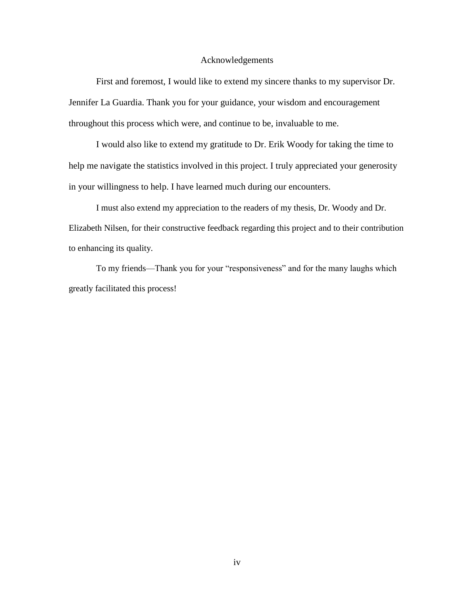#### Acknowledgements

First and foremost, I would like to extend my sincere thanks to my supervisor Dr. Jennifer La Guardia. Thank you for your guidance, your wisdom and encouragement throughout this process which were, and continue to be, invaluable to me.

I would also like to extend my gratitude to Dr. Erik Woody for taking the time to help me navigate the statistics involved in this project. I truly appreciated your generosity in your willingness to help. I have learned much during our encounters.

I must also extend my appreciation to the readers of my thesis, Dr. Woody and Dr. Elizabeth Nilsen, for their constructive feedback regarding this project and to their contribution to enhancing its quality.

To my friends—Thank you for your "responsiveness" and for the many laughs which greatly facilitated this process!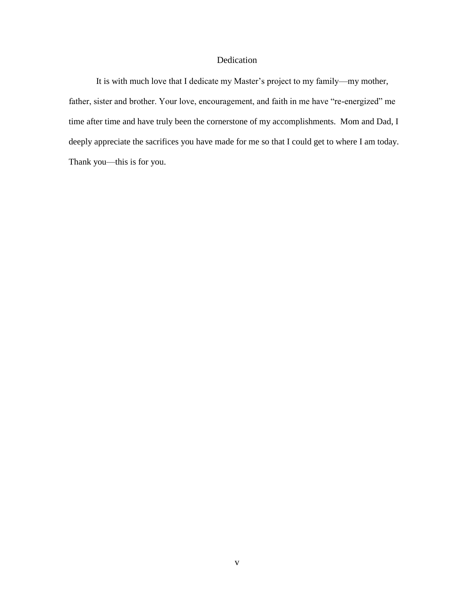## Dedication

It is with much love that I dedicate my Master's project to my family—my mother, father, sister and brother. Your love, encouragement, and faith in me have "re-energized" me time after time and have truly been the cornerstone of my accomplishments. Mom and Dad, I deeply appreciate the sacrifices you have made for me so that I could get to where I am today. Thank you—this is for you.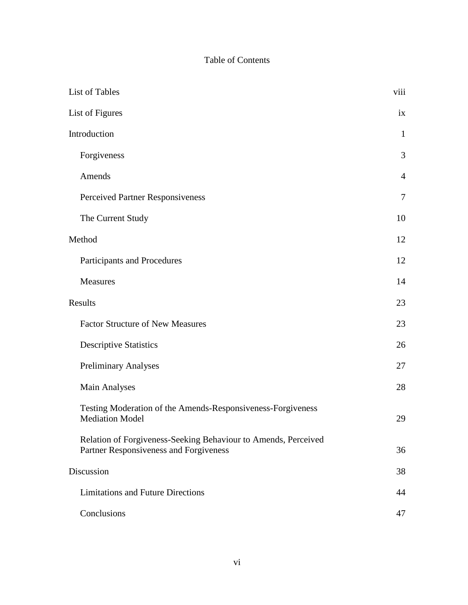# Table of Contents

| List of Tables                                                                                           |                |
|----------------------------------------------------------------------------------------------------------|----------------|
| List of Figures                                                                                          | ix             |
| Introduction                                                                                             |                |
| Forgiveness                                                                                              | 3              |
| Amends                                                                                                   | $\overline{4}$ |
| Perceived Partner Responsiveness                                                                         | $\tau$         |
| The Current Study                                                                                        | 10             |
| Method                                                                                                   | 12             |
| Participants and Procedures                                                                              | 12             |
| Measures                                                                                                 | 14             |
| Results                                                                                                  | 23             |
| <b>Factor Structure of New Measures</b>                                                                  | 23             |
| <b>Descriptive Statistics</b>                                                                            | 26             |
| <b>Preliminary Analyses</b>                                                                              | 27             |
| <b>Main Analyses</b>                                                                                     | 28             |
| Testing Moderation of the Amends-Responsiveness-Forgiveness<br><b>Mediation Model</b>                    | 29             |
| Relation of Forgiveness-Seeking Behaviour to Amends, Perceived<br>Partner Responsiveness and Forgiveness | 36             |
| Discussion                                                                                               |                |
| <b>Limitations and Future Directions</b>                                                                 | 44             |
| Conclusions                                                                                              | 47             |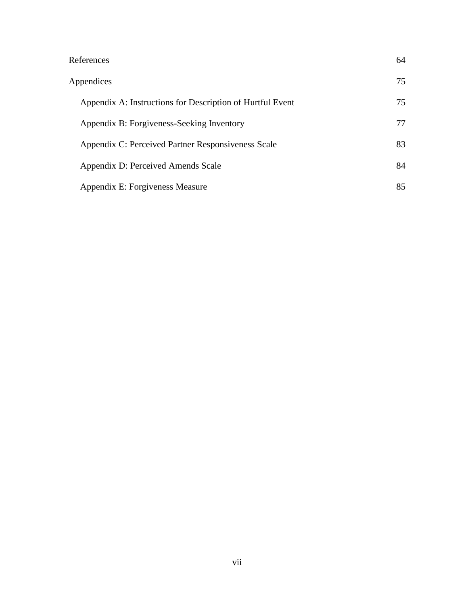| References                                                | 64 |
|-----------------------------------------------------------|----|
| Appendices                                                | 75 |
| Appendix A: Instructions for Description of Hurtful Event | 75 |
| Appendix B: Forgiveness-Seeking Inventory                 | 77 |
| Appendix C: Perceived Partner Responsiveness Scale        | 83 |
| Appendix D: Perceived Amends Scale                        | 84 |
| Appendix E: Forgiveness Measure                           | 85 |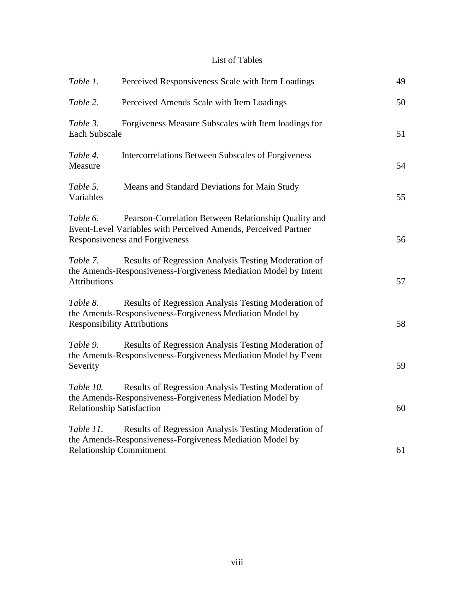# List of Tables

| Table 1.                                       | Perceived Responsiveness Scale with Item Loadings                                                                                                        | 49 |
|------------------------------------------------|----------------------------------------------------------------------------------------------------------------------------------------------------------|----|
| Table 2.                                       | Perceived Amends Scale with Item Loadings                                                                                                                | 50 |
| Table 3.<br><b>Each Subscale</b>               | Forgiveness Measure Subscales with Item loadings for                                                                                                     | 51 |
| Table 4.<br>Measure                            | Intercorrelations Between Subscales of Forgiveness                                                                                                       | 54 |
| Table 5.<br>Variables                          | Means and Standard Deviations for Main Study                                                                                                             | 55 |
| Table 6.                                       | Pearson-Correlation Between Relationship Quality and<br>Event-Level Variables with Perceived Amends, Perceived Partner<br>Responsiveness and Forgiveness | 56 |
| Table 7.<br><b>Attributions</b>                | Results of Regression Analysis Testing Moderation of<br>the Amends-Responsiveness-Forgiveness Mediation Model by Intent                                  | 57 |
| Table 8.<br><b>Responsibility Attributions</b> | Results of Regression Analysis Testing Moderation of<br>the Amends-Responsiveness-Forgiveness Mediation Model by                                         | 58 |
| Table 9.<br>Severity                           | Results of Regression Analysis Testing Moderation of<br>the Amends-Responsiveness-Forgiveness Mediation Model by Event                                   | 59 |
| Table 10.<br><b>Relationship Satisfaction</b>  | Results of Regression Analysis Testing Moderation of<br>the Amends-Responsiveness-Forgiveness Mediation Model by                                         | 60 |
| Table 11.<br><b>Relationship Commitment</b>    | Results of Regression Analysis Testing Moderation of<br>the Amends-Responsiveness-Forgiveness Mediation Model by                                         | 61 |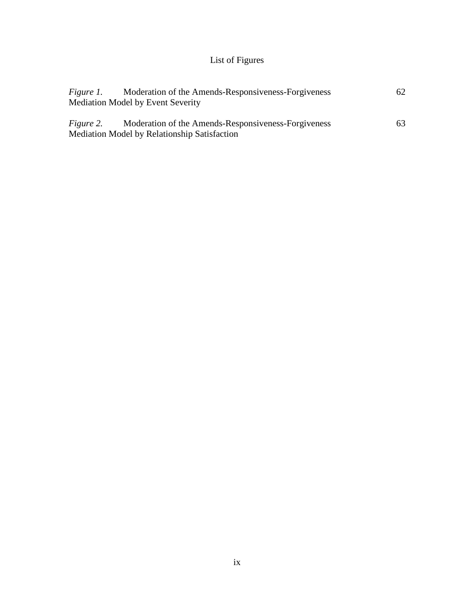# List of Figures

| <i>Figure 1.</i> | Moderation of the Amends-Responsiveness-Forgiveness | 62 |
|------------------|-----------------------------------------------------|----|
|                  | <b>Mediation Model by Event Severity</b>            |    |
|                  |                                                     |    |
| <i>Figure 2.</i> | Moderation of the Amends-Responsiveness-Forgiveness | 63 |
|                  | Mediation Model by Relationship Satisfaction        |    |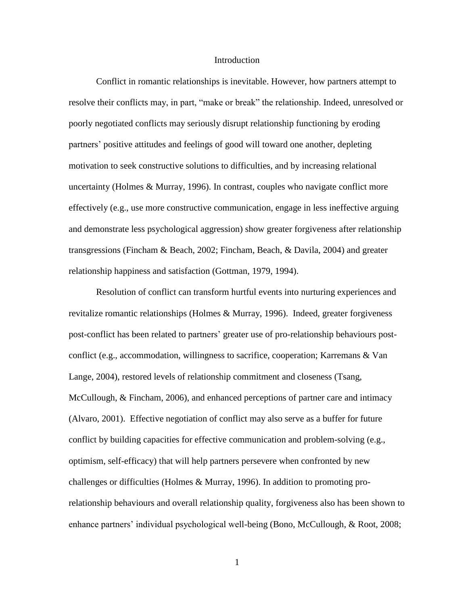#### Introduction

Conflict in romantic relationships is inevitable. However, how partners attempt to resolve their conflicts may, in part, "make or break" the relationship. Indeed, unresolved or poorly negotiated conflicts may seriously disrupt relationship functioning by eroding partners" positive attitudes and feelings of good will toward one another, depleting motivation to seek constructive solutions to difficulties, and by increasing relational uncertainty (Holmes & Murray, 1996). In contrast, couples who navigate conflict more effectively (e.g., use more constructive communication, engage in less ineffective arguing and demonstrate less psychological aggression) show greater forgiveness after relationship transgressions (Fincham & Beach, 2002; Fincham, Beach, & Davila, 2004) and greater relationship happiness and satisfaction (Gottman, 1979, 1994).

Resolution of conflict can transform hurtful events into nurturing experiences and revitalize romantic relationships (Holmes & Murray, 1996). Indeed, greater forgiveness post-conflict has been related to partners" greater use of pro-relationship behaviours postconflict (e.g., accommodation, willingness to sacrifice, cooperation; Karremans & Van Lange, 2004), restored levels of relationship commitment and closeness (Tsang, McCullough, & Fincham, 2006), and enhanced perceptions of partner care and intimacy (Alvaro, 2001). Effective negotiation of conflict may also serve as a buffer for future conflict by building capacities for effective communication and problem-solving (e.g., optimism, self-efficacy) that will help partners persevere when confronted by new challenges or difficulties (Holmes & Murray, 1996). In addition to promoting prorelationship behaviours and overall relationship quality, forgiveness also has been shown to enhance partners" individual psychological well-being (Bono, McCullough, & Root, 2008;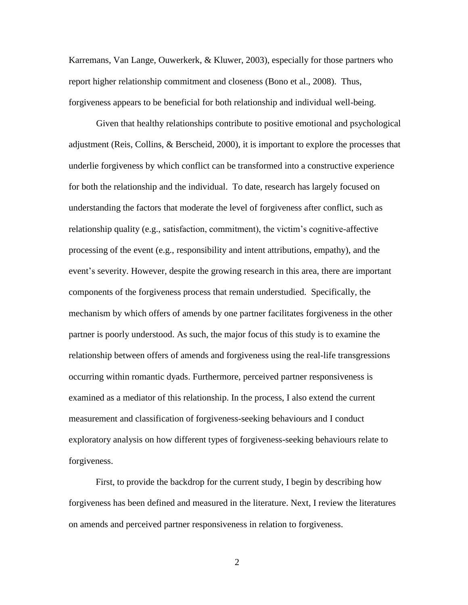Karremans, Van Lange, Ouwerkerk, & Kluwer, 2003), especially for those partners who report higher relationship commitment and closeness (Bono et al., 2008). Thus, forgiveness appears to be beneficial for both relationship and individual well-being.

Given that healthy relationships contribute to positive emotional and psychological adjustment (Reis, Collins, & Berscheid, 2000), it is important to explore the processes that underlie forgiveness by which conflict can be transformed into a constructive experience for both the relationship and the individual. To date, research has largely focused on understanding the factors that moderate the level of forgiveness after conflict, such as relationship quality (e.g., satisfaction, commitment), the victim"s cognitive-affective processing of the event (e.g., responsibility and intent attributions, empathy), and the event's severity. However, despite the growing research in this area, there are important components of the forgiveness process that remain understudied. Specifically, the mechanism by which offers of amends by one partner facilitates forgiveness in the other partner is poorly understood. As such, the major focus of this study is to examine the relationship between offers of amends and forgiveness using the real-life transgressions occurring within romantic dyads. Furthermore, perceived partner responsiveness is examined as a mediator of this relationship. In the process, I also extend the current measurement and classification of forgiveness-seeking behaviours and I conduct exploratory analysis on how different types of forgiveness-seeking behaviours relate to forgiveness.

First, to provide the backdrop for the current study, I begin by describing how forgiveness has been defined and measured in the literature. Next, I review the literatures on amends and perceived partner responsiveness in relation to forgiveness.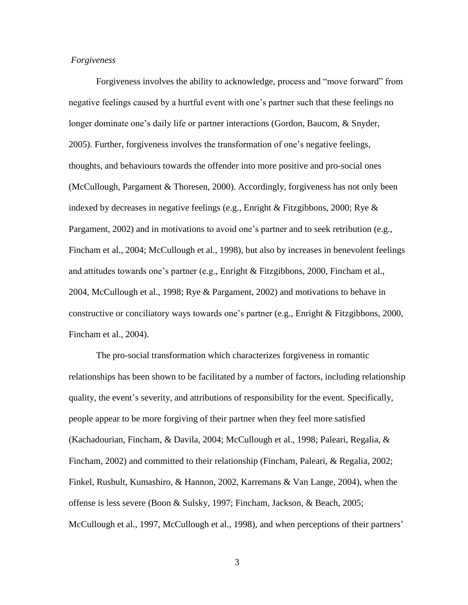#### *Forgiveness*

Forgiveness involves the ability to acknowledge, process and "move forward" from negative feelings caused by a hurtful event with one"s partner such that these feelings no longer dominate one"s daily life or partner interactions (Gordon, Baucom, & Snyder, 2005). Further, forgiveness involves the transformation of one"s negative feelings, thoughts, and behaviours towards the offender into more positive and pro-social ones (McCullough, Pargament & Thoresen, 2000). Accordingly, forgiveness has not only been indexed by decreases in negative feelings (e.g., Enright  $\&$  Fitzgibbons, 2000; Rye  $\&$ Pargament, 2002) and in motivations to avoid one"s partner and to seek retribution (e.g., Fincham et al., 2004; McCullough et al., 1998), but also by increases in benevolent feelings and attitudes towards one's partner (e.g., Enright & Fitzgibbons, 2000, Fincham et al., 2004, McCullough et al., 1998; Rye & Pargament, 2002) and motivations to behave in constructive or conciliatory ways towards one"s partner (e.g., Enright & Fitzgibbons, 2000, Fincham et al., 2004).

The pro-social transformation which characterizes forgiveness in romantic relationships has been shown to be facilitated by a number of factors, including relationship quality, the event"s severity, and attributions of responsibility for the event. Specifically, people appear to be more forgiving of their partner when they feel more satisfied (Kachadourian, Fincham, & Davila, 2004; McCullough et al., 1998; Paleari, Regalia, & Fincham, 2002) and committed to their relationship (Fincham, Paleari, & Regalia, 2002; Finkel, Rusbult, Kumashiro, & Hannon, 2002, Karremans & Van Lange, 2004), when the offense is less severe (Boon & Sulsky, 1997; Fincham, Jackson, & Beach, 2005; McCullough et al., 1997, McCullough et al., 1998), and when perceptions of their partners'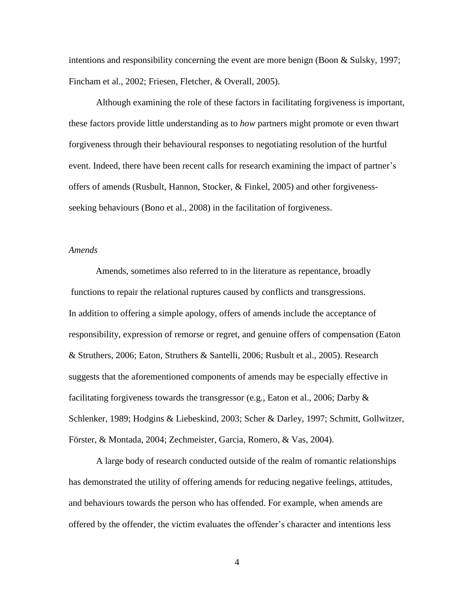intentions and responsibility concerning the event are more benign (Boon  $\&$  Sulsky, 1997; Fincham et al., 2002; Friesen, Fletcher, & Overall, 2005).

Although examining the role of these factors in facilitating forgiveness is important, these factors provide little understanding as to *how* partners might promote or even thwart forgiveness through their behavioural responses to negotiating resolution of the hurtful event. Indeed, there have been recent calls for research examining the impact of partner"s offers of amends (Rusbult, Hannon, Stocker, & Finkel, 2005) and other forgivenessseeking behaviours (Bono et al., 2008) in the facilitation of forgiveness.

## *Amends*

Amends, sometimes also referred to in the literature as repentance, broadly functions to repair the relational ruptures caused by conflicts and transgressions. In addition to offering a simple apology, offers of amends include the acceptance of responsibility, expression of remorse or regret, and genuine offers of compensation (Eaton & Struthers, 2006; Eaton, Struthers & Santelli, 2006; Rusbult et al., 2005). Research suggests that the aforementioned components of amends may be especially effective in facilitating forgiveness towards the transgressor (e.g., Eaton et al., 2006; Darby  $\&$ Schlenker, 1989; Hodgins & Liebeskind, 2003; Scher & Darley, 1997; Schmitt, Gollwitzer, Förster, & Montada, 2004; Zechmeister, Garcia, Romero, & Vas, 2004).

A large body of research conducted outside of the realm of romantic relationships has demonstrated the utility of offering amends for reducing negative feelings, attitudes, and behaviours towards the person who has offended. For example, when amends are offered by the offender, the victim evaluates the offender"s character and intentions less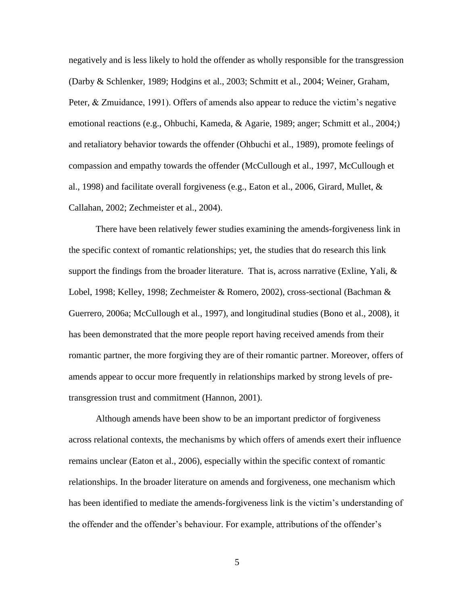negatively and is less likely to hold the offender as wholly responsible for the transgression (Darby & Schlenker, 1989; Hodgins et al., 2003; Schmitt et al., 2004; Weiner, Graham, Peter, & Zmuidance, 1991). Offers of amends also appear to reduce the victim's negative emotional reactions (e.g., Ohbuchi, Kameda, & Agarie, 1989; anger; Schmitt et al., 2004;) and retaliatory behavior towards the offender (Ohbuchi et al., 1989), promote feelings of compassion and empathy towards the offender (McCullough et al., 1997, McCullough et al., 1998) and facilitate overall forgiveness (e.g., Eaton et al., 2006, Girard, Mullet, & Callahan, 2002; Zechmeister et al., 2004).

There have been relatively fewer studies examining the amends-forgiveness link in the specific context of romantic relationships; yet, the studies that do research this link support the findings from the broader literature. That is, across narrative (Exline, Yali,  $\&$ Lobel, 1998; Kelley, 1998; Zechmeister & Romero, 2002), cross-sectional (Bachman & Guerrero, 2006a; McCullough et al., 1997), and longitudinal studies (Bono et al., 2008), it has been demonstrated that the more people report having received amends from their romantic partner, the more forgiving they are of their romantic partner. Moreover, offers of amends appear to occur more frequently in relationships marked by strong levels of pretransgression trust and commitment (Hannon, 2001).

Although amends have been show to be an important predictor of forgiveness across relational contexts, the mechanisms by which offers of amends exert their influence remains unclear (Eaton et al., 2006), especially within the specific context of romantic relationships. In the broader literature on amends and forgiveness, one mechanism which has been identified to mediate the amends-forgiveness link is the victim"s understanding of the offender and the offender"s behaviour. For example, attributions of the offender"s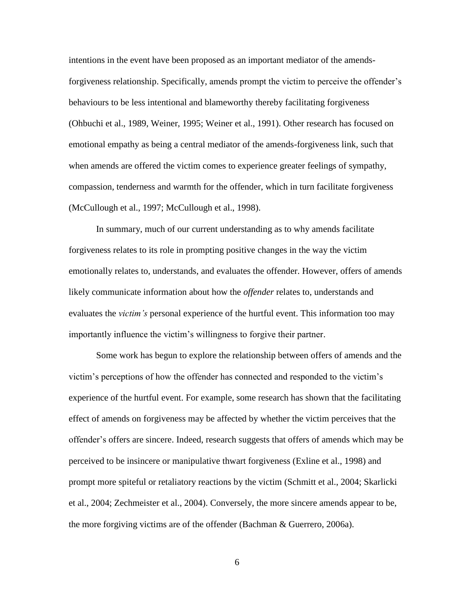intentions in the event have been proposed as an important mediator of the amendsforgiveness relationship. Specifically, amends prompt the victim to perceive the offender's behaviours to be less intentional and blameworthy thereby facilitating forgiveness (Ohbuchi et al., 1989, Weiner, 1995; Weiner et al., 1991). Other research has focused on emotional empathy as being a central mediator of the amends-forgiveness link, such that when amends are offered the victim comes to experience greater feelings of sympathy, compassion, tenderness and warmth for the offender, which in turn facilitate forgiveness (McCullough et al., 1997; McCullough et al., 1998).

In summary, much of our current understanding as to why amends facilitate forgiveness relates to its role in prompting positive changes in the way the victim emotionally relates to, understands, and evaluates the offender. However, offers of amends likely communicate information about how the *offender* relates to, understands and evaluates the *victim's* personal experience of the hurtful event. This information too may importantly influence the victim"s willingness to forgive their partner.

Some work has begun to explore the relationship between offers of amends and the victim"s perceptions of how the offender has connected and responded to the victim"s experience of the hurtful event. For example, some research has shown that the facilitating effect of amends on forgiveness may be affected by whether the victim perceives that the offender"s offers are sincere. Indeed, research suggests that offers of amends which may be perceived to be insincere or manipulative thwart forgiveness (Exline et al., 1998) and prompt more spiteful or retaliatory reactions by the victim (Schmitt et al., 2004; Skarlicki et al., 2004; Zechmeister et al., 2004). Conversely, the more sincere amends appear to be, the more forgiving victims are of the offender (Bachman & Guerrero, 2006a).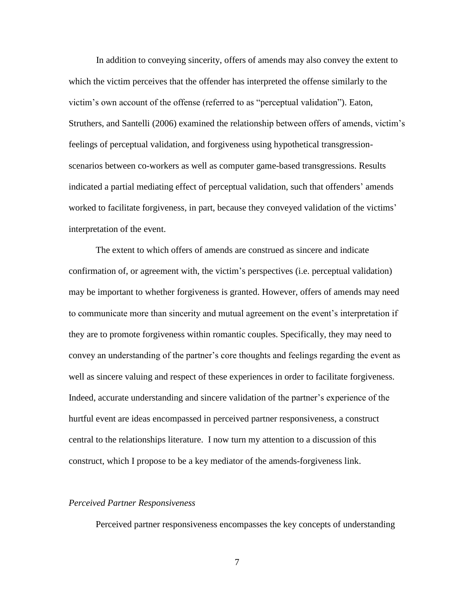In addition to conveying sincerity, offers of amends may also convey the extent to which the victim perceives that the offender has interpreted the offense similarly to the victim"s own account of the offense (referred to as "perceptual validation"). Eaton, Struthers, and Santelli (2006) examined the relationship between offers of amends, victim"s feelings of perceptual validation, and forgiveness using hypothetical transgressionscenarios between co-workers as well as computer game-based transgressions. Results indicated a partial mediating effect of perceptual validation, such that offenders' amends worked to facilitate forgiveness, in part, because they conveyed validation of the victims' interpretation of the event.

The extent to which offers of amends are construed as sincere and indicate confirmation of, or agreement with, the victim"s perspectives (i.e. perceptual validation) may be important to whether forgiveness is granted. However, offers of amends may need to communicate more than sincerity and mutual agreement on the event's interpretation if they are to promote forgiveness within romantic couples. Specifically, they may need to convey an understanding of the partner"s core thoughts and feelings regarding the event as well as sincere valuing and respect of these experiences in order to facilitate forgiveness. Indeed, accurate understanding and sincere validation of the partner's experience of the hurtful event are ideas encompassed in perceived partner responsiveness, a construct central to the relationships literature. I now turn my attention to a discussion of this construct, which I propose to be a key mediator of the amends-forgiveness link.

#### *Perceived Partner Responsiveness*

Perceived partner responsiveness encompasses the key concepts of understanding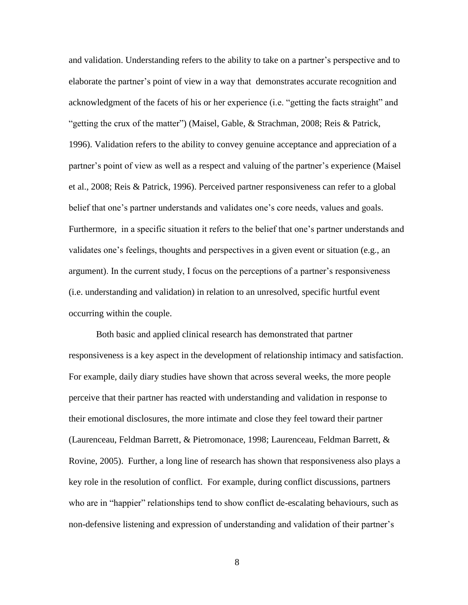and validation. Understanding refers to the ability to take on a partner"s perspective and to elaborate the partner"s point of view in a way that demonstrates accurate recognition and acknowledgment of the facets of his or her experience (i.e. "getting the facts straight" and "getting the crux of the matter") (Maisel, Gable, & Strachman, 2008; Reis & Patrick, 1996). Validation refers to the ability to convey genuine acceptance and appreciation of a partner's point of view as well as a respect and valuing of the partner's experience (Maisel et al., 2008; Reis & Patrick, 1996). Perceived partner responsiveness can refer to a global belief that one's partner understands and validates one's core needs, values and goals. Furthermore, in a specific situation it refers to the belief that one"s partner understands and validates one"s feelings, thoughts and perspectives in a given event or situation (e.g., an argument). In the current study, I focus on the perceptions of a partner"s responsiveness (i.e. understanding and validation) in relation to an unresolved, specific hurtful event occurring within the couple.

Both basic and applied clinical research has demonstrated that partner responsiveness is a key aspect in the development of relationship intimacy and satisfaction. For example, daily diary studies have shown that across several weeks, the more people perceive that their partner has reacted with understanding and validation in response to their emotional disclosures, the more intimate and close they feel toward their partner (Laurenceau, Feldman Barrett, & Pietromonace, 1998; Laurenceau, Feldman Barrett, & Rovine, 2005). Further, a long line of research has shown that responsiveness also plays a key role in the resolution of conflict. For example, during conflict discussions, partners who are in "happier" relationships tend to show conflict de-escalating behaviours, such as non-defensive listening and expression of understanding and validation of their partner"s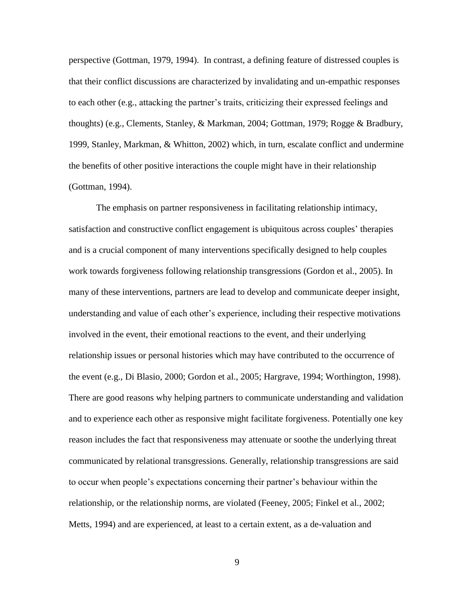perspective (Gottman, 1979, 1994). In contrast, a defining feature of distressed couples is that their conflict discussions are characterized by invalidating and un-empathic responses to each other (e.g., attacking the partner"s traits, criticizing their expressed feelings and thoughts) (e.g., Clements, Stanley, & Markman, 2004; Gottman, 1979; Rogge & Bradbury, 1999, Stanley, Markman, & Whitton, 2002) which, in turn, escalate conflict and undermine the benefits of other positive interactions the couple might have in their relationship (Gottman, 1994).

The emphasis on partner responsiveness in facilitating relationship intimacy, satisfaction and constructive conflict engagement is ubiquitous across couples" therapies and is a crucial component of many interventions specifically designed to help couples work towards forgiveness following relationship transgressions (Gordon et al., 2005). In many of these interventions, partners are lead to develop and communicate deeper insight, understanding and value of each other"s experience, including their respective motivations involved in the event, their emotional reactions to the event, and their underlying relationship issues or personal histories which may have contributed to the occurrence of the event (e.g., Di Blasio, 2000; Gordon et al., 2005; Hargrave, 1994; Worthington, 1998). There are good reasons why helping partners to communicate understanding and validation and to experience each other as responsive might facilitate forgiveness. Potentially one key reason includes the fact that responsiveness may attenuate or soothe the underlying threat communicated by relational transgressions. Generally, relationship transgressions are said to occur when people"s expectations concerning their partner"s behaviour within the relationship, or the relationship norms, are violated (Feeney, 2005; Finkel et al., 2002; Metts, 1994) and are experienced, at least to a certain extent, as a de-valuation and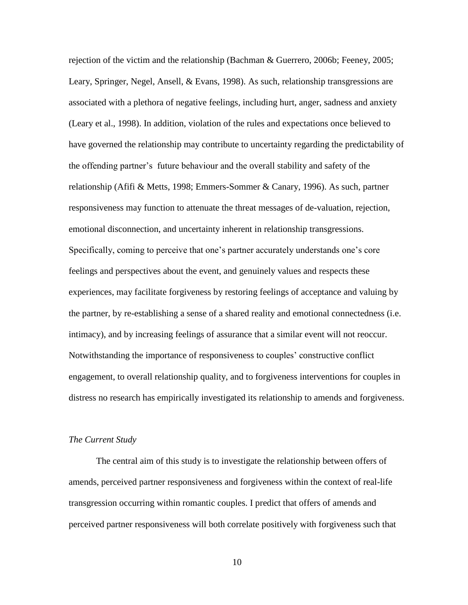rejection of the victim and the relationship (Bachman & Guerrero, 2006b; Feeney, 2005; Leary, Springer, Negel, Ansell, & Evans, 1998). As such, relationship transgressions are associated with a plethora of negative feelings, including hurt, anger, sadness and anxiety (Leary et al., 1998). In addition, violation of the rules and expectations once believed to have governed the relationship may contribute to uncertainty regarding the predictability of the offending partner"s future behaviour and the overall stability and safety of the relationship (Afifi & Metts, 1998; Emmers-Sommer & Canary, 1996). As such, partner responsiveness may function to attenuate the threat messages of de-valuation, rejection, emotional disconnection, and uncertainty inherent in relationship transgressions. Specifically, coming to perceive that one"s partner accurately understands one"s core feelings and perspectives about the event, and genuinely values and respects these experiences, may facilitate forgiveness by restoring feelings of acceptance and valuing by the partner, by re-establishing a sense of a shared reality and emotional connectedness (i.e. intimacy), and by increasing feelings of assurance that a similar event will not reoccur. Notwithstanding the importance of responsiveness to couples" constructive conflict engagement, to overall relationship quality, and to forgiveness interventions for couples in distress no research has empirically investigated its relationship to amends and forgiveness.

#### *The Current Study*

The central aim of this study is to investigate the relationship between offers of amends, perceived partner responsiveness and forgiveness within the context of real-life transgression occurring within romantic couples. I predict that offers of amends and perceived partner responsiveness will both correlate positively with forgiveness such that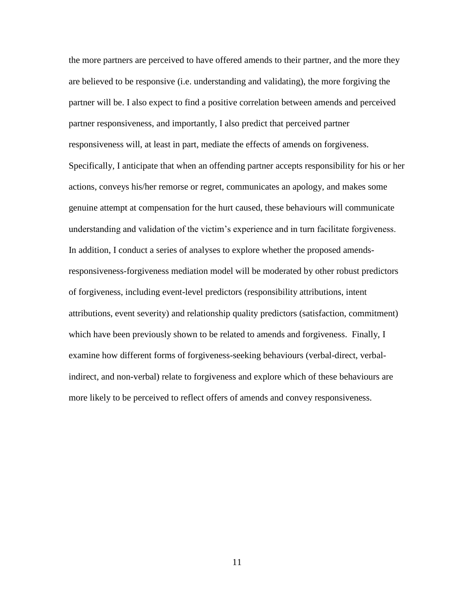the more partners are perceived to have offered amends to their partner, and the more they are believed to be responsive (i.e. understanding and validating), the more forgiving the partner will be. I also expect to find a positive correlation between amends and perceived partner responsiveness, and importantly, I also predict that perceived partner responsiveness will, at least in part, mediate the effects of amends on forgiveness. Specifically, I anticipate that when an offending partner accepts responsibility for his or her actions, conveys his/her remorse or regret, communicates an apology, and makes some genuine attempt at compensation for the hurt caused, these behaviours will communicate understanding and validation of the victim"s experience and in turn facilitate forgiveness. In addition, I conduct a series of analyses to explore whether the proposed amendsresponsiveness-forgiveness mediation model will be moderated by other robust predictors of forgiveness, including event-level predictors (responsibility attributions, intent attributions, event severity) and relationship quality predictors (satisfaction, commitment) which have been previously shown to be related to amends and forgiveness. Finally, I examine how different forms of forgiveness-seeking behaviours (verbal-direct, verbalindirect, and non-verbal) relate to forgiveness and explore which of these behaviours are more likely to be perceived to reflect offers of amends and convey responsiveness.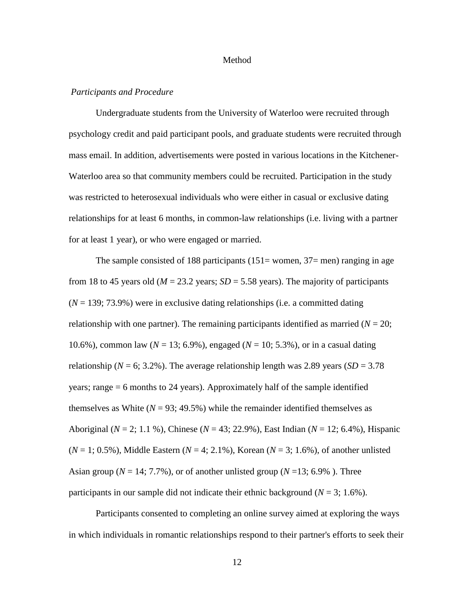#### Method

#### *Participants and Procedure*

Undergraduate students from the University of Waterloo were recruited through psychology credit and paid participant pools, and graduate students were recruited through mass email. In addition, advertisements were posted in various locations in the Kitchener-Waterloo area so that community members could be recruited. Participation in the study was restricted to heterosexual individuals who were either in casual or exclusive dating relationships for at least 6 months, in common-law relationships (i.e. living with a partner for at least 1 year), or who were engaged or married.

The sample consisted of 188 participants  $(151=$  women,  $37=$  men) ranging in age from 18 to 45 years old ( $M = 23.2$  years;  $SD = 5.58$  years). The majority of participants  $(N = 139; 73.9%)$  were in exclusive dating relationships (i.e. a committed dating relationship with one partner). The remaining participants identified as married  $(N = 20;$ 10.6%), common law (*N* = 13; 6.9%), engaged (*N* = 10; 5.3%), or in a casual dating relationship ( $N = 6$ ; 3.2%). The average relationship length was 2.89 years ( $SD = 3.78$ ) years; range = 6 months to 24 years). Approximately half of the sample identified themselves as White  $(N = 93; 49.5%)$  while the remainder identified themselves as Aboriginal (*N* = 2; 1.1 %), Chinese (*N* = 43; 22.9%), East Indian (*N* = 12; 6.4%), Hispanic  $(N = 1; 0.5\%)$ , Middle Eastern  $(N = 4; 2.1\%)$ , Korean  $(N = 3; 1.6\%)$ , of another unlisted Asian group ( $N = 14$ ; 7.7%), or of another unlisted group ( $N = 13$ ; 6.9%). Three participants in our sample did not indicate their ethnic background ( $N = 3$ ; 1.6%).

Participants consented to completing an online survey aimed at exploring the ways in which individuals in romantic relationships respond to their partner's efforts to seek their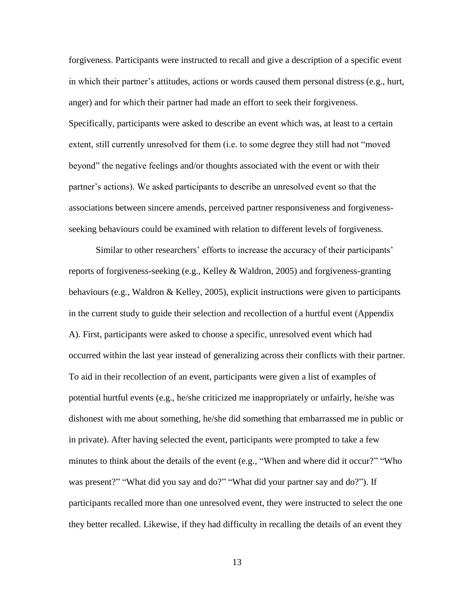forgiveness. Participants were instructed to recall and give a description of a specific event in which their partner"s attitudes, actions or words caused them personal distress (e.g., hurt, anger) and for which their partner had made an effort to seek their forgiveness. Specifically, participants were asked to describe an event which was, at least to a certain extent, still currently unresolved for them (i.e. to some degree they still had not "moved beyond" the negative feelings and/or thoughts associated with the event or with their partner's actions). We asked participants to describe an unresolved event so that the associations between sincere amends, perceived partner responsiveness and forgivenessseeking behaviours could be examined with relation to different levels of forgiveness.

Similar to other researchers' efforts to increase the accuracy of their participants' reports of forgiveness-seeking (e.g., Kelley & Waldron, 2005) and forgiveness-granting behaviours (e.g., Waldron & Kelley, 2005), explicit instructions were given to participants in the current study to guide their selection and recollection of a hurtful event (Appendix A). First, participants were asked to choose a specific, unresolved event which had occurred within the last year instead of generalizing across their conflicts with their partner. To aid in their recollection of an event, participants were given a list of examples of potential hurtful events (e.g., he/she criticized me inappropriately or unfairly, he/she was dishonest with me about something, he/she did something that embarrassed me in public or in private). After having selected the event, participants were prompted to take a few minutes to think about the details of the event (e.g., "When and where did it occur?" "Who was present?" "What did you say and do?" "What did your partner say and do?"). If participants recalled more than one unresolved event, they were instructed to select the one they better recalled. Likewise, if they had difficulty in recalling the details of an event they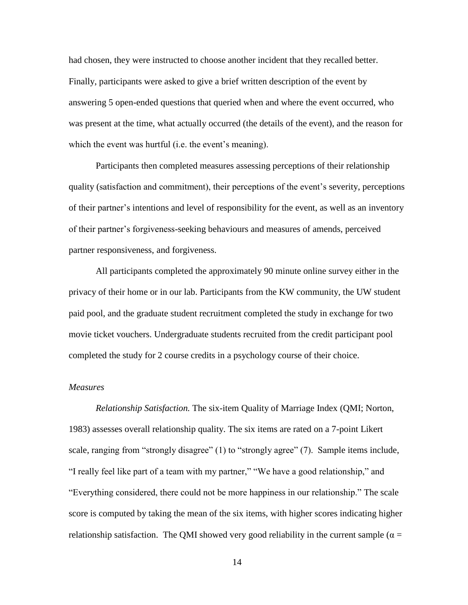had chosen, they were instructed to choose another incident that they recalled better. Finally, participants were asked to give a brief written description of the event by answering 5 open-ended questions that queried when and where the event occurred, who was present at the time, what actually occurred (the details of the event), and the reason for which the event was hurtful (i.e. the event's meaning).

Participants then completed measures assessing perceptions of their relationship quality (satisfaction and commitment), their perceptions of the event"s severity, perceptions of their partner"s intentions and level of responsibility for the event, as well as an inventory of their partner"s forgiveness-seeking behaviours and measures of amends, perceived partner responsiveness, and forgiveness.

All participants completed the approximately 90 minute online survey either in the privacy of their home or in our lab. Participants from the KW community, the UW student paid pool, and the graduate student recruitment completed the study in exchange for two movie ticket vouchers. Undergraduate students recruited from the credit participant pool completed the study for 2 course credits in a psychology course of their choice.

#### *Measures*

*Relationship Satisfaction.* The six-item Quality of Marriage Index (QMI; Norton, 1983) assesses overall relationship quality. The six items are rated on a 7-point Likert scale, ranging from "strongly disagree" (1) to "strongly agree" (7). Sample items include, "I really feel like part of a team with my partner," "We have a good relationship," and "Everything considered, there could not be more happiness in our relationship." The scale score is computed by taking the mean of the six items, with higher scores indicating higher relationship satisfaction. The QMI showed very good reliability in the current sample ( $\alpha$  =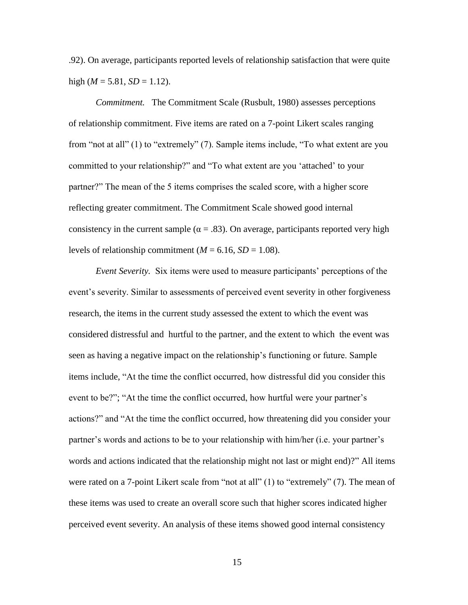.92). On average, participants reported levels of relationship satisfaction that were quite high ( $M = 5.81$ ,  $SD = 1.12$ ).

*Commitment.* The Commitment Scale (Rusbult, 1980) assesses perceptions of relationship commitment. Five items are rated on a 7-point Likert scales ranging from "not at all" (1) to "extremely" (7). Sample items include, "To what extent are you committed to your relationship?" and "To what extent are you "attached" to your partner?" The mean of the 5 items comprises the scaled score, with a higher score reflecting greater commitment. The Commitment Scale showed good internal consistency in the current sample ( $\alpha = .83$ ). On average, participants reported very high levels of relationship commitment ( $M = 6.16$ ,  $SD = 1.08$ ).

*Event Severity.* Six items were used to measure participants' perceptions of the event's severity. Similar to assessments of perceived event severity in other forgiveness research, the items in the current study assessed the extent to which the event was considered distressful and hurtful to the partner, and the extent to which the event was seen as having a negative impact on the relationship"s functioning or future. Sample items include, "At the time the conflict occurred, how distressful did you consider this event to be?"; "At the time the conflict occurred, how hurtful were your partner's actions?" and "At the time the conflict occurred, how threatening did you consider your partner"s words and actions to be to your relationship with him/her (i.e. your partner"s words and actions indicated that the relationship might not last or might end)?" All items were rated on a 7-point Likert scale from "not at all" (1) to "extremely" (7). The mean of these items was used to create an overall score such that higher scores indicated higher perceived event severity. An analysis of these items showed good internal consistency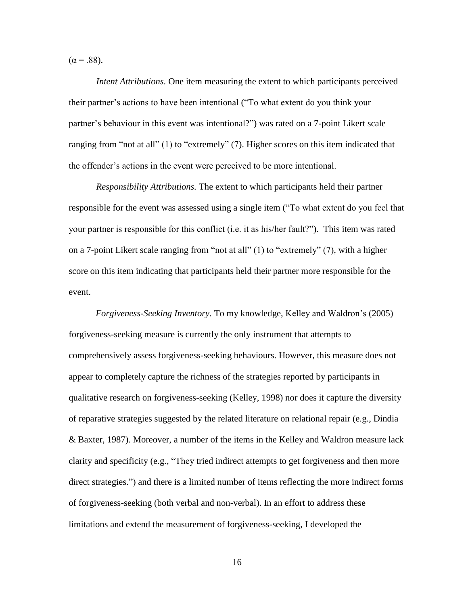$(α = .88)$ .

*Intent Attributions.* One item measuring the extent to which participants perceived their partner"s actions to have been intentional ("To what extent do you think your partner"s behaviour in this event was intentional?") was rated on a 7-point Likert scale ranging from "not at all" (1) to "extremely" (7). Higher scores on this item indicated that the offender"s actions in the event were perceived to be more intentional.

*Responsibility Attributions.* The extent to which participants held their partner responsible for the event was assessed using a single item ("To what extent do you feel that your partner is responsible for this conflict (i.e. it as his/her fault?"). This item was rated on a 7-point Likert scale ranging from "not at all" (1) to "extremely" (7), with a higher score on this item indicating that participants held their partner more responsible for the event.

*Forgiveness-Seeking Inventory.* To my knowledge, Kelley and Waldron"s (2005) forgiveness-seeking measure is currently the only instrument that attempts to comprehensively assess forgiveness-seeking behaviours. However, this measure does not appear to completely capture the richness of the strategies reported by participants in qualitative research on forgiveness-seeking (Kelley, 1998) nor does it capture the diversity of reparative strategies suggested by the related literature on relational repair (e.g., Dindia & Baxter, 1987). Moreover, a number of the items in the Kelley and Waldron measure lack clarity and specificity (e.g., "They tried indirect attempts to get forgiveness and then more direct strategies.") and there is a limited number of items reflecting the more indirect forms of forgiveness-seeking (both verbal and non-verbal). In an effort to address these limitations and extend the measurement of forgiveness-seeking, I developed the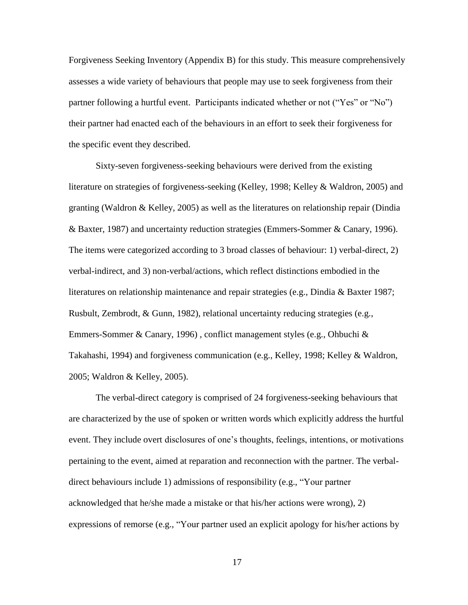Forgiveness Seeking Inventory (Appendix B) for this study. This measure comprehensively assesses a wide variety of behaviours that people may use to seek forgiveness from their partner following a hurtful event. Participants indicated whether or not ("Yes" or "No") their partner had enacted each of the behaviours in an effort to seek their forgiveness for the specific event they described.

Sixty-seven forgiveness-seeking behaviours were derived from the existing literature on strategies of forgiveness-seeking (Kelley, 1998; Kelley & Waldron, 2005) and granting (Waldron & Kelley, 2005) as well as the literatures on relationship repair (Dindia & Baxter, 1987) and uncertainty reduction strategies (Emmers-Sommer & Canary, 1996). The items were categorized according to 3 broad classes of behaviour: 1) verbal-direct, 2) verbal-indirect, and 3) non-verbal/actions, which reflect distinctions embodied in the literatures on relationship maintenance and repair strategies (e.g., Dindia & Baxter 1987; Rusbult, Zembrodt, & Gunn, 1982), relational uncertainty reducing strategies (e.g., Emmers-Sommer & Canary, 1996), conflict management styles (e.g., Ohbuchi & Takahashi, 1994) and forgiveness communication (e.g., Kelley, 1998; Kelley & Waldron, 2005; Waldron & Kelley, 2005).

The verbal-direct category is comprised of 24 forgiveness-seeking behaviours that are characterized by the use of spoken or written words which explicitly address the hurtful event. They include overt disclosures of one"s thoughts, feelings, intentions, or motivations pertaining to the event, aimed at reparation and reconnection with the partner. The verbaldirect behaviours include 1) admissions of responsibility (e.g., "Your partner acknowledged that he/she made a mistake or that his/her actions were wrong), 2) expressions of remorse (e.g., "Your partner used an explicit apology for his/her actions by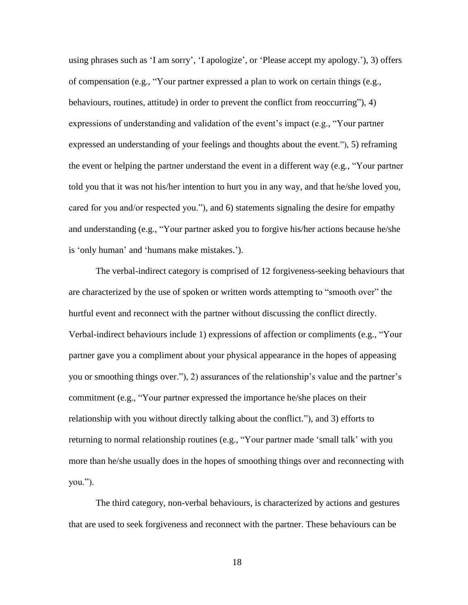using phrases such as 'I am sorry', 'I apologize', or 'Please accept my apology.'), 3) offers of compensation (e.g., "Your partner expressed a plan to work on certain things (e.g., behaviours, routines, attitude) in order to prevent the conflict from reoccurring"), 4) expressions of understanding and validation of the event"s impact (e.g., "Your partner expressed an understanding of your feelings and thoughts about the event."), 5) reframing the event or helping the partner understand the event in a different way (e.g., "Your partner told you that it was not his/her intention to hurt you in any way, and that he/she loved you, cared for you and/or respected you."), and 6) statements signaling the desire for empathy and understanding (e.g., "Your partner asked you to forgive his/her actions because he/she is 'only human' and 'humans make mistakes.').

The verbal-indirect category is comprised of 12 forgiveness-seeking behaviours that are characterized by the use of spoken or written words attempting to "smooth over" the hurtful event and reconnect with the partner without discussing the conflict directly. Verbal-indirect behaviours include 1) expressions of affection or compliments (e.g., "Your partner gave you a compliment about your physical appearance in the hopes of appeasing you or smoothing things over."), 2) assurances of the relationship"s value and the partner"s commitment (e.g., "Your partner expressed the importance he/she places on their relationship with you without directly talking about the conflict."), and 3) efforts to returning to normal relationship routines (e.g., "Your partner made "small talk" with you more than he/she usually does in the hopes of smoothing things over and reconnecting with you.").

The third category, non-verbal behaviours, is characterized by actions and gestures that are used to seek forgiveness and reconnect with the partner. These behaviours can be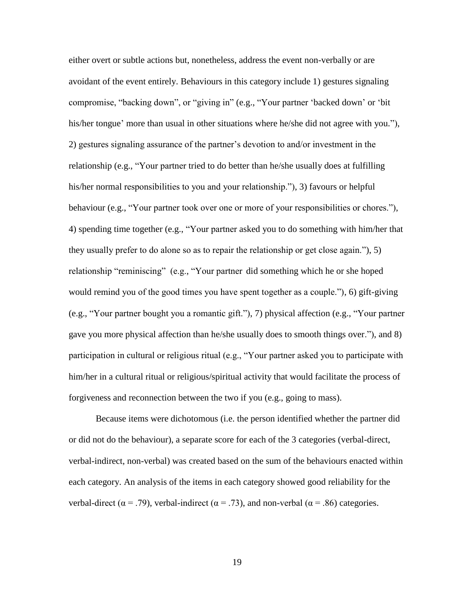either overt or subtle actions but, nonetheless, address the event non-verbally or are avoidant of the event entirely. Behaviours in this category include 1) gestures signaling compromise, "backing down", or "giving in" (e.g., "Your partner "backed down" or "bit his/her tongue' more than usual in other situations where he/she did not agree with you."), 2) gestures signaling assurance of the partner"s devotion to and/or investment in the relationship (e.g., "Your partner tried to do better than he/she usually does at fulfilling his/her normal responsibilities to you and your relationship."), 3) favours or helpful behaviour (e.g., "Your partner took over one or more of your responsibilities or chores."), 4) spending time together (e.g., "Your partner asked you to do something with him/her that they usually prefer to do alone so as to repair the relationship or get close again."), 5) relationship "reminiscing" (e.g., "Your partner did something which he or she hoped would remind you of the good times you have spent together as a couple."), 6) gift-giving (e.g., "Your partner bought you a romantic gift."), 7) physical affection (e.g., "Your partner gave you more physical affection than he/she usually does to smooth things over."), and 8) participation in cultural or religious ritual (e.g., "Your partner asked you to participate with him/her in a cultural ritual or religious/spiritual activity that would facilitate the process of forgiveness and reconnection between the two if you (e.g., going to mass).

Because items were dichotomous (i.e. the person identified whether the partner did or did not do the behaviour), a separate score for each of the 3 categories (verbal-direct, verbal-indirect, non-verbal) was created based on the sum of the behaviours enacted within each category. An analysis of the items in each category showed good reliability for the verbal-direct ( $\alpha$  = .79), verbal-indirect ( $\alpha$  = .73), and non-verbal ( $\alpha$  = .86) categories.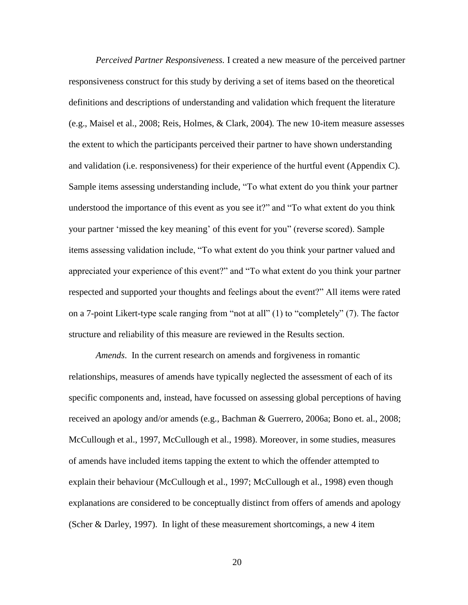*Perceived Partner Responsiveness.* I created a new measure of the perceived partner responsiveness construct for this study by deriving a set of items based on the theoretical definitions and descriptions of understanding and validation which frequent the literature (e.g., Maisel et al., 2008; Reis, Holmes, & Clark, 2004)*.* The new 10-item measure assesses the extent to which the participants perceived their partner to have shown understanding and validation (i.e. responsiveness) for their experience of the hurtful event (Appendix C). Sample items assessing understanding include, "To what extent do you think your partner understood the importance of this event as you see it?" and "To what extent do you think your partner "missed the key meaning" of this event for you" (reverse scored). Sample items assessing validation include, "To what extent do you think your partner valued and appreciated your experience of this event?" and "To what extent do you think your partner respected and supported your thoughts and feelings about the event?" All items were rated on a 7-point Likert-type scale ranging from "not at all" (1) to "completely" (7). The factor structure and reliability of this measure are reviewed in the Results section.

*Amends*. In the current research on amends and forgiveness in romantic relationships, measures of amends have typically neglected the assessment of each of its specific components and, instead, have focussed on assessing global perceptions of having received an apology and/or amends (e.g., Bachman & Guerrero, 2006a; Bono et. al., 2008; McCullough et al., 1997, McCullough et al., 1998). Moreover, in some studies, measures of amends have included items tapping the extent to which the offender attempted to explain their behaviour (McCullough et al., 1997; McCullough et al., 1998) even though explanations are considered to be conceptually distinct from offers of amends and apology (Scher & Darley, 1997). In light of these measurement shortcomings, a new 4 item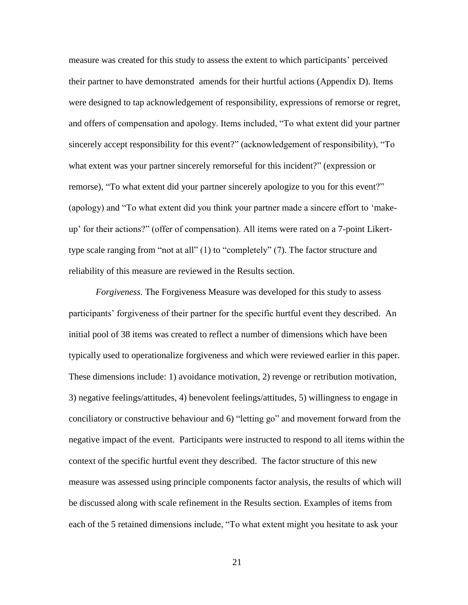measure was created for this study to assess the extent to which participants" perceived their partner to have demonstrated amends for their hurtful actions (Appendix D). Items were designed to tap acknowledgement of responsibility, expressions of remorse or regret, and offers of compensation and apology. Items included, "To what extent did your partner sincerely accept responsibility for this event?" (acknowledgement of responsibility), "To what extent was your partner sincerely remorseful for this incident?" (expression or remorse), "To what extent did your partner sincerely apologize to you for this event?" (apology) and "To what extent did you think your partner made a sincere effort to "makeup" for their actions?" (offer of compensation). All items were rated on a 7-point Likerttype scale ranging from "not at all" (1) to "completely" (7). The factor structure and reliability of this measure are reviewed in the Results section.

*Forgiveness.* The Forgiveness Measure was developed for this study to assess participants' forgiveness of their partner for the specific hurtful event they described. An initial pool of 38 items was created to reflect a number of dimensions which have been typically used to operationalize forgiveness and which were reviewed earlier in this paper. These dimensions include: 1) avoidance motivation, 2) revenge or retribution motivation, 3) negative feelings/attitudes, 4) benevolent feelings/attitudes, 5) willingness to engage in conciliatory or constructive behaviour and 6) "letting go" and movement forward from the negative impact of the event. Participants were instructed to respond to all items within the context of the specific hurtful event they described. The factor structure of this new measure was assessed using principle components factor analysis, the results of which will be discussed along with scale refinement in the Results section. Examples of items from each of the 5 retained dimensions include, "To what extent might you hesitate to ask your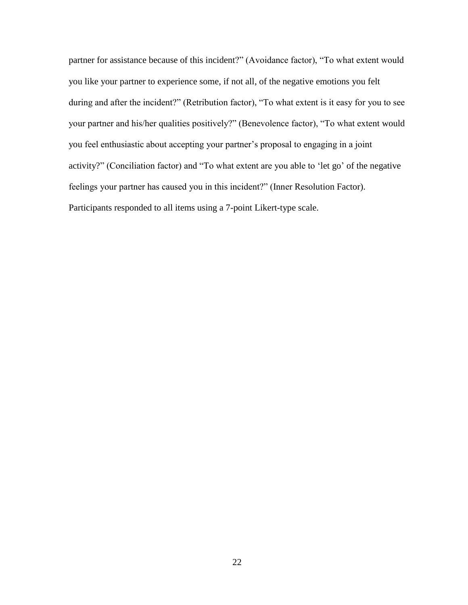partner for assistance because of this incident?" (Avoidance factor), "To what extent would you like your partner to experience some, if not all, of the negative emotions you felt during and after the incident?" (Retribution factor), "To what extent is it easy for you to see your partner and his/her qualities positively?" (Benevolence factor), "To what extent would you feel enthusiastic about accepting your partner"s proposal to engaging in a joint activity?" (Conciliation factor) and "To what extent are you able to "let go" of the negative feelings your partner has caused you in this incident?" (Inner Resolution Factor). Participants responded to all items using a 7-point Likert-type scale.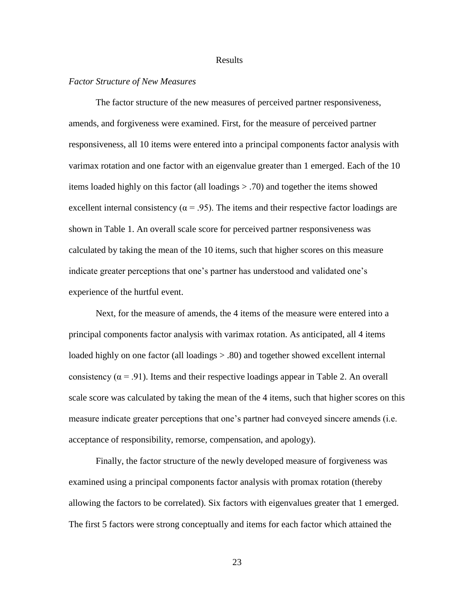#### Results

#### *Factor Structure of New Measures*

The factor structure of the new measures of perceived partner responsiveness, amends, and forgiveness were examined. First, for the measure of perceived partner responsiveness, all 10 items were entered into a principal components factor analysis with varimax rotation and one factor with an eigenvalue greater than 1 emerged. Each of the 10 items loaded highly on this factor (all loadings > .70) and together the items showed excellent internal consistency ( $\alpha$  = .95). The items and their respective factor loadings are shown in Table 1. An overall scale score for perceived partner responsiveness was calculated by taking the mean of the 10 items, such that higher scores on this measure indicate greater perceptions that one's partner has understood and validated one's experience of the hurtful event.

Next, for the measure of amends, the 4 items of the measure were entered into a principal components factor analysis with varimax rotation. As anticipated, all 4 items loaded highly on one factor (all loadings  $> 0.80$ ) and together showed excellent internal consistency ( $\alpha$  = .91). Items and their respective loadings appear in Table 2. An overall scale score was calculated by taking the mean of the 4 items, such that higher scores on this measure indicate greater perceptions that one"s partner had conveyed sincere amends (i.e. acceptance of responsibility, remorse, compensation, and apology).

Finally, the factor structure of the newly developed measure of forgiveness was examined using a principal components factor analysis with promax rotation (thereby allowing the factors to be correlated). Six factors with eigenvalues greater that 1 emerged. The first 5 factors were strong conceptually and items for each factor which attained the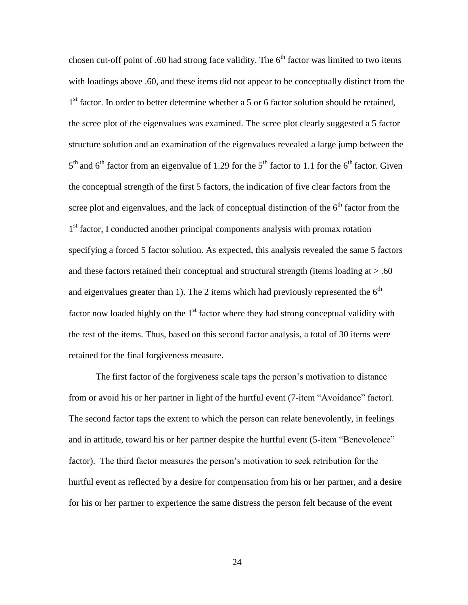chosen cut-off point of .60 had strong face validity. The  $6<sup>th</sup>$  factor was limited to two items with loadings above .60, and these items did not appear to be conceptually distinct from the 1<sup>st</sup> factor. In order to better determine whether a 5 or 6 factor solution should be retained, the scree plot of the eigenvalues was examined. The scree plot clearly suggested a 5 factor structure solution and an examination of the eigenvalues revealed a large jump between the  $5<sup>th</sup>$  and  $6<sup>th</sup>$  factor from an eigenvalue of 1.29 for the  $5<sup>th</sup>$  factor to 1.1 for the  $6<sup>th</sup>$  factor. Given the conceptual strength of the first 5 factors, the indication of five clear factors from the scree plot and eigenvalues, and the lack of conceptual distinction of the  $6<sup>th</sup>$  factor from the 1<sup>st</sup> factor, I conducted another principal components analysis with promax rotation specifying a forced 5 factor solution. As expected, this analysis revealed the same 5 factors and these factors retained their conceptual and structural strength (items loading at  $> .60$ ) and eigenvalues greater than 1). The 2 items which had previously represented the  $6<sup>th</sup>$ factor now loaded highly on the  $1<sup>st</sup>$  factor where they had strong conceptual validity with the rest of the items. Thus, based on this second factor analysis, a total of 30 items were retained for the final forgiveness measure.

The first factor of the forgiveness scale taps the person's motivation to distance from or avoid his or her partner in light of the hurtful event (7-item "Avoidance" factor). The second factor taps the extent to which the person can relate benevolently, in feelings and in attitude, toward his or her partner despite the hurtful event (5-item "Benevolence" factor). The third factor measures the person"s motivation to seek retribution for the hurtful event as reflected by a desire for compensation from his or her partner, and a desire for his or her partner to experience the same distress the person felt because of the event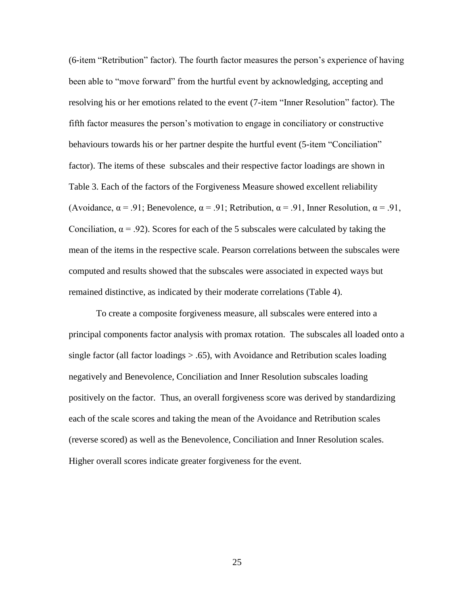(6-item "Retribution" factor). The fourth factor measures the person"s experience of having been able to "move forward" from the hurtful event by acknowledging, accepting and resolving his or her emotions related to the event (7-item "Inner Resolution" factor). The fifth factor measures the person"s motivation to engage in conciliatory or constructive behaviours towards his or her partner despite the hurtful event (5-item "Conciliation" factor). The items of these subscales and their respective factor loadings are shown in Table 3. Each of the factors of the Forgiveness Measure showed excellent reliability (Avoidance,  $\alpha$  = .91; Benevolence,  $\alpha$  = .91; Retribution,  $\alpha$  = .91, Inner Resolution,  $\alpha$  = .91, Conciliation,  $\alpha = 0.92$ . Scores for each of the 5 subscales were calculated by taking the mean of the items in the respective scale. Pearson correlations between the subscales were computed and results showed that the subscales were associated in expected ways but remained distinctive, as indicated by their moderate correlations (Table 4).

To create a composite forgiveness measure, all subscales were entered into a principal components factor analysis with promax rotation. The subscales all loaded onto a single factor (all factor loadings  $> .65$ ), with Avoidance and Retribution scales loading negatively and Benevolence, Conciliation and Inner Resolution subscales loading positively on the factor. Thus, an overall forgiveness score was derived by standardizing each of the scale scores and taking the mean of the Avoidance and Retribution scales (reverse scored) as well as the Benevolence, Conciliation and Inner Resolution scales. Higher overall scores indicate greater forgiveness for the event.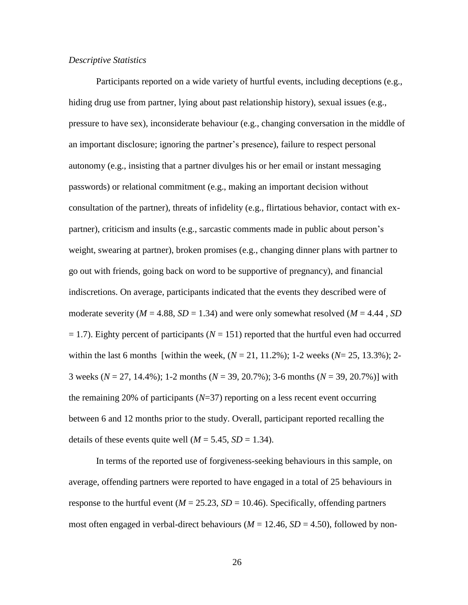#### *Descriptive Statistics*

Participants reported on a wide variety of hurtful events, including deceptions (e.g., hiding drug use from partner, lying about past relationship history), sexual issues (e.g., pressure to have sex), inconsiderate behaviour (e.g., changing conversation in the middle of an important disclosure; ignoring the partner"s presence), failure to respect personal autonomy (e.g., insisting that a partner divulges his or her email or instant messaging passwords) or relational commitment (e.g., making an important decision without consultation of the partner), threats of infidelity (e.g., flirtatious behavior, contact with expartner), criticism and insults (e.g., sarcastic comments made in public about person"s weight, swearing at partner), broken promises (e.g., changing dinner plans with partner to go out with friends, going back on word to be supportive of pregnancy), and financial indiscretions. On average, participants indicated that the events they described were of moderate severity ( $M = 4.88$ ,  $SD = 1.34$ ) and were only somewhat resolved ( $M = 4.44$ ,  $SD$  $= 1.7$ ). Eighty percent of participants ( $N = 151$ ) reported that the hurtful even had occurred within the last 6 months [within the week,  $(N = 21, 11.2\%)$ ; 1-2 weeks  $(N = 25, 13.3\%)$ ; 2-3 weeks (*N* = 27, 14.4%); 1-2 months (*N* = 39, 20.7%); 3-6 months (*N* = 39, 20.7%)] with the remaining 20% of participants (*N*=37) reporting on a less recent event occurring between 6 and 12 months prior to the study. Overall, participant reported recalling the details of these events quite well  $(M = 5.45, SD = 1.34)$ .

In terms of the reported use of forgiveness-seeking behaviours in this sample, on average, offending partners were reported to have engaged in a total of 25 behaviours in response to the hurtful event ( $M = 25.23$ ,  $SD = 10.46$ ). Specifically, offending partners most often engaged in verbal-direct behaviours ( $M = 12.46$ ,  $SD = 4.50$ ), followed by non-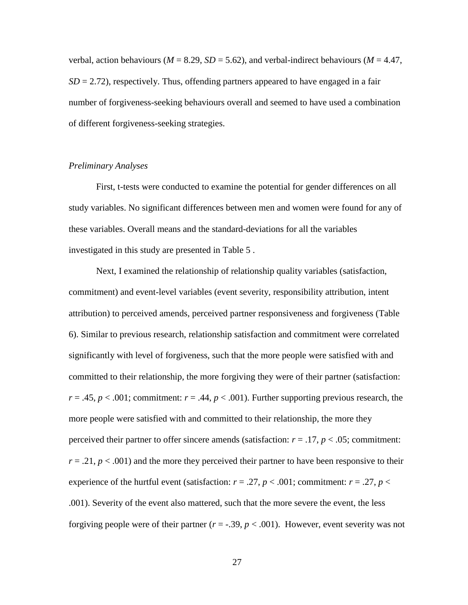verbal, action behaviours ( $M = 8.29$ ,  $SD = 5.62$ ), and verbal-indirect behaviours ( $M = 4.47$ ,  $SD = 2.72$ ), respectively. Thus, offending partners appeared to have engaged in a fair number of forgiveness-seeking behaviours overall and seemed to have used a combination of different forgiveness-seeking strategies.

## *Preliminary Analyses*

First, t-tests were conducted to examine the potential for gender differences on all study variables. No significant differences between men and women were found for any of these variables. Overall means and the standard-deviations for all the variables investigated in this study are presented in Table 5 .

Next, I examined the relationship of relationship quality variables (satisfaction, commitment) and event-level variables (event severity, responsibility attribution, intent attribution) to perceived amends, perceived partner responsiveness and forgiveness (Table 6). Similar to previous research, relationship satisfaction and commitment were correlated significantly with level of forgiveness, such that the more people were satisfied with and committed to their relationship, the more forgiving they were of their partner (satisfaction:  $r = .45$ ,  $p < .001$ ; commitment:  $r = .44$ ,  $p < .001$ ). Further supporting previous research, the more people were satisfied with and committed to their relationship, the more they perceived their partner to offer sincere amends (satisfaction:  $r = .17$ ,  $p < .05$ ; commitment:  $r = .21$ ,  $p < .001$ ) and the more they perceived their partner to have been responsive to their experience of the hurtful event (satisfaction:  $r = .27$ ,  $p < .001$ ; commitment:  $r = .27$ ,  $p <$ .001). Severity of the event also mattered, such that the more severe the event, the less forgiving people were of their partner  $(r = -.39, p < .001)$ . However, event severity was not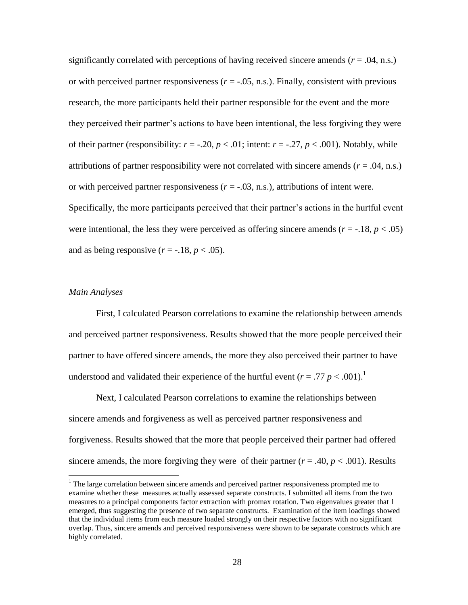significantly correlated with perceptions of having received sincere amends  $(r = .04, n.s.)$ or with perceived partner responsiveness  $(r = -0.05, n.s.)$ . Finally, consistent with previous research, the more participants held their partner responsible for the event and the more they perceived their partner"s actions to have been intentional, the less forgiving they were of their partner (responsibility:  $r = -.20$ ,  $p < .01$ ; intent:  $r = -.27$ ,  $p < .001$ ). Notably, while attributions of partner responsibility were not correlated with sincere amends ( $r = .04$ , n.s.) or with perceived partner responsiveness  $(r = -.03, n.s.)$ , attributions of intent were. Specifically, the more participants perceived that their partner's actions in the hurtful event were intentional, the less they were perceived as offering sincere amends  $(r = -18, p < .05)$ and as being responsive  $(r = -.18, p < .05)$ .

#### *Main Analyses*

 $\overline{a}$ 

First, I calculated Pearson correlations to examine the relationship between amends and perceived partner responsiveness. Results showed that the more people perceived their partner to have offered sincere amends, the more they also perceived their partner to have understood and validated their experience of the hurtful event ( $r = .77$   $p < .001$ ).<sup>1</sup>

Next, I calculated Pearson correlations to examine the relationships between sincere amends and forgiveness as well as perceived partner responsiveness and forgiveness. Results showed that the more that people perceived their partner had offered sincere amends, the more forgiving they were of their partner ( $r = .40$ ,  $p < .001$ ). Results

 $1$  The large correlation between sincere amends and perceived partner responsiveness prompted me to examine whether these measures actually assessed separate constructs. I submitted all items from the two measures to a principal components factor extraction with promax rotation. Two eigenvalues greater that 1 emerged, thus suggesting the presence of two separate constructs. Examination of the item loadings showed that the individual items from each measure loaded strongly on their respective factors with no significant overlap. Thus, sincere amends and perceived responsiveness were shown to be separate constructs which are highly correlated.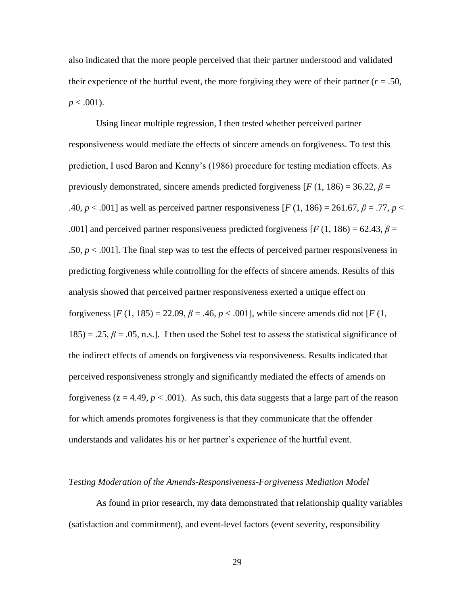also indicated that the more people perceived that their partner understood and validated their experience of the hurtful event, the more forgiving they were of their partner ( $r = .50$ ,  $p < .001$ ).

Using linear multiple regression, I then tested whether perceived partner responsiveness would mediate the effects of sincere amends on forgiveness. To test this prediction, I used Baron and Kenny"s (1986) procedure for testing mediation effects. As previously demonstrated, sincere amends predicted forgiveness  $[F(1, 186) = 36.22, \beta =$ .40*, p* < .001] as well as perceived partner responsiveness [*F* (1, 186) = 261.67, *β* = .77*, p* < .001] and perceived partner responsiveness predicted forgiveness [ $F(1, 186) = 62.43$ ,  $\beta =$ .50,  $p < 0.001$ . The final step was to test the effects of perceived partner responsiveness in predicting forgiveness while controlling for the effects of sincere amends. Results of this analysis showed that perceived partner responsiveness exerted a unique effect on forgiveness  $[F (1, 185) = 22.09, \beta = .46, \beta = .001]$ , while sincere amends did not  $[F (1, 185) = 22.09, \beta = .46, \beta = .001]$  $185$ ) = .25,  $\beta$  = .05, n.s.]. I then used the Sobel test to assess the statistical significance of the indirect effects of amends on forgiveness via responsiveness. Results indicated that perceived responsiveness strongly and significantly mediated the effects of amends on forgiveness ( $z = 4.49$ ,  $p < .001$ ). As such, this data suggests that a large part of the reason for which amends promotes forgiveness is that they communicate that the offender understands and validates his or her partner"s experience of the hurtful event.

#### *Testing Moderation of the Amends-Responsiveness-Forgiveness Mediation Model*

As found in prior research, my data demonstrated that relationship quality variables (satisfaction and commitment), and event-level factors (event severity, responsibility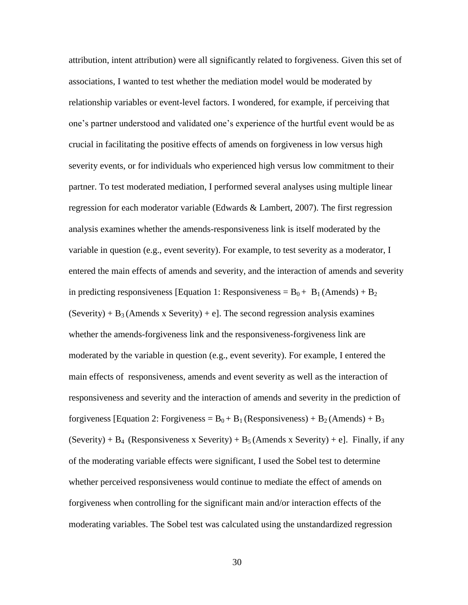attribution, intent attribution) were all significantly related to forgiveness. Given this set of associations, I wanted to test whether the mediation model would be moderated by relationship variables or event-level factors. I wondered, for example, if perceiving that one"s partner understood and validated one"s experience of the hurtful event would be as crucial in facilitating the positive effects of amends on forgiveness in low versus high severity events, or for individuals who experienced high versus low commitment to their partner. To test moderated mediation, I performed several analyses using multiple linear regression for each moderator variable (Edwards & Lambert, 2007). The first regression analysis examines whether the amends-responsiveness link is itself moderated by the variable in question (e.g., event severity). For example, to test severity as a moderator, I entered the main effects of amends and severity, and the interaction of amends and severity in predicting responsiveness [Equation 1: Responsiveness =  $B_0 + B_1$  (Amends) +  $B_2$  $(Severity) + B_3$  (Amends x Severity) + e]. The second regression analysis examines whether the amends-forgiveness link and the responsiveness-forgiveness link are moderated by the variable in question (e.g., event severity). For example, I entered the main effects of responsiveness, amends and event severity as well as the interaction of responsiveness and severity and the interaction of amends and severity in the prediction of forgiveness [Equation 2: Forgiveness =  $B_0 + B_1$  (Responsiveness) +  $B_2$  (Amends) +  $B_3$ (Severity) +  $B_4$  (Responsiveness x Severity) +  $B_5$  (Amends x Severity) + e]. Finally, if any of the moderating variable effects were significant, I used the Sobel test to determine whether perceived responsiveness would continue to mediate the effect of amends on forgiveness when controlling for the significant main and/or interaction effects of the moderating variables. The Sobel test was calculated using the unstandardized regression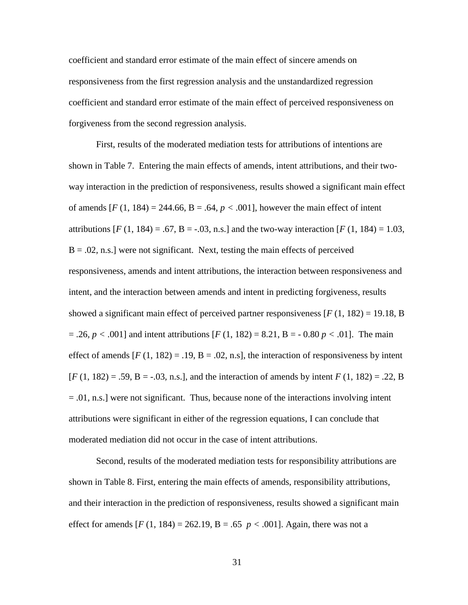coefficient and standard error estimate of the main effect of sincere amends on responsiveness from the first regression analysis and the unstandardized regression coefficient and standard error estimate of the main effect of perceived responsiveness on forgiveness from the second regression analysis.

First, results of the moderated mediation tests for attributions of intentions are shown in Table 7. Entering the main effects of amends, intent attributions, and their twoway interaction in the prediction of responsiveness, results showed a significant main effect of amends  $[F(1, 184) = 244.66, B = .64, p < .001]$ , however the main effect of intent attributions  $[F (1, 184) = .67, B = -.03, n.s.]$  and the two-way interaction  $[F (1, 184) = 1.03,$ B = .02*,* n.s.] were not significant. Next, testing the main effects of perceived responsiveness, amends and intent attributions, the interaction between responsiveness and intent, and the interaction between amends and intent in predicting forgiveness, results showed a significant main effect of perceived partner responsiveness  $[F(1, 182) = 19.18, B]$ = .26*, p <* .001] and intent attributions [*F* (1, 182) = 8.21, B = - 0.80 *p <* .01]. The main effect of amends  $[F(1, 182) = .19, B = .02, n.s]$ , the interaction of responsiveness by intent [*F* (1, 182) = .59, B = -.03*,* n.s.], and the interaction of amends by intent *F* (1, 182) = .22, B = .01*,* n.s.] were not significant. Thus, because none of the interactions involving intent attributions were significant in either of the regression equations, I can conclude that moderated mediation did not occur in the case of intent attributions.

Second, results of the moderated mediation tests for responsibility attributions are shown in Table 8. First, entering the main effects of amends, responsibility attributions, and their interaction in the prediction of responsiveness, results showed a significant main effect for amends  $[F(1, 184) = 262.19, B = .65 \, p < .001]$ . Again, there was not a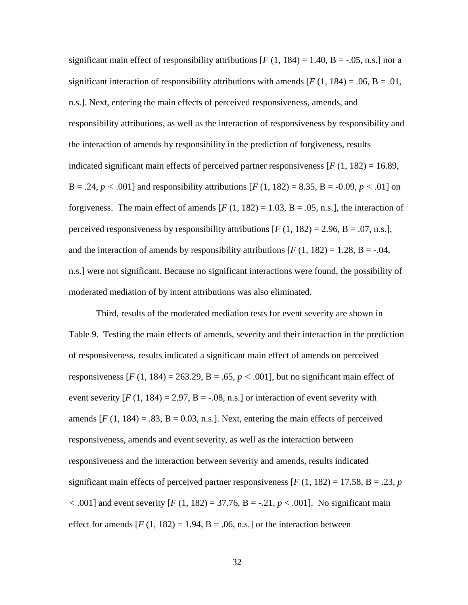significant main effect of responsibility attributions  $[F(1, 184) = 1.40, B = -.05, n.s.]$  nor a significant interaction of responsibility attributions with amends  $[F(1, 184) = .06, B = .01,$ n.s.]. Next, entering the main effects of perceived responsiveness, amends, and responsibility attributions, as well as the interaction of responsiveness by responsibility and the interaction of amends by responsibility in the prediction of forgiveness, results indicated significant main effects of perceived partner responsiveness  $[F(1, 182) = 16.89]$ , B = .24*, p* < .001] and responsibility attributions  $[F(1, 182) = 8.35, B = -0.09, p < .01]$  on forgiveness. The main effect of amends  $[F(1, 182) = 1.03, B = .05, n.s.]$ , the interaction of perceived responsiveness by responsibility attributions  $[F(1, 182) = 2.96, B = .07, n.s.]$ , and the interaction of amends by responsibility attributions  $[F(1, 182) = 1.28, B = -.04,$ n.s.] were not significant. Because no significant interactions were found, the possibility of moderated mediation of by intent attributions was also eliminated.

Third, results of the moderated mediation tests for event severity are shown in Table 9. Testing the main effects of amends, severity and their interaction in the prediction of responsiveness, results indicated a significant main effect of amends on perceived responsiveness  $[F(1, 184) = 263.29, B = .65, p < .001]$ , but no significant main effect of event severity  $[F(1, 184) = 2.97, B = -.08, n.s.]$  or interaction of event severity with amends  $[F(1, 184) = .83, B = 0.03, n.s.].$  Next, entering the main effects of perceived responsiveness, amends and event severity, as well as the interaction between responsiveness and the interaction between severity and amends, results indicated significant main effects of perceived partner responsiveness  $[F(1, 182) = 17.58, B = .23, p$  $<$  .001] and event severity [*F* (1, 182) = 37.76, B = -.21, *p* < .001]. No significant main effect for amends  $[F(1, 182) = 1.94, B = .06, n.s.]$  or the interaction between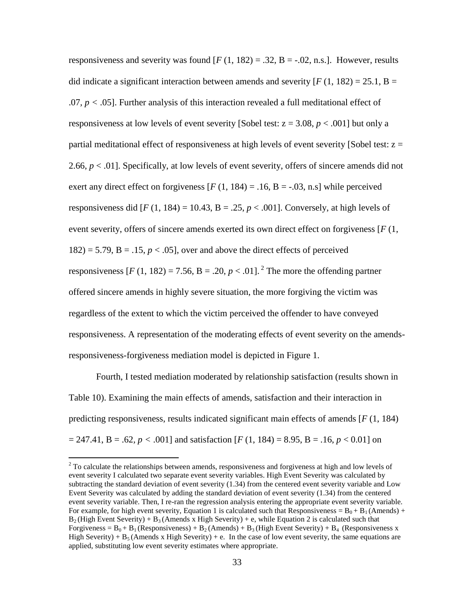responsiveness and severity was found  $[F(1, 182) = .32, B = -.02, n.s.]$ . However, results did indicate a significant interaction between amends and severity  $[F(1, 182) = 25.1, B =$ .07*, p <* .05]. Further analysis of this interaction revealed a full meditational effect of responsiveness at low levels of event severity [Sobel test:  $z = 3.08$ ,  $p < .001$ ] but only a partial meditational effect of responsiveness at high levels of event severity [Sobel test: z = 2.66,  $p < 0.01$ . Specifically, at low levels of event severity, offers of sincere amends did not exert any direct effect on forgiveness  $[F(1, 184) = .16, B = -.03, n.s]$  while perceived responsiveness did  $[F(1, 184) = 10.43, B = .25, p < .001]$ . Conversely, at high levels of event severity, offers of sincere amends exerted its own direct effect on forgiveness [*F* (1,  $182$ ) = 5.79, B = .15,  $p < .05$ ], over and above the direct effects of perceived responsiveness  $[F(1, 182) = 7.56, B = .20, p < .01]$ .<sup>2</sup> The more the offending partner offered sincere amends in highly severe situation, the more forgiving the victim was regardless of the extent to which the victim perceived the offender to have conveyed responsiveness. A representation of the moderating effects of event severity on the amendsresponsiveness-forgiveness mediation model is depicted in Figure 1.

Fourth, I tested mediation moderated by relationship satisfaction (results shown in Table 10). Examining the main effects of amends, satisfaction and their interaction in predicting responsiveness, results indicated significant main effects of amends [*F* (1, 184)  $= 247.41, B = .62, p < .001$ ] and satisfaction [*F* (1, 184) = 8.95, B = .16, *p* < 0.01] on

 $\overline{a}$ 

 $2^2$  To calculate the relationships between amends, responsiveness and forgiveness at high and low levels of event severity I calculated two separate event severity variables. High Event Severity was calculated by subtracting the standard deviation of event severity (1.34) from the centered event severity variable and Low Event Severity was calculated by adding the standard deviation of event severity (1.34) from the centered event severity variable. Then, I re-ran the regression analysis entering the appropriate event severity variable. For example, for high event severity, Equation 1 is calculated such that Responsiveness =  $B_0 + B_1$  (Amends) +  $B_2$  (High Event Severity) + B<sub>3</sub> (Amends x High Severity) + e, while Equation 2 is calculated such that Forgiveness =  $B_0 + B_1$  (Responsiveness) +  $B_2$  (Amends) +  $B_3$  (High Event Severity) +  $B_4$  (Responsiveness x High Severity) +  $B_5$  (Amends x High Severity) + e. In the case of low event severity, the same equations are applied, substituting low event severity estimates where appropriate.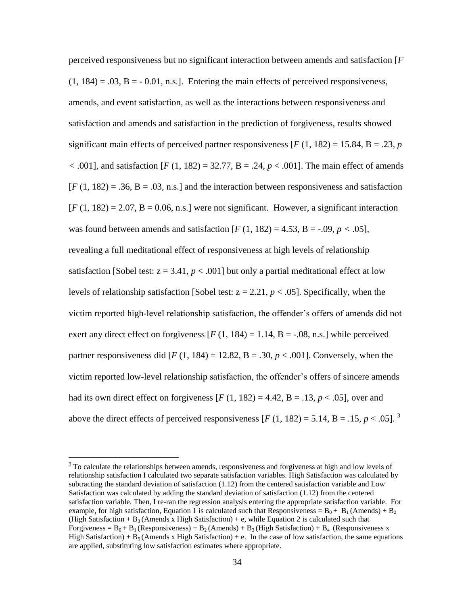perceived responsiveness but no significant interaction between amends and satisfaction [*F*   $(1, 184) = .03$ ,  $B = -0.01$ , n.s.]. Entering the main effects of perceived responsiveness, amends, and event satisfaction, as well as the interactions between responsiveness and satisfaction and amends and satisfaction in the prediction of forgiveness, results showed significant main effects of perceived partner responsiveness  $[F(1, 182) = 15.84, B = .23, p$ *<* .001], and satisfaction [*F* (1, 182) = 32.77, B = .24, *p* < .001]. The main effect of amends  $[F(1, 182) = .36, B = .03, n.s.]$  and the interaction between responsiveness and satisfaction  $[F(1, 182) = 2.07, B = 0.06, n.s.]$  were not significant. However, a significant interaction was found between amends and satisfaction  $[F(1, 182) = 4.53, B = -.09, p < .05]$ , revealing a full meditational effect of responsiveness at high levels of relationship satisfaction [Sobel test:  $z = 3.41$ ,  $p < .001$ ] but only a partial meditational effect at low levels of relationship satisfaction [Sobel test:  $z = 2.21$ ,  $p < .05$ ]. Specifically, when the victim reported high-level relationship satisfaction, the offender"s offers of amends did not exert any direct effect on forgiveness  $[F(1, 184) = 1.14, B = -.08, n.s.]$  while perceived partner responsiveness did  $[F(1, 184) = 12.82, B = .30, p < .001]$ . Conversely, when the victim reported low-level relationship satisfaction, the offender"s offers of sincere amends had its own direct effect on forgiveness  $[F(1, 182) = 4.42, B = .13, p < .05]$ , over and above the direct effects of perceived responsiveness  $[F(1, 182) = 5.14, B = .15, p < .05]$ .<sup>3</sup>

 $\overline{a}$ 

<sup>&</sup>lt;sup>3</sup> To calculate the relationships between amends, responsiveness and forgiveness at high and low levels of relationship satisfaction I calculated two separate satisfaction variables. High Satisfaction was calculated by subtracting the standard deviation of satisfaction (1.12) from the centered satisfaction variable and Low Satisfaction was calculated by adding the standard deviation of satisfaction (1.12) from the centered satisfaction variable. Then, I re-ran the regression analysis entering the appropriate satisfaction variable. For example, for high satisfaction, Equation 1 is calculated such that Responsiveness =  $B_0 + B_1$  (Amends) + B<sub>2</sub> (High Satisfaction +  $B_3$  (Amends x High Satisfaction) + e, while Equation 2 is calculated such that Forgiveness =  $B_0 + B_1$  (Responsiveness) +  $B_2$  (Amends) +  $B_3$  (High Satisfaction) +  $B_4$  (Responsiveness x High Satisfaction) +  $B_5$  (Amends x High Satisfaction) + e. In the case of low satisfaction, the same equations are applied, substituting low satisfaction estimates where appropriate.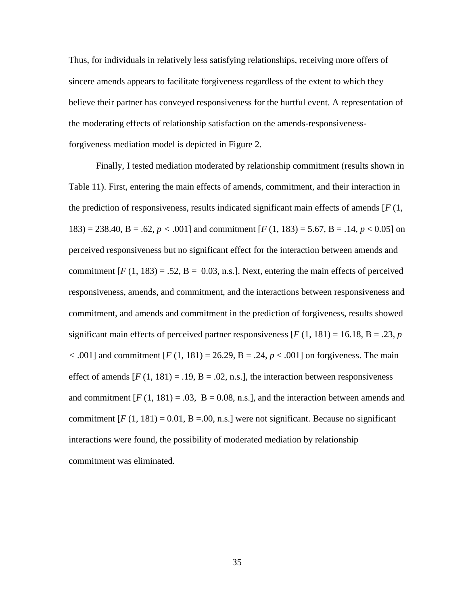Thus, for individuals in relatively less satisfying relationships, receiving more offers of sincere amends appears to facilitate forgiveness regardless of the extent to which they believe their partner has conveyed responsiveness for the hurtful event. A representation of the moderating effects of relationship satisfaction on the amends-responsivenessforgiveness mediation model is depicted in Figure 2.

Finally, I tested mediation moderated by relationship commitment (results shown in Table 11). First, entering the main effects of amends, commitment, and their interaction in the prediction of responsiveness, results indicated significant main effects of amends [*F* (1, 183) = 238.40, B = .62*, p <* .001] and commitment [*F* (1, 183) = 5.67, B = .14, *p* < 0.05] on perceived responsiveness but no significant effect for the interaction between amends and commitment  $[F(1, 183) = .52, B = 0.03, n.s.]$ . Next, entering the main effects of perceived responsiveness, amends, and commitment, and the interactions between responsiveness and commitment, and amends and commitment in the prediction of forgiveness, results showed significant main effects of perceived partner responsiveness  $[F(1, 181) = 16.18, B = .23, p$  $<$  .001] and commitment  $[F(1, 181) = 26.29, B = .24, p < .001]$  on forgiveness. The main effect of amends  $[F(1, 181) = .19, B = .02, n.s.]$ , the interaction between responsiveness and commitment  $[F(1, 181) = .03, B = 0.08, n.s.]$ , and the interaction between amends and commitment  $[F(1, 181) = 0.01, B = .00, n.s.]$  were not significant. Because no significant interactions were found, the possibility of moderated mediation by relationship commitment was eliminated.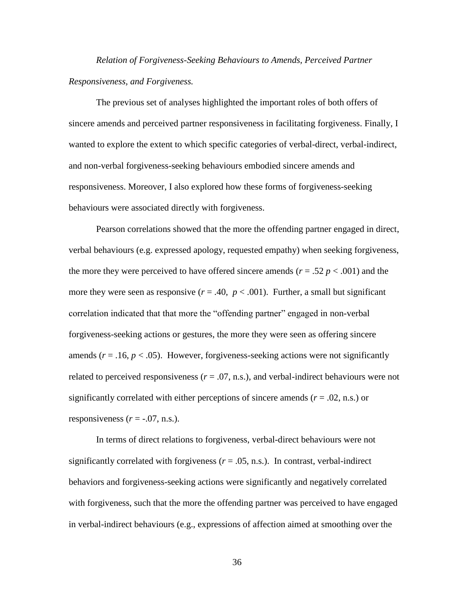*Relation of Forgiveness-Seeking Behaviours to Amends, Perceived Partner Responsiveness, and Forgiveness.* 

The previous set of analyses highlighted the important roles of both offers of sincere amends and perceived partner responsiveness in facilitating forgiveness. Finally, I wanted to explore the extent to which specific categories of verbal-direct, verbal-indirect, and non-verbal forgiveness-seeking behaviours embodied sincere amends and responsiveness. Moreover, I also explored how these forms of forgiveness-seeking behaviours were associated directly with forgiveness.

Pearson correlations showed that the more the offending partner engaged in direct, verbal behaviours (e.g. expressed apology, requested empathy) when seeking forgiveness, the more they were perceived to have offered sincere amends ( $r = .52 p < .001$ ) and the more they were seen as responsive  $(r = .40, p < .001)$ . Further, a small but significant correlation indicated that that more the "offending partner" engaged in non-verbal forgiveness-seeking actions or gestures, the more they were seen as offering sincere amends  $(r = .16, p < .05)$ . However, forgiveness-seeking actions were not significantly related to perceived responsiveness ( $r = .07$ , n.s.), and verbal-indirect behaviours were not significantly correlated with either perceptions of sincere amends (*r* = .02, n.s.) or responsiveness  $(r = -.07, n.s.).$ 

In terms of direct relations to forgiveness, verbal-direct behaviours were not significantly correlated with forgiveness  $(r = .05, n.s.)$ . In contrast, verbal-indirect behaviors and forgiveness-seeking actions were significantly and negatively correlated with forgiveness, such that the more the offending partner was perceived to have engaged in verbal-indirect behaviours (e.g., expressions of affection aimed at smoothing over the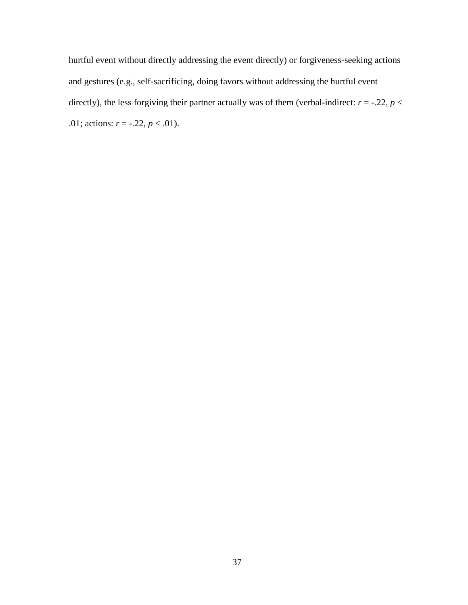hurtful event without directly addressing the event directly) or forgiveness-seeking actions and gestures (e.g., self-sacrificing, doing favors without addressing the hurtful event directly), the less forgiving their partner actually was of them (verbal-indirect:  $r = -.22$ ,  $p <$ .01; actions:  $r = -.22, p < .01$ ).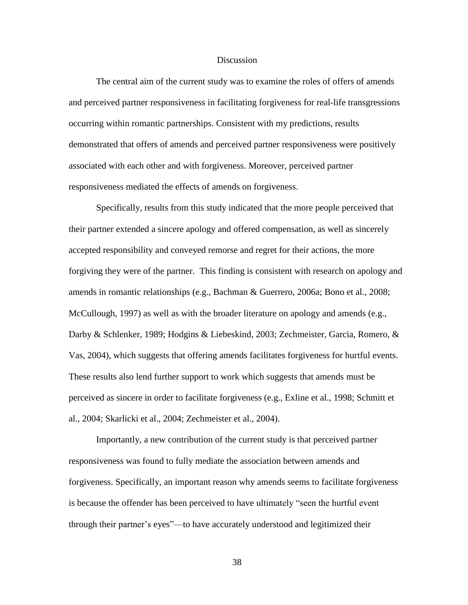#### **Discussion**

The central aim of the current study was to examine the roles of offers of amends and perceived partner responsiveness in facilitating forgiveness for real-life transgressions occurring within romantic partnerships. Consistent with my predictions, results demonstrated that offers of amends and perceived partner responsiveness were positively associated with each other and with forgiveness. Moreover, perceived partner responsiveness mediated the effects of amends on forgiveness.

Specifically, results from this study indicated that the more people perceived that their partner extended a sincere apology and offered compensation, as well as sincerely accepted responsibility and conveyed remorse and regret for their actions, the more forgiving they were of the partner. This finding is consistent with research on apology and amends in romantic relationships (e.g., Bachman & Guerrero, 2006a; Bono et al., 2008; McCullough, 1997) as well as with the broader literature on apology and amends (e.g., Darby & Schlenker, 1989; Hodgins & Liebeskind, 2003; Zechmeister, Garcia, Romero, & Vas, 2004), which suggests that offering amends facilitates forgiveness for hurtful events. These results also lend further support to work which suggests that amends must be perceived as sincere in order to facilitate forgiveness (e.g., Exline et al., 1998; Schmitt et al., 2004; Skarlicki et al., 2004; Zechmeister et al., 2004).

Importantly, a new contribution of the current study is that perceived partner responsiveness was found to fully mediate the association between amends and forgiveness. Specifically, an important reason why amends seems to facilitate forgiveness is because the offender has been perceived to have ultimately "seen the hurtful event through their partner"s eyes"—to have accurately understood and legitimized their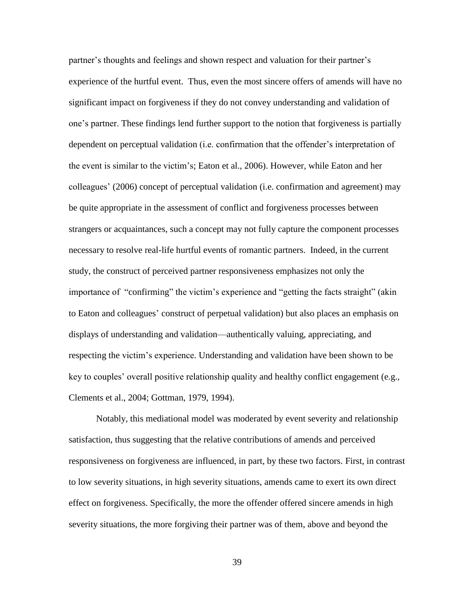partner"s thoughts and feelings and shown respect and valuation for their partner"s experience of the hurtful event. Thus, even the most sincere offers of amends will have no significant impact on forgiveness if they do not convey understanding and validation of one"s partner. These findings lend further support to the notion that forgiveness is partially dependent on perceptual validation (i.e. confirmation that the offender"s interpretation of the event is similar to the victim"s; Eaton et al., 2006). However, while Eaton and her colleagues" (2006) concept of perceptual validation (i.e. confirmation and agreement) may be quite appropriate in the assessment of conflict and forgiveness processes between strangers or acquaintances, such a concept may not fully capture the component processes necessary to resolve real-life hurtful events of romantic partners. Indeed, in the current study, the construct of perceived partner responsiveness emphasizes not only the importance of "confirming" the victim"s experience and "getting the facts straight" (akin to Eaton and colleagues' construct of perpetual validation) but also places an emphasis on displays of understanding and validation—authentically valuing, appreciating, and respecting the victim"s experience. Understanding and validation have been shown to be key to couples' overall positive relationship quality and healthy conflict engagement (e.g., Clements et al., 2004; Gottman, 1979, 1994).

Notably, this mediational model was moderated by event severity and relationship satisfaction, thus suggesting that the relative contributions of amends and perceived responsiveness on forgiveness are influenced, in part, by these two factors. First, in contrast to low severity situations, in high severity situations, amends came to exert its own direct effect on forgiveness. Specifically, the more the offender offered sincere amends in high severity situations, the more forgiving their partner was of them, above and beyond the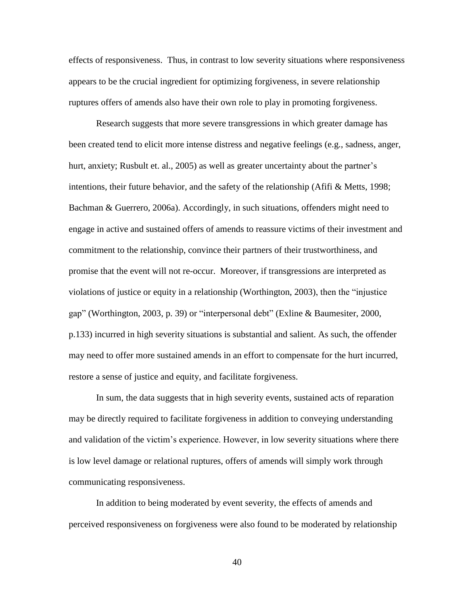effects of responsiveness. Thus, in contrast to low severity situations where responsiveness appears to be the crucial ingredient for optimizing forgiveness, in severe relationship ruptures offers of amends also have their own role to play in promoting forgiveness.

Research suggests that more severe transgressions in which greater damage has been created tend to elicit more intense distress and negative feelings (e.g., sadness, anger, hurt, anxiety; Rusbult et. al., 2005) as well as greater uncertainty about the partner's intentions, their future behavior, and the safety of the relationship (Afifi & Metts, 1998; Bachman & Guerrero, 2006a). Accordingly, in such situations, offenders might need to engage in active and sustained offers of amends to reassure victims of their investment and commitment to the relationship, convince their partners of their trustworthiness, and promise that the event will not re-occur. Moreover, if transgressions are interpreted as violations of justice or equity in a relationship (Worthington, 2003), then the "injustice gap" (Worthington, 2003, p. 39) or "interpersonal debt" (Exline & Baumesiter, 2000, p.133) incurred in high severity situations is substantial and salient. As such, the offender may need to offer more sustained amends in an effort to compensate for the hurt incurred, restore a sense of justice and equity, and facilitate forgiveness.

In sum, the data suggests that in high severity events, sustained acts of reparation may be directly required to facilitate forgiveness in addition to conveying understanding and validation of the victim"s experience. However, in low severity situations where there is low level damage or relational ruptures, offers of amends will simply work through communicating responsiveness.

In addition to being moderated by event severity, the effects of amends and perceived responsiveness on forgiveness were also found to be moderated by relationship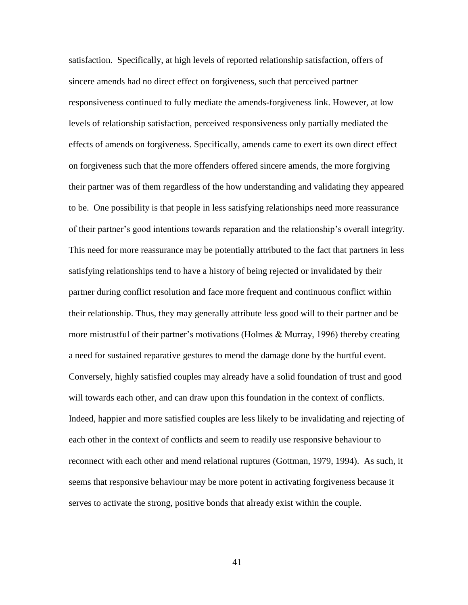satisfaction. Specifically, at high levels of reported relationship satisfaction, offers of sincere amends had no direct effect on forgiveness, such that perceived partner responsiveness continued to fully mediate the amends-forgiveness link. However, at low levels of relationship satisfaction, perceived responsiveness only partially mediated the effects of amends on forgiveness. Specifically, amends came to exert its own direct effect on forgiveness such that the more offenders offered sincere amends, the more forgiving their partner was of them regardless of the how understanding and validating they appeared to be. One possibility is that people in less satisfying relationships need more reassurance of their partner"s good intentions towards reparation and the relationship"s overall integrity. This need for more reassurance may be potentially attributed to the fact that partners in less satisfying relationships tend to have a history of being rejected or invalidated by their partner during conflict resolution and face more frequent and continuous conflict within their relationship. Thus, they may generally attribute less good will to their partner and be more mistrustful of their partner's motivations (Holmes & Murray, 1996) thereby creating a need for sustained reparative gestures to mend the damage done by the hurtful event. Conversely, highly satisfied couples may already have a solid foundation of trust and good will towards each other, and can draw upon this foundation in the context of conflicts. Indeed, happier and more satisfied couples are less likely to be invalidating and rejecting of each other in the context of conflicts and seem to readily use responsive behaviour to reconnect with each other and mend relational ruptures (Gottman, 1979, 1994). As such, it seems that responsive behaviour may be more potent in activating forgiveness because it serves to activate the strong, positive bonds that already exist within the couple.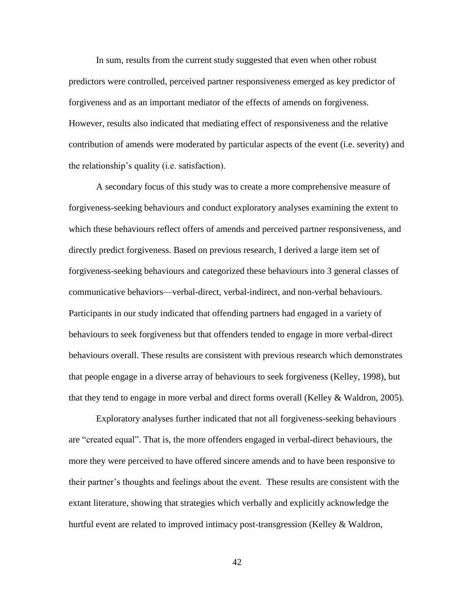In sum, results from the current study suggested that even when other robust predictors were controlled, perceived partner responsiveness emerged as key predictor of forgiveness and as an important mediator of the effects of amends on forgiveness. However, results also indicated that mediating effect of responsiveness and the relative contribution of amends were moderated by particular aspects of the event (i.e. severity) and the relationship"s quality (i.e. satisfaction).

A secondary focus of this study was to create a more comprehensive measure of forgiveness-seeking behaviours and conduct exploratory analyses examining the extent to which these behaviours reflect offers of amends and perceived partner responsiveness, and directly predict forgiveness. Based on previous research, I derived a large item set of forgiveness-seeking behaviours and categorized these behaviours into 3 general classes of communicative behaviors—verbal-direct, verbal-indirect, and non-verbal behaviours. Participants in our study indicated that offending partners had engaged in a variety of behaviours to seek forgiveness but that offenders tended to engage in more verbal-direct behaviours overall. These results are consistent with previous research which demonstrates that people engage in a diverse array of behaviours to seek forgiveness (Kelley, 1998), but that they tend to engage in more verbal and direct forms overall (Kelley  $&$  Waldron, 2005).

Exploratory analyses further indicated that not all forgiveness-seeking behaviours are "created equal". That is, the more offenders engaged in verbal-direct behaviours, the more they were perceived to have offered sincere amends and to have been responsive to their partner"s thoughts and feelings about the event. These results are consistent with the extant literature, showing that strategies which verbally and explicitly acknowledge the hurtful event are related to improved intimacy post-transgression (Kelley  $&$  Waldron,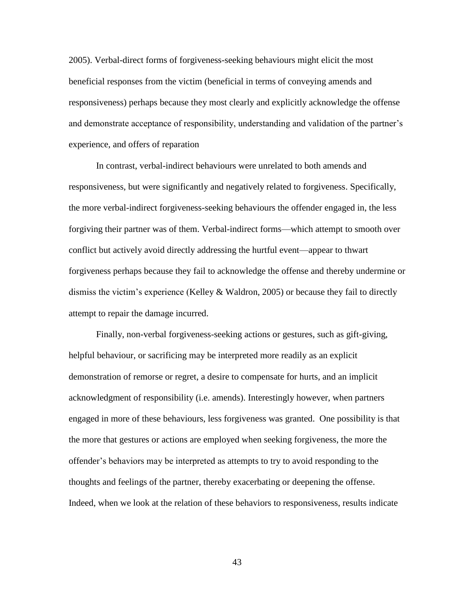2005). Verbal-direct forms of forgiveness-seeking behaviours might elicit the most beneficial responses from the victim (beneficial in terms of conveying amends and responsiveness) perhaps because they most clearly and explicitly acknowledge the offense and demonstrate acceptance of responsibility, understanding and validation of the partner's experience, and offers of reparation

In contrast, verbal-indirect behaviours were unrelated to both amends and responsiveness, but were significantly and negatively related to forgiveness. Specifically, the more verbal-indirect forgiveness-seeking behaviours the offender engaged in, the less forgiving their partner was of them. Verbal-indirect forms—which attempt to smooth over conflict but actively avoid directly addressing the hurtful event—appear to thwart forgiveness perhaps because they fail to acknowledge the offense and thereby undermine or dismiss the victim's experience (Kelley & Waldron, 2005) or because they fail to directly attempt to repair the damage incurred.

Finally, non-verbal forgiveness-seeking actions or gestures, such as gift-giving, helpful behaviour, or sacrificing may be interpreted more readily as an explicit demonstration of remorse or regret, a desire to compensate for hurts, and an implicit acknowledgment of responsibility (i.e. amends). Interestingly however, when partners engaged in more of these behaviours, less forgiveness was granted. One possibility is that the more that gestures or actions are employed when seeking forgiveness, the more the offender"s behaviors may be interpreted as attempts to try to avoid responding to the thoughts and feelings of the partner, thereby exacerbating or deepening the offense. Indeed, when we look at the relation of these behaviors to responsiveness, results indicate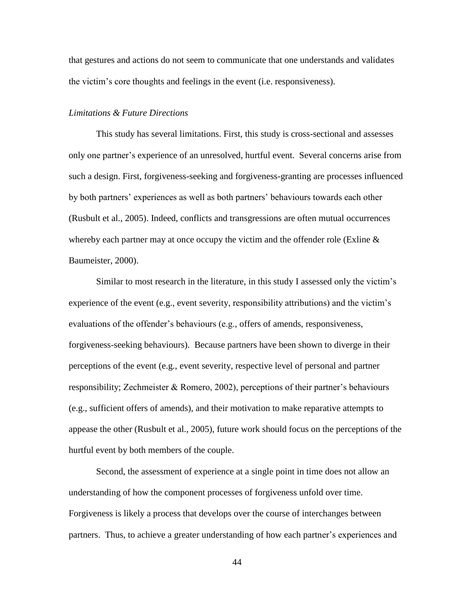that gestures and actions do not seem to communicate that one understands and validates the victim"s core thoughts and feelings in the event (i.e. responsiveness).

#### *Limitations & Future Directions*

This study has several limitations. First, this study is cross-sectional and assesses only one partner"s experience of an unresolved, hurtful event. Several concerns arise from such a design. First, forgiveness-seeking and forgiveness-granting are processes influenced by both partners" experiences as well as both partners" behaviours towards each other (Rusbult et al., 2005). Indeed, conflicts and transgressions are often mutual occurrences whereby each partner may at once occupy the victim and the offender role (Exline  $\&$ Baumeister, 2000).

Similar to most research in the literature, in this study I assessed only the victim"s experience of the event (e.g., event severity, responsibility attributions) and the victim"s evaluations of the offender's behaviours (e.g., offers of amends, responsiveness, forgiveness-seeking behaviours). Because partners have been shown to diverge in their perceptions of the event (e.g., event severity, respective level of personal and partner responsibility; Zechmeister & Romero, 2002), perceptions of their partner"s behaviours (e.g., sufficient offers of amends), and their motivation to make reparative attempts to appease the other (Rusbult et al., 2005), future work should focus on the perceptions of the hurtful event by both members of the couple.

Second, the assessment of experience at a single point in time does not allow an understanding of how the component processes of forgiveness unfold over time. Forgiveness is likely a process that develops over the course of interchanges between partners. Thus, to achieve a greater understanding of how each partner"s experiences and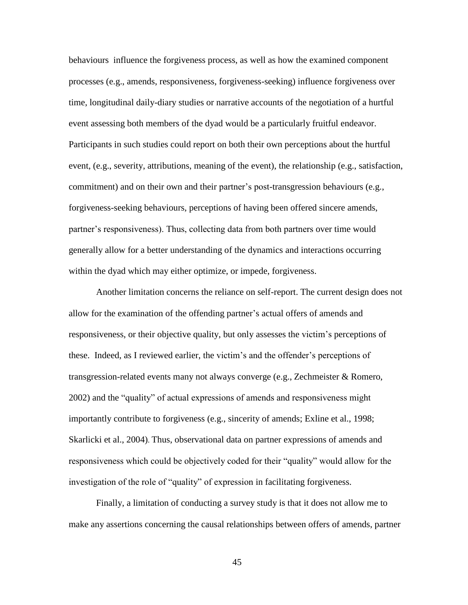behaviours influence the forgiveness process, as well as how the examined component processes (e.g., amends, responsiveness, forgiveness-seeking) influence forgiveness over time, longitudinal daily-diary studies or narrative accounts of the negotiation of a hurtful event assessing both members of the dyad would be a particularly fruitful endeavor. Participants in such studies could report on both their own perceptions about the hurtful event, (e.g., severity, attributions, meaning of the event), the relationship (e.g., satisfaction, commitment) and on their own and their partner"s post-transgression behaviours (e.g., forgiveness-seeking behaviours, perceptions of having been offered sincere amends, partner"s responsiveness). Thus, collecting data from both partners over time would generally allow for a better understanding of the dynamics and interactions occurring within the dyad which may either optimize, or impede, forgiveness.

Another limitation concerns the reliance on self-report. The current design does not allow for the examination of the offending partner"s actual offers of amends and responsiveness, or their objective quality, but only assesses the victim"s perceptions of these. Indeed, as I reviewed earlier, the victim"s and the offender"s perceptions of transgression-related events many not always converge (e.g., Zechmeister & Romero, 2002) and the "quality" of actual expressions of amends and responsiveness might importantly contribute to forgiveness (e.g., sincerity of amends; Exline et al., 1998; Skarlicki et al., 2004). Thus, observational data on partner expressions of amends and responsiveness which could be objectively coded for their "quality" would allow for the investigation of the role of "quality" of expression in facilitating forgiveness.

Finally, a limitation of conducting a survey study is that it does not allow me to make any assertions concerning the causal relationships between offers of amends, partner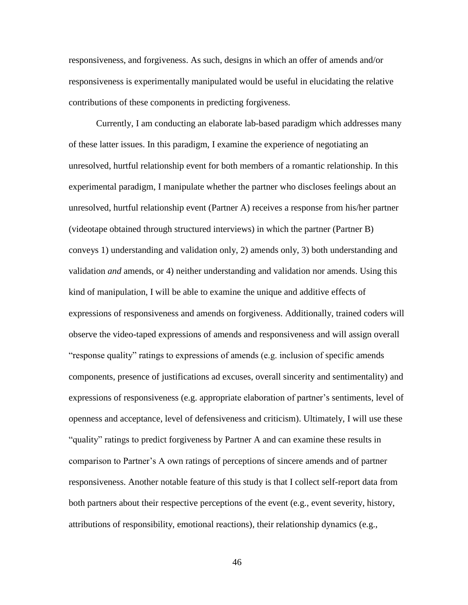responsiveness, and forgiveness. As such, designs in which an offer of amends and/or responsiveness is experimentally manipulated would be useful in elucidating the relative contributions of these components in predicting forgiveness.

Currently, I am conducting an elaborate lab-based paradigm which addresses many of these latter issues. In this paradigm, I examine the experience of negotiating an unresolved, hurtful relationship event for both members of a romantic relationship. In this experimental paradigm, I manipulate whether the partner who discloses feelings about an unresolved, hurtful relationship event (Partner A) receives a response from his/her partner (videotape obtained through structured interviews) in which the partner (Partner B) conveys 1) understanding and validation only, 2) amends only, 3) both understanding and validation *and* amends, or 4) neither understanding and validation nor amends. Using this kind of manipulation, I will be able to examine the unique and additive effects of expressions of responsiveness and amends on forgiveness. Additionally, trained coders will observe the video-taped expressions of amends and responsiveness and will assign overall "response quality" ratings to expressions of amends (e.g. inclusion of specific amends components, presence of justifications ad excuses, overall sincerity and sentimentality) and expressions of responsiveness (e.g. appropriate elaboration of partner's sentiments, level of openness and acceptance, level of defensiveness and criticism). Ultimately, I will use these "quality" ratings to predict forgiveness by Partner A and can examine these results in comparison to Partner"s A own ratings of perceptions of sincere amends and of partner responsiveness. Another notable feature of this study is that I collect self-report data from both partners about their respective perceptions of the event (e.g., event severity, history, attributions of responsibility, emotional reactions), their relationship dynamics (e.g.,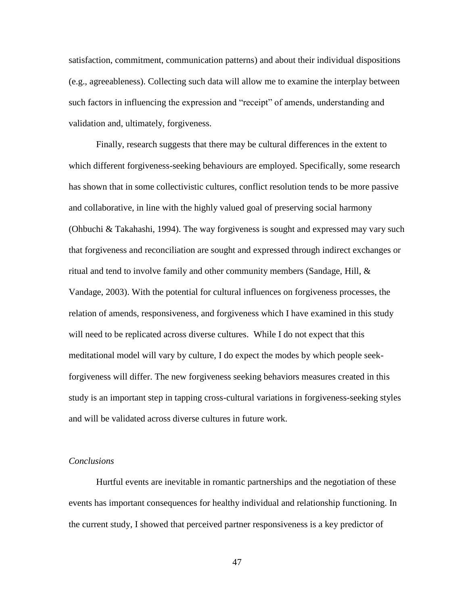satisfaction, commitment, communication patterns) and about their individual dispositions (e.g., agreeableness). Collecting such data will allow me to examine the interplay between such factors in influencing the expression and "receipt" of amends, understanding and validation and, ultimately, forgiveness.

Finally, research suggests that there may be cultural differences in the extent to which different forgiveness-seeking behaviours are employed. Specifically, some research has shown that in some collectivistic cultures, conflict resolution tends to be more passive and collaborative, in line with the highly valued goal of preserving social harmony (Ohbuchi & Takahashi, 1994). The way forgiveness is sought and expressed may vary such that forgiveness and reconciliation are sought and expressed through indirect exchanges or ritual and tend to involve family and other community members (Sandage, Hill,  $\&$ Vandage, 2003). With the potential for cultural influences on forgiveness processes, the relation of amends, responsiveness, and forgiveness which I have examined in this study will need to be replicated across diverse cultures. While I do not expect that this meditational model will vary by culture, I do expect the modes by which people seekforgiveness will differ. The new forgiveness seeking behaviors measures created in this study is an important step in tapping cross-cultural variations in forgiveness-seeking styles and will be validated across diverse cultures in future work.

#### *Conclusions*

Hurtful events are inevitable in romantic partnerships and the negotiation of these events has important consequences for healthy individual and relationship functioning. In the current study, I showed that perceived partner responsiveness is a key predictor of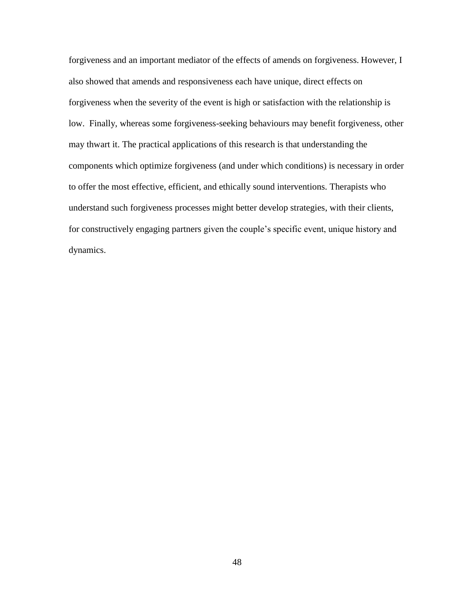forgiveness and an important mediator of the effects of amends on forgiveness. However, I also showed that amends and responsiveness each have unique, direct effects on forgiveness when the severity of the event is high or satisfaction with the relationship is low. Finally, whereas some forgiveness-seeking behaviours may benefit forgiveness, other may thwart it. The practical applications of this research is that understanding the components which optimize forgiveness (and under which conditions) is necessary in order to offer the most effective, efficient, and ethically sound interventions. Therapists who understand such forgiveness processes might better develop strategies, with their clients, for constructively engaging partners given the couple"s specific event, unique history and dynamics.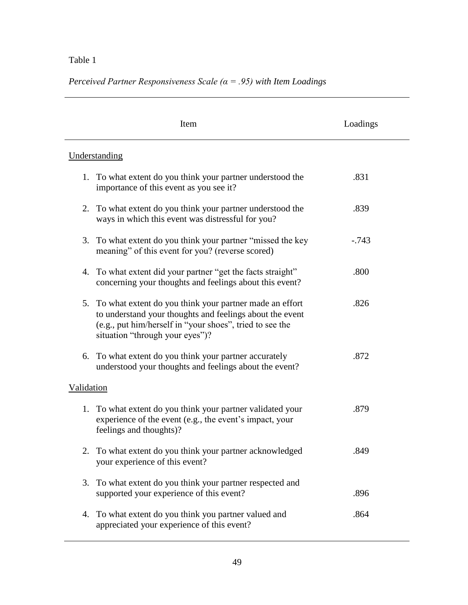*Perceived Partner Responsiveness Scale (α = .95) with Item Loadings* 

|            | Item                                                                                                                                                                                                               | Loadings |
|------------|--------------------------------------------------------------------------------------------------------------------------------------------------------------------------------------------------------------------|----------|
|            | Understanding                                                                                                                                                                                                      |          |
| 1.         | To what extent do you think your partner understood the<br>importance of this event as you see it?                                                                                                                 | .831     |
|            | 2. To what extent do you think your partner understood the<br>ways in which this event was distressful for you?                                                                                                    | .839     |
| 3.         | To what extent do you think your partner "missed the key<br>meaning" of this event for you? (reverse scored)                                                                                                       | $-.743$  |
|            | 4. To what extent did your partner "get the facts straight"<br>concerning your thoughts and feelings about this event?                                                                                             | .800     |
| 5.         | To what extent do you think your partner made an effort<br>to understand your thoughts and feelings about the event<br>(e.g., put him/herself in "your shoes", tried to see the<br>situation "through your eyes")? | .826     |
| 6.         | To what extent do you think your partner accurately<br>understood your thoughts and feelings about the event?                                                                                                      | .872     |
| Validation |                                                                                                                                                                                                                    |          |
|            | 1. To what extent do you think your partner validated your<br>experience of the event (e.g., the event's impact, your<br>feelings and thoughts)?                                                                   | .879     |
|            | To what extent do you think your partner acknowledged<br>your experience of this event?                                                                                                                            | .849     |
| 3.         | To what extent do you think your partner respected and<br>supported your experience of this event?                                                                                                                 | .896     |
| 4.         | To what extent do you think you partner valued and<br>appreciated your experience of this event?                                                                                                                   | .864     |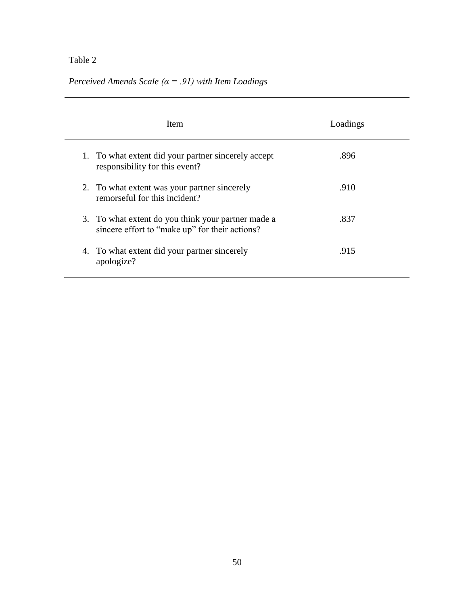*Perceived Amends Scale (α = .91) with Item Loadings* 

| Item                                                                                                 | Loadings |
|------------------------------------------------------------------------------------------------------|----------|
| 1. To what extent did your partner sincerely accept<br>responsibility for this event?                | .896     |
| 2. To what extent was your partner sincerely<br>remorseful for this incident?                        | .910     |
| 3. To what extent do you think your partner made a<br>sincere effort to "make up" for their actions? | .837     |
| 4. To what extent did your partner sincerely<br>apologize?                                           | .915     |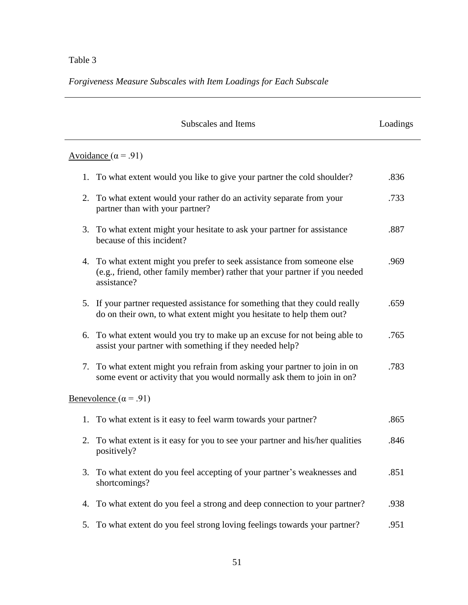*Forgiveness Measure Subscales with Item Loadings for Each Subscale*

| Subscales and Items                                                                                                                                                     | Loadings |
|-------------------------------------------------------------------------------------------------------------------------------------------------------------------------|----------|
| Avoidance ( $\alpha$ = .91)                                                                                                                                             |          |
| 1. To what extent would you like to give your partner the cold shoulder?                                                                                                | .836     |
| To what extent would your rather do an activity separate from your<br>2.<br>partner than with your partner?                                                             | .733     |
| 3. To what extent might your hesitate to ask your partner for assistance<br>because of this incident?                                                                   | .887     |
| To what extent might you prefer to seek assistance from someone else<br>4.<br>(e.g., friend, other family member) rather that your partner if you needed<br>assistance? | .969     |
| 5. If your partner requested assistance for something that they could really<br>do on their own, to what extent might you hesitate to help them out?                    | .659     |
| To what extent would you try to make up an excuse for not being able to<br>6.<br>assist your partner with something if they needed help?                                | .765     |
| To what extent might you refrain from asking your partner to join in on<br>7.<br>some event or activity that you would normally ask them to join in on?                 | .783     |
| <u>Benevolence</u> ( $\alpha$ = .91)                                                                                                                                    |          |
| To what extent is it easy to feel warm towards your partner?<br>1.                                                                                                      | .865     |
| 2. To what extent is it easy for you to see your partner and his/her qualities<br>positively?                                                                           | .846     |
| To what extent do you feel accepting of your partner's weaknesses and<br>3.<br>shortcomings?                                                                            | .851     |
| To what extent do you feel a strong and deep connection to your partner?<br>4.                                                                                          | .938     |
| To what extent do you feel strong loving feelings towards your partner?<br>5.                                                                                           | .951     |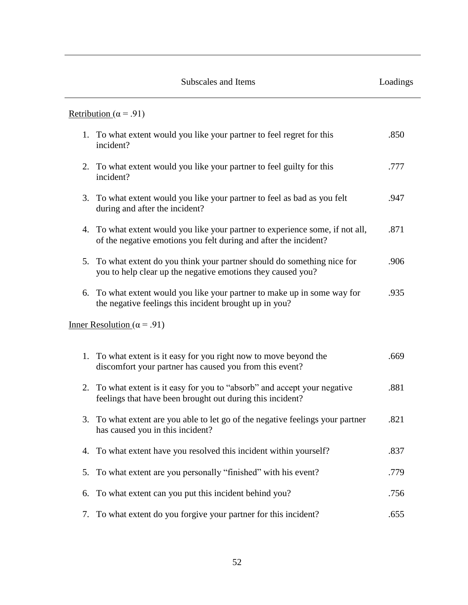|    | Subscales and Items                                                                                                                               | Loadings |
|----|---------------------------------------------------------------------------------------------------------------------------------------------------|----------|
|    | Retribution ( $\alpha$ = .91)                                                                                                                     |          |
|    | 1. To what extent would you like your partner to feel regret for this<br>incident?                                                                | .850     |
| 2. | To what extent would you like your partner to feel guilty for this<br>incident?                                                                   | .777     |
| 3. | To what extent would you like your partner to feel as bad as you felt<br>during and after the incident?                                           | .947     |
|    | 4. To what extent would you like your partner to experience some, if not all,<br>of the negative emotions you felt during and after the incident? | .871     |
|    | 5. To what extent do you think your partner should do something nice for<br>you to help clear up the negative emotions they caused you?           | .906     |
| 6. | To what extent would you like your partner to make up in some way for<br>the negative feelings this incident brought up in you?                   | .935     |
|    | <u>Inner Resolution</u> ( $\alpha$ = .91)                                                                                                         |          |
|    | 1. To what extent is it easy for you right now to move beyond the<br>discomfort your partner has caused you from this event?                      | .669     |
| 2. | To what extent is it easy for you to "absorb" and accept your negative<br>feelings that have been brought out during this incident?               | .881     |
| 3. | To what extent are you able to let go of the negative feelings your partner<br>has caused you in this incident?                                   | .821     |
| 4. | To what extent have you resolved this incident within yourself?                                                                                   | .837     |
| 5. | To what extent are you personally "finished" with his event?                                                                                      | .779     |
| 6. | To what extent can you put this incident behind you?                                                                                              | .756     |
| 7. | To what extent do you forgive your partner for this incident?                                                                                     | .655     |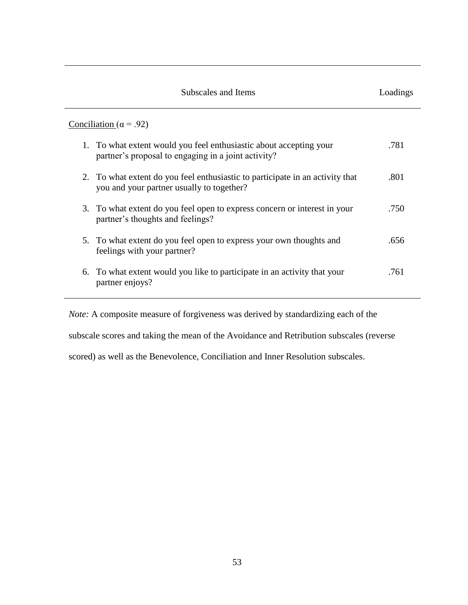| Subscales and Items                                                                                                        | Loadings |
|----------------------------------------------------------------------------------------------------------------------------|----------|
| Conciliation ( $\alpha$ = .92)                                                                                             |          |
| 1. To what extent would you feel enthusiastic about accepting your<br>partner's proposal to engaging in a joint activity?  | .781     |
| 2. To what extent do you feel enthusiastic to participate in an activity that<br>you and your partner usually to together? | .801     |
| 3. To what extent do you feel open to express concern or interest in your<br>partner's thoughts and feelings?              | .750     |
| 5. To what extent do you feel open to express your own thoughts and<br>feelings with your partner?                         | .656     |
| 6. To what extent would you like to participate in an activity that your<br>partner enjoys?                                | .761     |
|                                                                                                                            |          |

*Note:* A composite measure of forgiveness was derived by standardizing each of the subscale scores and taking the mean of the Avoidance and Retribution subscales (reverse scored) as well as the Benevolence, Conciliation and Inner Resolution subscales.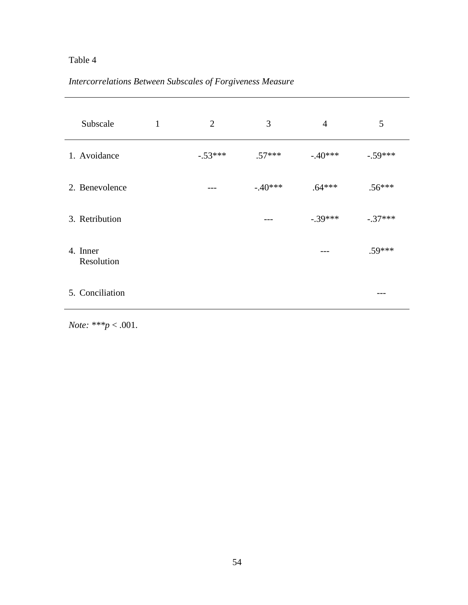#### *Intercorrelations Between Subscales of Forgiveness Measure*

| Subscale               | 1 | $\overline{2}$ | 3         | $\overline{4}$ | 5         |
|------------------------|---|----------------|-----------|----------------|-----------|
| 1. Avoidance           |   | $-.53***$      | $.57***$  | $-.40***$      | $-.59***$ |
| 2. Benevolence         |   | ---            | $-.40***$ | $.64***$       | $.56***$  |
| 3. Retribution         |   |                | ---       | $-.39***$      | $-.37***$ |
| 4. Inner<br>Resolution |   |                |           |                | $.59***$  |
| 5. Conciliation        |   |                |           |                |           |

*Note: \*\*\*p* < .001.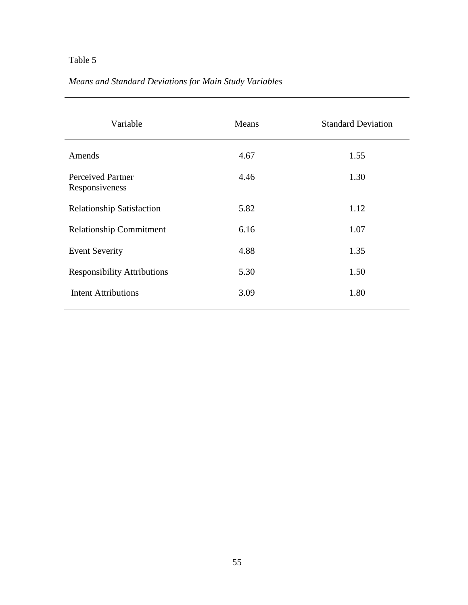# *Means and Standard Deviations for Main Study Variables*

| Variable                                   | Means | <b>Standard Deviation</b> |
|--------------------------------------------|-------|---------------------------|
| Amends                                     | 4.67  | 1.55                      |
| <b>Perceived Partner</b><br>Responsiveness | 4.46  | 1.30                      |
| <b>Relationship Satisfaction</b>           | 5.82  | 1.12                      |
| <b>Relationship Commitment</b>             | 6.16  | 1.07                      |
| <b>Event Severity</b>                      | 4.88  | 1.35                      |
| <b>Responsibility Attributions</b>         | 5.30  | 1.50                      |
| <b>Intent Attributions</b>                 | 3.09  | 1.80                      |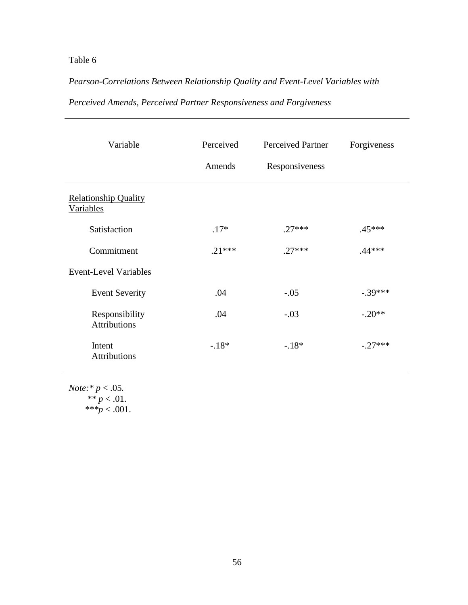## *Pearson-Correlations Between Relationship Quality and Event-Level Variables with*

| Variable                                        | Perceived<br>Amends | <b>Perceived Partner</b><br>Responsiveness | Forgiveness |
|-------------------------------------------------|---------------------|--------------------------------------------|-------------|
| <b>Relationship Quality</b><br><b>Variables</b> |                     |                                            |             |
| Satisfaction                                    | $.17*$              | $.27***$                                   | .45***      |
| Commitment                                      | $.21***$            | $.27***$                                   | $.44***$    |
| <b>Event-Level Variables</b>                    |                     |                                            |             |
| <b>Event Severity</b>                           | .04                 | $-.05$                                     | $-.39***$   |
| Responsibility<br><b>Attributions</b>           | .04                 | $-.03$                                     | $-.20**$    |
| Intent<br><b>Attributions</b>                   | $-.18*$             | $-.18*$                                    | $-.27***$   |

## *Perceived Amends, Perceived Partner Responsiveness and Forgiveness*

*Note:\* p* < .05*.*   $** p < .01.$  $***p < .001$ .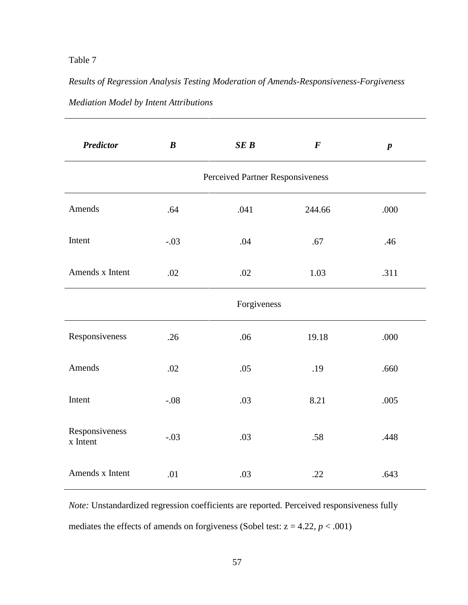*Results of Regression Analysis Testing Moderation of Amends-Responsiveness-Forgiveness Mediation Model by Intent Attributions* 

| <b>Predictor</b>           | $\boldsymbol{B}$ | SEB                              | $\boldsymbol{F}$ | $\boldsymbol{p}$ |
|----------------------------|------------------|----------------------------------|------------------|------------------|
|                            |                  | Perceived Partner Responsiveness |                  |                  |
| Amends                     | .64              | .041                             | 244.66           | .000             |
| Intent                     | $-.03$           | .04                              | .67              | .46              |
| Amends x Intent            | .02              | .02                              | 1.03             | .311             |
|                            |                  | Forgiveness                      |                  |                  |
| Responsiveness             | .26              | .06                              | 19.18            | .000             |
| Amends                     | .02              | .05                              | .19              | .660             |
| Intent                     | $-.08$           | .03                              | 8.21             | .005             |
| Responsiveness<br>x Intent | $-.03$           | .03                              | .58              | .448             |
| Amends x Intent            | .01              | .03                              | .22              | .643             |

*Note:* Unstandardized regression coefficients are reported. Perceived responsiveness fully mediates the effects of amends on forgiveness (Sobel test:  $z = 4.22$ ,  $p < .001$ )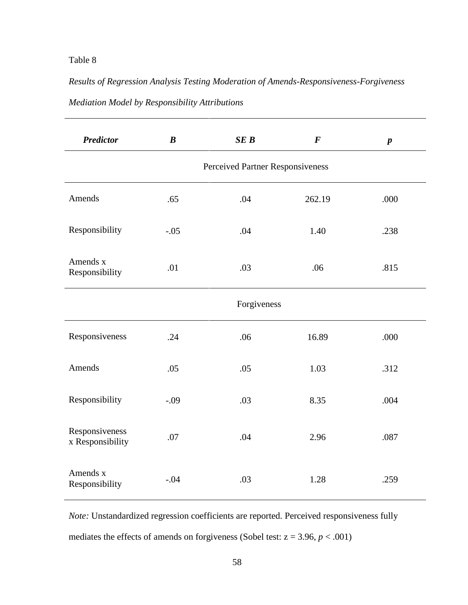*Results of Regression Analysis Testing Moderation of Amends-Responsiveness-Forgiveness Mediation Model by Responsibility Attributions*

| <b>Predictor</b>                   | $\boldsymbol{B}$ | SEB                              | $\bm{F}$ | $\boldsymbol{p}$ |
|------------------------------------|------------------|----------------------------------|----------|------------------|
|                                    |                  | Perceived Partner Responsiveness |          |                  |
| Amends                             | .65              | .04                              | 262.19   | .000             |
| Responsibility                     | $-.05$           | .04                              | 1.40     | .238             |
| Amends x<br>Responsibility         | .01              | .03                              | .06      | .815             |
|                                    |                  | Forgiveness                      |          |                  |
| Responsiveness                     | .24              | .06                              | 16.89    | .000             |
| Amends                             | .05              | .05                              | 1.03     | .312             |
| Responsibility                     | $-.09$           | .03                              | 8.35     | .004             |
| Responsiveness<br>x Responsibility | .07              | .04                              | 2.96     | .087             |
| Amends x<br>Responsibility         | $-.04$           | .03                              | 1.28     | .259             |

*Note:* Unstandardized regression coefficients are reported. Perceived responsiveness fully mediates the effects of amends on forgiveness (Sobel test:  $z = 3.96$ ,  $p < .001$ )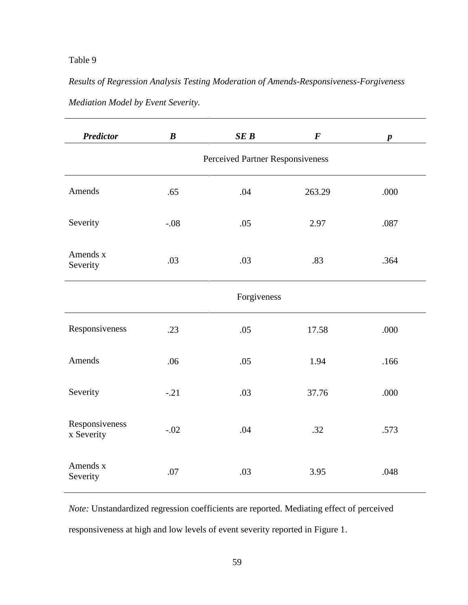# *Results of Regression Analysis Testing Moderation of Amends-Responsiveness-Forgiveness Mediation Model by Event Severity.*

| <b>Predictor</b>             | $\boldsymbol{B}$ | SEB                              | $\boldsymbol{F}$ | $\boldsymbol{p}$ |
|------------------------------|------------------|----------------------------------|------------------|------------------|
|                              |                  | Perceived Partner Responsiveness |                  |                  |
| Amends                       | .65              | .04                              | 263.29           | .000             |
| Severity                     | $-.08$           | .05                              | 2.97             | .087             |
| Amends x<br>Severity         | .03              | .03                              | .83              | .364             |
|                              |                  | Forgiveness                      |                  |                  |
| Responsiveness               | .23              | .05                              | 17.58            | .000             |
| Amends                       | .06              | .05                              | 1.94             | .166             |
| Severity                     | $-.21$           | .03                              | 37.76            | .000             |
| Responsiveness<br>x Severity | $-.02$           | .04                              | .32              | .573             |
| Amends x<br>Severity         | .07              | .03                              | 3.95             | .048             |

*Note:* Unstandardized regression coefficients are reported. Mediating effect of perceived responsiveness at high and low levels of event severity reported in Figure 1.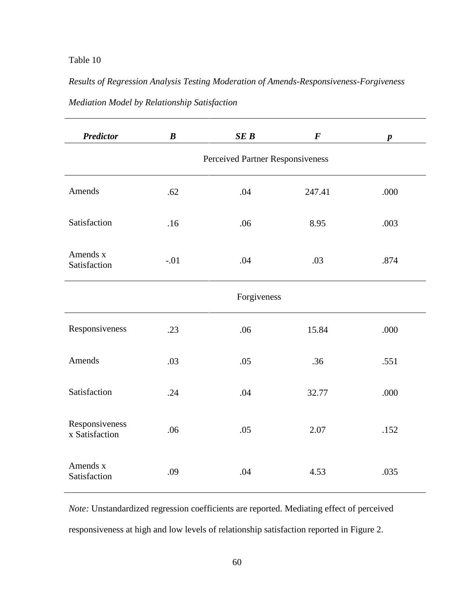*Results of Regression Analysis Testing Moderation of Amends-Responsiveness-Forgiveness Mediation Model by Relationship Satisfaction* 

| <b>Predictor</b>                 | $\boldsymbol{B}$ | SEB                              | $\boldsymbol{F}$ | $\boldsymbol{p}$ |
|----------------------------------|------------------|----------------------------------|------------------|------------------|
|                                  |                  | Perceived Partner Responsiveness |                  |                  |
| Amends                           | .62              | .04                              | 247.41           | .000             |
| Satisfaction                     | .16              | .06                              | 8.95             | .003             |
| Amends x<br>Satisfaction         | $-.01$           | .04                              | .03              | .874             |
|                                  |                  | Forgiveness                      |                  |                  |
| Responsiveness                   | .23              | .06                              | 15.84            | .000             |
| Amends                           | .03              | .05                              | .36              | .551             |
| Satisfaction                     | .24              | .04                              | 32.77            | .000             |
| Responsiveness<br>x Satisfaction | .06              | .05                              | 2.07             | .152             |
| Amends x<br>Satisfaction         | .09              | .04                              | 4.53             | .035             |

*Note:* Unstandardized regression coefficients are reported. Mediating effect of perceived responsiveness at high and low levels of relationship satisfaction reported in Figure 2.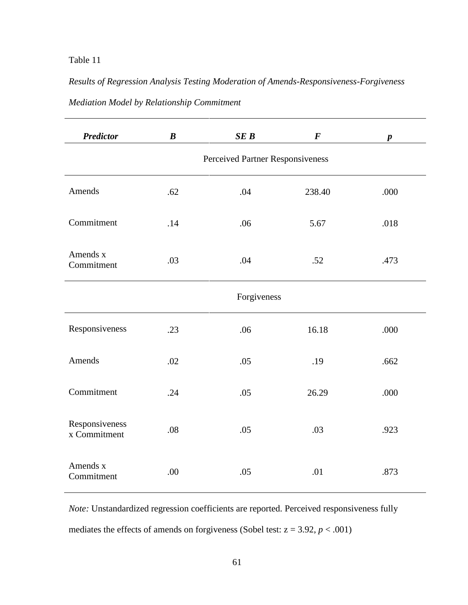*Results of Regression Analysis Testing Moderation of Amends-Responsiveness-Forgiveness Mediation Model by Relationship Commitment* 

| <b>Predictor</b>               | $\boldsymbol{B}$                 | SEB | $\boldsymbol{F}$ | $\boldsymbol{p}$ |
|--------------------------------|----------------------------------|-----|------------------|------------------|
|                                | Perceived Partner Responsiveness |     |                  |                  |
| Amends                         | .62                              | .04 | 238.40           | .000             |
| Commitment                     | .14                              | .06 | 5.67             | .018             |
| Amends x<br>Commitment         | .03                              | .04 | .52              | .473             |
| Forgiveness                    |                                  |     |                  |                  |
| Responsiveness                 | .23                              | .06 | 16.18            | .000             |
| Amends                         | .02                              | .05 | .19              | .662             |
| Commitment                     | .24                              | .05 | 26.29            | .000             |
| Responsiveness<br>x Commitment | .08                              | .05 | .03              | .923             |
| Amends x<br>Commitment         | .00                              | .05 | .01              | .873             |

*Note:* Unstandardized regression coefficients are reported. Perceived responsiveness fully mediates the effects of amends on forgiveness (Sobel test:  $z = 3.92$ ,  $p < .001$ )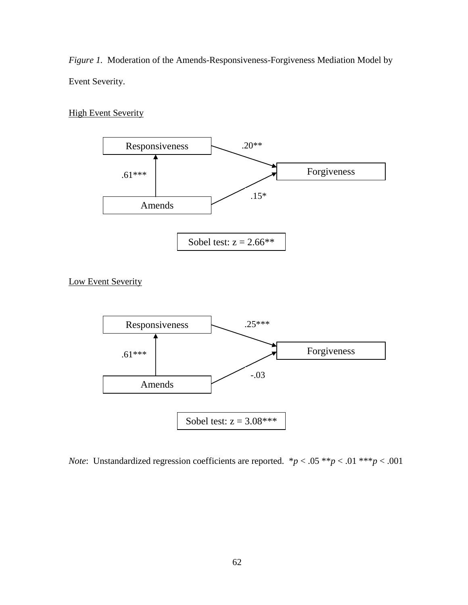*Figure 1.* Moderation of the Amends-Responsiveness-Forgiveness Mediation Model by Event Severity.

#### **High Event Severity**



Low Event Severity



*Note*: Unstandardized regression coefficients are reported.  $* p < .05 ** p < .01 ** p < .001$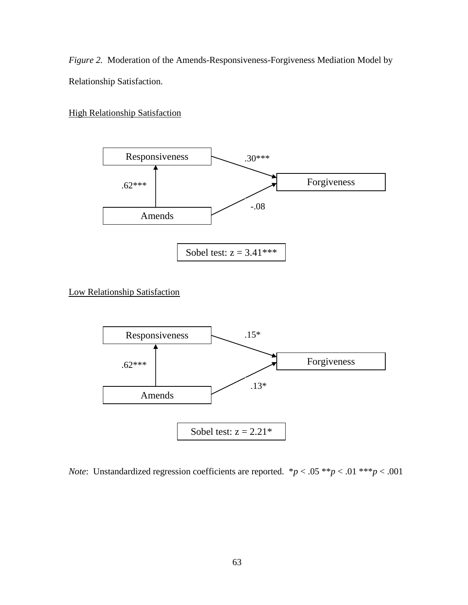*Figure 2.* Moderation of the Amends-Responsiveness-Forgiveness Mediation Model by Relationship Satisfaction.

**High Relationship Satisfaction** 



Low Relationship Satisfaction



*Note*: Unstandardized regression coefficients are reported.  $* p < .05 ** p < .01 ** p < .001$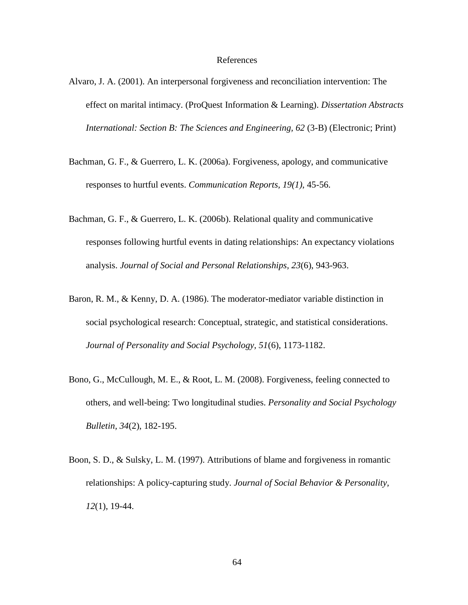#### References

- Alvaro, J. A. (2001). An interpersonal forgiveness and reconciliation intervention: The effect on marital intimacy. (ProQuest Information & Learning). *Dissertation Abstracts International: Section B: The Sciences and Engineering, 62* (3-B) (Electronic; Print)
- Bachman, G. F., & Guerrero, L. K. (2006a). Forgiveness, apology, and communicative responses to hurtful events. *Communication Reports, 19(1)*, 45-56.
- Bachman, G. F., & Guerrero, L. K. (2006b). Relational quality and communicative responses following hurtful events in dating relationships: An expectancy violations analysis. *Journal of Social and Personal Relationships, 23*(6), 943-963.
- Baron, R. M., & Kenny, D. A. (1986). The moderator-mediator variable distinction in social psychological research: Conceptual, strategic, and statistical considerations. *Journal of Personality and Social Psychology, 51*(6), 1173-1182.
- Bono, G., McCullough, M. E., & Root, L. M. (2008). Forgiveness, feeling connected to others, and well-being: Two longitudinal studies. *Personality and Social Psychology Bulletin, 34*(2), 182-195.
- Boon, S. D., & Sulsky, L. M. (1997). Attributions of blame and forgiveness in romantic relationships: A policy-capturing study. *Journal of Social Behavior & Personality, 12*(1), 19-44.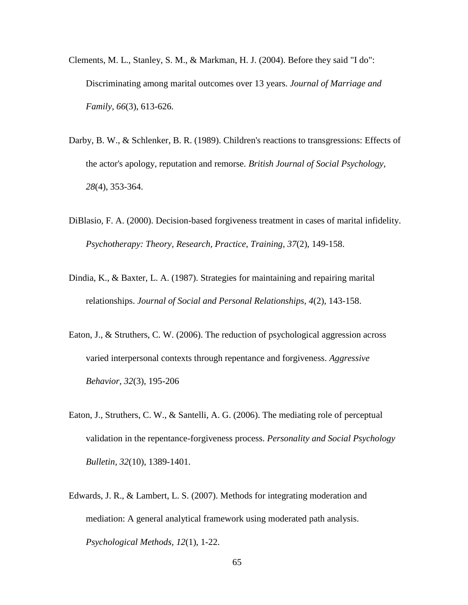- Clements, M. L., Stanley, S. M., & Markman, H. J. (2004). Before they said "I do": Discriminating among marital outcomes over 13 years. *Journal of Marriage and Family, 66*(3), 613-626.
- Darby, B. W., & Schlenker, B. R. (1989). Children's reactions to transgressions: Effects of the actor's apology, reputation and remorse. *British Journal of Social Psychology, 28*(4), 353-364.
- DiBlasio, F. A. (2000). Decision-based forgiveness treatment in cases of marital infidelity. *Psychotherapy: Theory, Research, Practice, Training, 37*(2), 149-158.
- Dindia, K., & Baxter, L. A. (1987). Strategies for maintaining and repairing marital relationships. *Journal of Social and Personal Relationships, 4*(2), 143-158.
- Eaton, J., & Struthers, C. W. (2006). The reduction of psychological aggression across varied interpersonal contexts through repentance and forgiveness. *Aggressive Behavior, 32*(3), 195-206
- Eaton, J., Struthers, C. W., & Santelli, A. G. (2006). The mediating role of perceptual validation in the repentance-forgiveness process. *Personality and Social Psychology Bulletin, 32*(10), 1389-1401.
- Edwards, J. R., & Lambert, L. S. (2007). Methods for integrating moderation and mediation: A general analytical framework using moderated path analysis. *Psychological Methods, 12*(1), 1-22.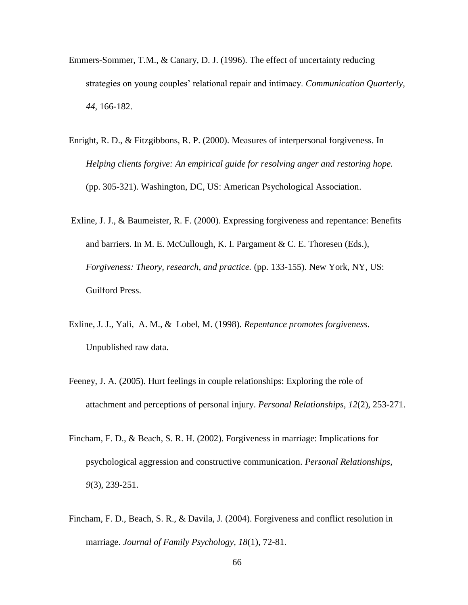- Emmers-Sommer, T.M., & Canary, D. J. (1996). The effect of uncertainty reducing strategies on young couples' relational repair and intimacy. *Communication Quarterly*, *44*, 166-182.
- Enright, R. D., & Fitzgibbons, R. P. (2000). Measures of interpersonal forgiveness. In *Helping clients forgive: An empirical guide for resolving anger and restoring hope.*  (pp. 305-321). Washington, DC, US: American Psychological Association.
- Exline, J. J., & Baumeister, R. F. (2000). Expressing forgiveness and repentance: Benefits and barriers. In M. E. McCullough, K. I. Pargament & C. E. Thoresen (Eds.), *Forgiveness: Theory, research, and practice.* (pp. 133-155). New York, NY, US: Guilford Press.
- Exline, J. J., Yali, A. M., & Lobel, M. (1998). *Repentance promotes forgiveness*. Unpublished raw data.
- Feeney, J. A. (2005). Hurt feelings in couple relationships: Exploring the role of attachment and perceptions of personal injury. *Personal Relationships, 12*(2), 253-271.
- Fincham, F. D., & Beach, S. R. H. (2002). Forgiveness in marriage: Implications for psychological aggression and constructive communication. *Personal Relationships, 9*(3), 239-251.
- Fincham, F. D., Beach, S. R., & Davila, J. (2004). Forgiveness and conflict resolution in marriage. *Journal of Family Psychology, 18*(1), 72-81.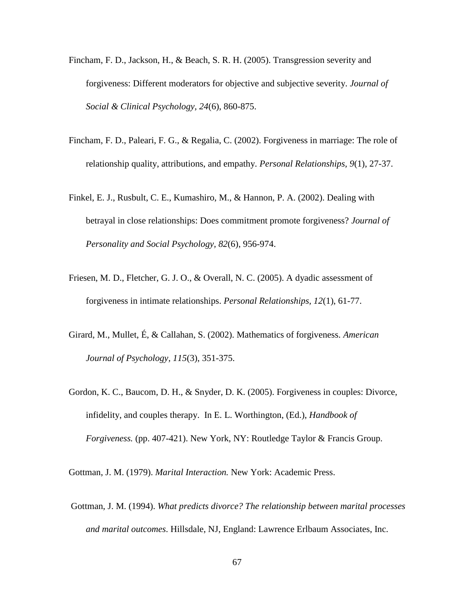- Fincham, F. D., Jackson, H., & Beach, S. R. H. (2005). Transgression severity and forgiveness: Different moderators for objective and subjective severity. *Journal of Social & Clinical Psychology, 24*(6), 860-875.
- Fincham, F. D., Paleari, F. G., & Regalia, C. (2002). Forgiveness in marriage: The role of relationship quality, attributions, and empathy. *Personal Relationships, 9*(1), 27-37.
- Finkel, E. J., Rusbult, C. E., Kumashiro, M., & Hannon, P. A. (2002). Dealing with betrayal in close relationships: Does commitment promote forgiveness? *Journal of Personality and Social Psychology, 82*(6), 956-974.
- Friesen, M. D., Fletcher, G. J. O., & Overall, N. C. (2005). A dyadic assessment of forgiveness in intimate relationships. *Personal Relationships, 12*(1), 61-77.
- Girard, M., Mullet, É, & Callahan, S. (2002). Mathematics of forgiveness. *American Journal of Psychology, 115*(3), 351-375.
- Gordon, K. C., Baucom, D. H., & Snyder, D. K. (2005). Forgiveness in couples: Divorce, infidelity, and couples therapy. In E. L. Worthington, (Ed.), *Handbook of Forgiveness.* (pp. 407-421). New York, NY: Routledge Taylor & Francis Group.

Gottman, J. M. (1979). *Marital Interaction.* New York: Academic Press.

Gottman, J. M. (1994). *What predicts divorce? The relationship between marital processes and marital outcomes*. Hillsdale, NJ, England: Lawrence Erlbaum Associates, Inc.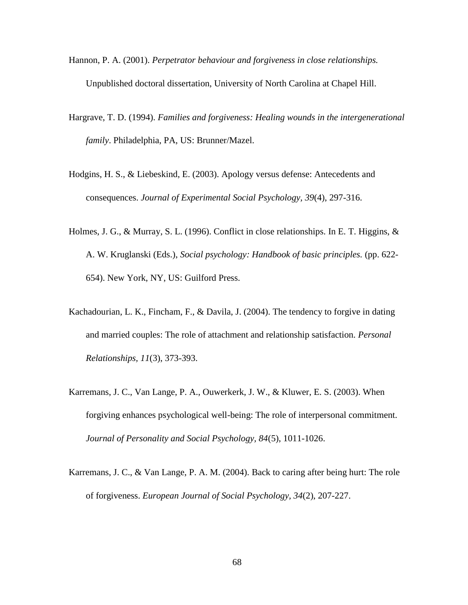- Hannon, P. A. (2001). *Perpetrator behaviour and forgiveness in close relationships.* Unpublished doctoral dissertation, University of North Carolina at Chapel Hill.
- Hargrave, T. D. (1994). *Families and forgiveness: Healing wounds in the intergenerational family*. Philadelphia, PA, US: Brunner/Mazel.
- Hodgins, H. S., & Liebeskind, E. (2003). Apology versus defense: Antecedents and consequences. *Journal of Experimental Social Psychology, 39*(4), 297-316.
- Holmes, J. G., & Murray, S. L. (1996). Conflict in close relationships. In E. T. Higgins, & A. W. Kruglanski (Eds.), *Social psychology: Handbook of basic principles.* (pp. 622- 654). New York, NY, US: Guilford Press.
- Kachadourian, L. K., Fincham, F., & Davila, J. (2004). The tendency to forgive in dating and married couples: The role of attachment and relationship satisfaction. *Personal Relationships, 11*(3), 373-393.
- Karremans, J. C., Van Lange, P. A., Ouwerkerk, J. W., & Kluwer, E. S. (2003). When forgiving enhances psychological well-being: The role of interpersonal commitment. *Journal of Personality and Social Psychology, 84*(5), 1011-1026.
- Karremans, J. C., & Van Lange, P. A. M. (2004). Back to caring after being hurt: The role of forgiveness. *European Journal of Social Psychology, 34*(2), 207-227.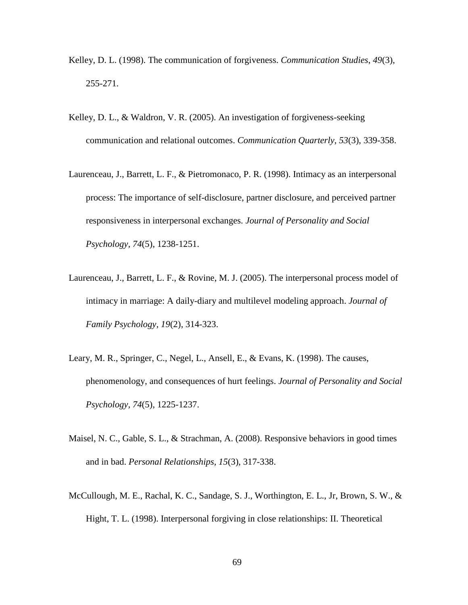- Kelley, D. L. (1998). The communication of forgiveness. *Communication Studies*, *49*(3), 255-271.
- Kelley, D. L., & Waldron, V. R. (2005). An investigation of forgiveness-seeking communication and relational outcomes. *Communication Quarterly, 53*(3), 339-358.
- Laurenceau, J., Barrett, L. F., & Pietromonaco, P. R. (1998). Intimacy as an interpersonal process: The importance of self-disclosure, partner disclosure, and perceived partner responsiveness in interpersonal exchanges. *Journal of Personality and Social Psychology, 74*(5), 1238-1251.
- Laurenceau, J., Barrett, L. F., & Rovine, M. J. (2005). The interpersonal process model of intimacy in marriage: A daily-diary and multilevel modeling approach. *Journal of Family Psychology, 19*(2), 314-323.
- Leary, M. R., Springer, C., Negel, L., Ansell, E., & Evans, K. (1998). The causes, phenomenology, and consequences of hurt feelings. *Journal of Personality and Social Psychology, 74*(5), 1225-1237.
- Maisel, N. C., Gable, S. L., & Strachman, A. (2008). Responsive behaviors in good times and in bad. *Personal Relationships, 15*(3), 317-338.
- McCullough, M. E., Rachal, K. C., Sandage, S. J., Worthington, E. L., Jr, Brown, S. W., & Hight, T. L. (1998). Interpersonal forgiving in close relationships: II. Theoretical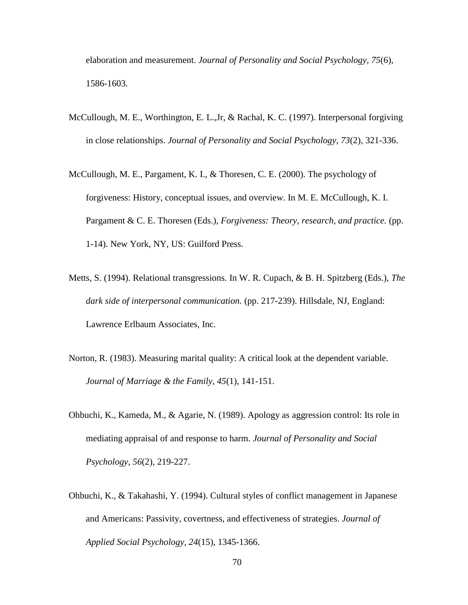elaboration and measurement. *Journal of Personality and Social Psychology, 75*(6), 1586-1603.

- McCullough, M. E., Worthington, E. L.,Jr, & Rachal, K. C. (1997). Interpersonal forgiving in close relationships. *Journal of Personality and Social Psychology, 73*(2), 321-336.
- McCullough, M. E., Pargament, K. I., & Thoresen, C. E. (2000). The psychology of forgiveness: History, conceptual issues, and overview. In M. E. McCullough, K. I. Pargament & C. E. Thoresen (Eds.), *Forgiveness: Theory, research, and practice.* (pp. 1-14). New York, NY, US: Guilford Press.
- Metts, S. (1994). Relational transgressions. In W. R. Cupach, & B. H. Spitzberg (Eds.), *The dark side of interpersonal communication.* (pp. 217-239). Hillsdale, NJ, England: Lawrence Erlbaum Associates, Inc.
- Norton, R. (1983). Measuring marital quality: A critical look at the dependent variable. *Journal of Marriage & the Family, 45*(1), 141-151.
- Ohbuchi, K., Kameda, M., & Agarie, N. (1989). Apology as aggression control: Its role in mediating appraisal of and response to harm. *Journal of Personality and Social Psychology, 56*(2), 219-227.
- Ohbuchi, K., & Takahashi, Y. (1994). Cultural styles of conflict management in Japanese and Americans: Passivity, covertness, and effectiveness of strategies. *Journal of Applied Social Psychology, 24*(15), 1345-1366.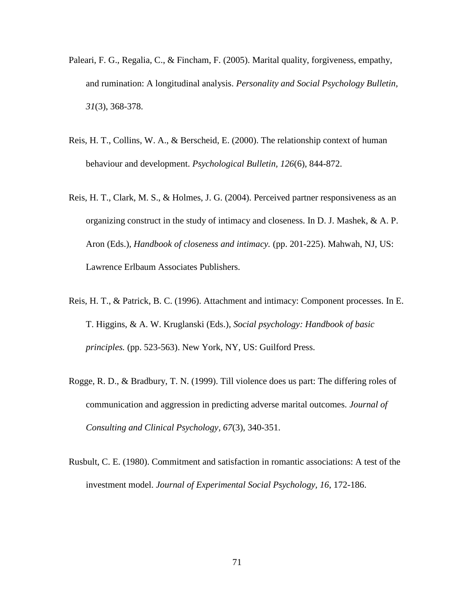- Paleari, F. G., Regalia, C., & Fincham, F. (2005). Marital quality, forgiveness, empathy, and rumination: A longitudinal analysis. *Personality and Social Psychology Bulletin, 31*(3), 368-378.
- Reis, H. T., Collins, W. A., & Berscheid, E. (2000). The relationship context of human behaviour and development. *Psychological Bulletin, 126*(6), 844-872.
- Reis, H. T., Clark, M. S., & Holmes, J. G. (2004). Perceived partner responsiveness as an organizing construct in the study of intimacy and closeness. In D. J. Mashek, & A. P. Aron (Eds.), *Handbook of closeness and intimacy.* (pp. 201-225). Mahwah, NJ, US: Lawrence Erlbaum Associates Publishers.
- Reis, H. T., & Patrick, B. C. (1996). Attachment and intimacy: Component processes. In E. T. Higgins, & A. W. Kruglanski (Eds.), *Social psychology: Handbook of basic principles.* (pp. 523-563). New York, NY, US: Guilford Press.
- Rogge, R. D., & Bradbury, T. N. (1999). Till violence does us part: The differing roles of communication and aggression in predicting adverse marital outcomes. *Journal of Consulting and Clinical Psychology, 67*(3), 340-351.
- Rusbult, C. E. (1980). Commitment and satisfaction in romantic associations: A test of the investment model. *Journal of Experimental Social Psychology, 16*, 172-186.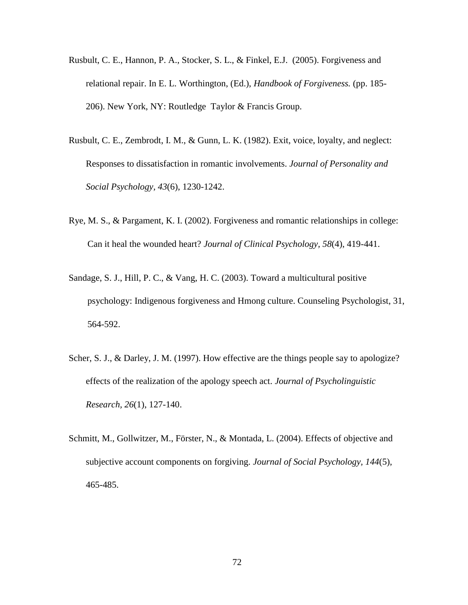- Rusbult, C. E., Hannon, P. A., Stocker, S. L., & Finkel, E.J. (2005). Forgiveness and relational repair. In E. L. Worthington, (Ed.), *Handbook of Forgiveness.* (pp. 185- 206). New York, NY: Routledge Taylor & Francis Group.
- Rusbult, C. E., Zembrodt, I. M., & Gunn, L. K. (1982). Exit, voice, loyalty, and neglect: Responses to dissatisfaction in romantic involvements. *Journal of Personality and Social Psychology, 43*(6), 1230-1242.
- Rye, M. S., & Pargament, K. I. (2002). Forgiveness and romantic relationships in college: Can it heal the wounded heart? *Journal of Clinical Psychology, 58*(4), 419-441.
- Sandage, S. J., Hill, P. C., & Vang, H. C. (2003). Toward a multicultural positive psychology: Indigenous forgiveness and Hmong culture. Counseling Psychologist, 31, 564-592.
- Scher, S. J., & Darley, J. M. (1997). How effective are the things people say to apologize? effects of the realization of the apology speech act. *Journal of Psycholinguistic Research, 26*(1), 127-140.
- Schmitt, M., Gollwitzer, M., Förster, N., & Montada, L. (2004). Effects of objective and subjective account components on forgiving. *Journal of Social Psychology, 144*(5), 465-485.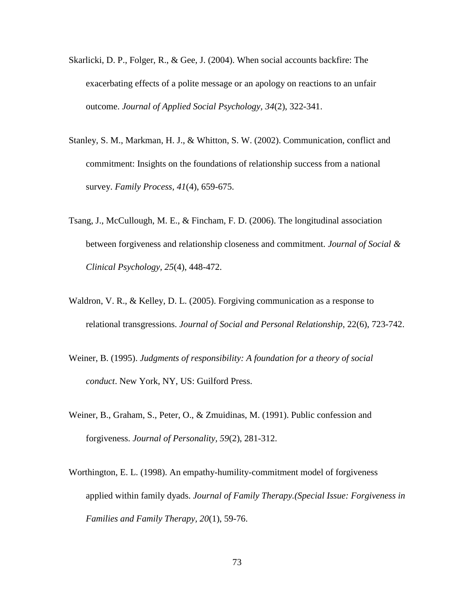- Skarlicki, D. P., Folger, R., & Gee, J. (2004). When social accounts backfire: The exacerbating effects of a polite message or an apology on reactions to an unfair outcome. *Journal of Applied Social Psychology, 34*(2), 322-341.
- Stanley, S. M., Markman, H. J., & Whitton, S. W. (2002). Communication, conflict and commitment: Insights on the foundations of relationship success from a national survey. *Family Process, 41*(4), 659-675.
- Tsang, J., McCullough, M. E., & Fincham, F. D. (2006). The longitudinal association between forgiveness and relationship closeness and commitment. *Journal of Social & Clinical Psychology, 25*(4), 448-472.
- Waldron, V. R., & Kelley, D. L. (2005). Forgiving communication as a response to relational transgressions. *Journal of Social and Personal Relationship*, 22(6), 723-742.
- Weiner, B. (1995). *Judgments of responsibility: A foundation for a theory of social conduct*. New York, NY, US: Guilford Press.
- Weiner, B., Graham, S., Peter, O., & Zmuidinas, M. (1991). Public confession and forgiveness. *Journal of Personality, 59*(2), 281-312.
- Worthington, E. L. (1998). An empathy-humility-commitment model of forgiveness applied within family dyads. *Journal of Family Therapy.(Special Issue: Forgiveness in Families and Family Therapy, 20*(1), 59-76.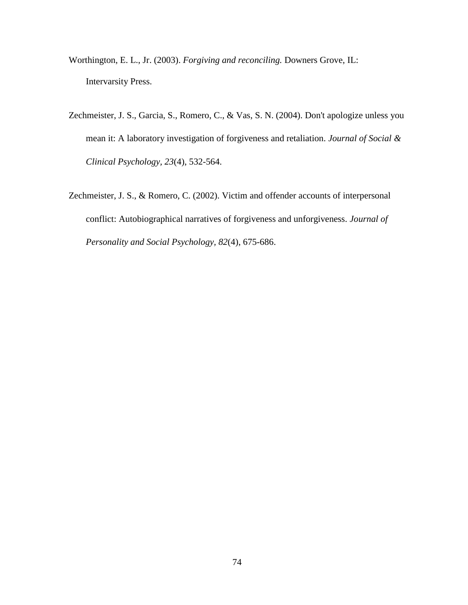- Worthington, E. L., Jr. (2003). *Forgiving and reconciling.* Downers Grove, IL: Intervarsity Press.
- Zechmeister, J. S., Garcia, S., Romero, C., & Vas, S. N. (2004). Don't apologize unless you mean it: A laboratory investigation of forgiveness and retaliation. *Journal of Social & Clinical Psychology, 23*(4), 532-564.
- Zechmeister, J. S., & Romero, C. (2002). Victim and offender accounts of interpersonal conflict: Autobiographical narratives of forgiveness and unforgiveness. *Journal of Personality and Social Psychology, 82*(4), 675-686.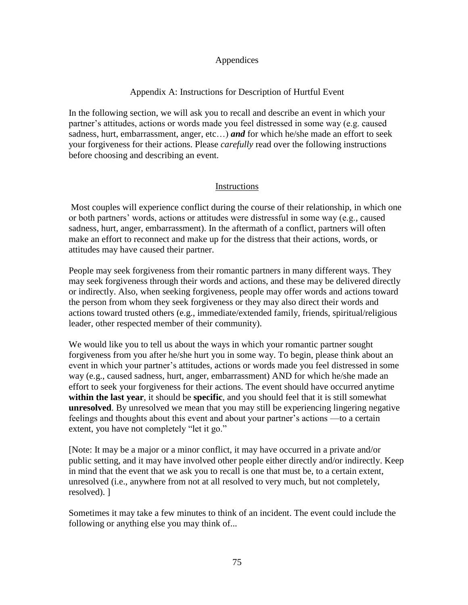## Appendices

## Appendix A: Instructions for Description of Hurtful Event

In the following section, we will ask you to recall and describe an event in which your partner's attitudes, actions or words made you feel distressed in some way (e.g. caused sadness, hurt, embarrassment, anger, etc…) *and* for which he/she made an effort to seek your forgiveness for their actions. Please *carefully* read over the following instructions before choosing and describing an event.

## Instructions

Most couples will experience conflict during the course of their relationship, in which one or both partners" words, actions or attitudes were distressful in some way (e.g., caused sadness, hurt, anger, embarrassment). In the aftermath of a conflict, partners will often make an effort to reconnect and make up for the distress that their actions, words, or attitudes may have caused their partner.

People may seek forgiveness from their romantic partners in many different ways. They may seek forgiveness through their words and actions, and these may be delivered directly or indirectly. Also, when seeking forgiveness, people may offer words and actions toward the person from whom they seek forgiveness or they may also direct their words and actions toward trusted others (e.g., immediate/extended family, friends, spiritual/religious leader, other respected member of their community).

We would like you to tell us about the ways in which your romantic partner sought forgiveness from you after he/she hurt you in some way. To begin, please think about an event in which your partner's attitudes, actions or words made you feel distressed in some way (e.g., caused sadness, hurt, anger, embarrassment) AND for which he/she made an effort to seek your forgiveness for their actions. The event should have occurred anytime **within the last year**, it should be **specific**, and you should feel that it is still somewhat **unresolved**. By unresolved we mean that you may still be experiencing lingering negative feelings and thoughts about this event and about your partner"s actions —to a certain extent, you have not completely "let it go."

[Note: It may be a major or a minor conflict, it may have occurred in a private and/or public setting, and it may have involved other people either directly and/or indirectly. Keep in mind that the event that we ask you to recall is one that must be, to a certain extent, unresolved (i.e., anywhere from not at all resolved to very much, but not completely, resolved). ]

Sometimes it may take a few minutes to think of an incident. The event could include the following or anything else you may think of...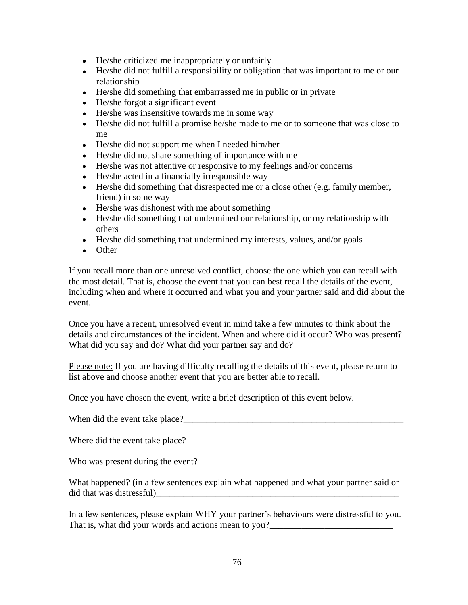- He/she criticized me inappropriately or unfairly.
- He/she did not fulfill a responsibility or obligation that was important to me or our relationship
- He/she did something that embarrassed me in public or in private
- He/she forgot a significant event
- He/she was insensitive towards me in some way
- He/she did not fulfill a promise he/she made to me or to someone that was close to me
- He/she did not support me when I needed him/her
- He/she did not share something of importance with me
- He/she was not attentive or responsive to my feelings and/or concerns
- He/she acted in a financially irresponsible way
- He/she did something that disrespected me or a close other (e.g. family member, friend) in some way
- He/she was dishonest with me about something
- He/she did something that undermined our relationship, or my relationship with others
- He/she did something that undermined my interests, values, and/or goals
- Other

If you recall more than one unresolved conflict, choose the one which you can recall with the most detail. That is, choose the event that you can best recall the details of the event, including when and where it occurred and what you and your partner said and did about the event.

Once you have a recent, unresolved event in mind take a few minutes to think about the details and circumstances of the incident. When and where did it occur? Who was present? What did you say and do? What did your partner say and do?

Please note: If you are having difficulty recalling the details of this event, please return to list above and choose another event that you are better able to recall.

Once you have chosen the event, write a brief description of this event below.

When did the event take place?\_\_\_\_\_\_\_\_\_\_\_\_\_\_\_\_\_\_\_\_\_\_\_\_\_\_\_\_\_\_\_\_\_\_\_\_\_\_\_\_\_\_\_\_\_\_\_\_

Where did the event take place?\_\_\_\_\_\_\_\_\_\_\_\_\_\_\_\_\_\_\_\_\_\_\_\_\_\_\_\_\_\_\_\_\_\_\_\_\_\_\_\_\_\_\_\_\_\_\_

Who was present during the event?\_\_\_\_\_\_\_\_\_\_\_\_\_\_\_\_\_\_\_\_\_\_\_\_\_\_\_\_\_\_\_\_\_\_\_\_\_\_\_\_\_\_\_\_\_

What happened? (in a few sentences explain what happened and what your partner said or did that was distressful)

In a few sentences, please explain WHY your partner"s behaviours were distressful to you. That is, what did your words and actions mean to you?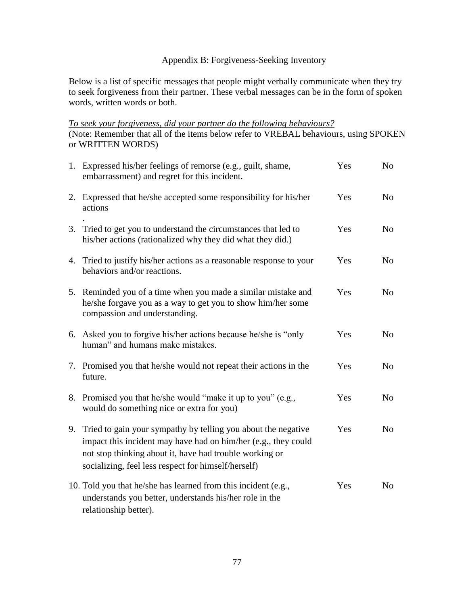# Appendix B: Forgiveness-Seeking Inventory

Below is a list of specific messages that people might verbally communicate when they try to seek forgiveness from their partner. These verbal messages can be in the form of spoken words, written words or both.

*To seek your forgiveness, did your partner do the following behaviours?* (Note: Remember that all of the items below refer to VREBAL behaviours, using SPOKEN or WRITTEN WORDS)

|    | 1. Expressed his/her feelings of remorse (e.g., guilt, shame,<br>embarrassment) and regret for this incident.                                                                                                                                     | Yes | No             |
|----|---------------------------------------------------------------------------------------------------------------------------------------------------------------------------------------------------------------------------------------------------|-----|----------------|
|    | 2. Expressed that he/she accepted some responsibility for his/her<br>actions                                                                                                                                                                      | Yes | N <sub>0</sub> |
|    | 3. Tried to get you to understand the circumstances that led to<br>his/her actions (rationalized why they did what they did.)                                                                                                                     | Yes | N <sub>o</sub> |
|    | 4. Tried to justify his/her actions as a reasonable response to your<br>behaviors and/or reactions.                                                                                                                                               | Yes | N <sub>o</sub> |
|    | 5. Reminded you of a time when you made a similar mistake and<br>he/she forgave you as a way to get you to show him/her some<br>compassion and understanding.                                                                                     | Yes | N <sub>o</sub> |
|    | 6. Asked you to forgive his/her actions because he/she is "only"<br>human" and humans make mistakes.                                                                                                                                              | Yes | N <sub>o</sub> |
|    | 7. Promised you that he/she would not repeat their actions in the<br>future.                                                                                                                                                                      | Yes | N <sub>o</sub> |
|    | 8. Promised you that he/she would "make it up to you" (e.g.,<br>would do something nice or extra for you)                                                                                                                                         | Yes | N <sub>o</sub> |
| 9. | Tried to gain your sympathy by telling you about the negative<br>impact this incident may have had on him/her (e.g., they could<br>not stop thinking about it, have had trouble working or<br>socializing, feel less respect for himself/herself) | Yes | No             |
|    | 10. Told you that he/she has learned from this incident (e.g.,<br>understands you better, understands his/her role in the<br>relationship better).                                                                                                | Yes | N <sub>o</sub> |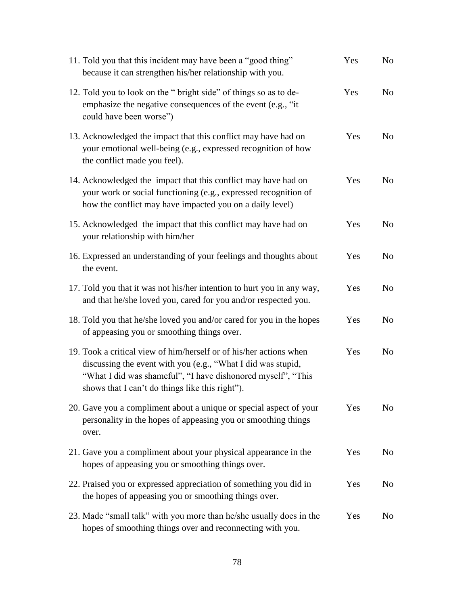| 11. Told you that this incident may have been a "good thing"<br>because it can strengthen his/her relationship with you.                                                                                                                              | Yes | N <sub>o</sub> |
|-------------------------------------------------------------------------------------------------------------------------------------------------------------------------------------------------------------------------------------------------------|-----|----------------|
| 12. Told you to look on the " bright side" of things so as to de-<br>emphasize the negative consequences of the event (e.g., "it<br>could have been worse")                                                                                           | Yes | N <sub>o</sub> |
| 13. Acknowledged the impact that this conflict may have had on<br>your emotional well-being (e.g., expressed recognition of how<br>the conflict made you feel).                                                                                       | Yes | N <sub>o</sub> |
| 14. Acknowledged the impact that this conflict may have had on<br>your work or social functioning (e.g., expressed recognition of<br>how the conflict may have impacted you on a daily level)                                                         | Yes | N <sub>o</sub> |
| 15. Acknowledged the impact that this conflict may have had on<br>your relationship with him/her                                                                                                                                                      | Yes | N <sub>o</sub> |
| 16. Expressed an understanding of your feelings and thoughts about<br>the event.                                                                                                                                                                      | Yes | N <sub>o</sub> |
| 17. Told you that it was not his/her intention to hurt you in any way,<br>and that he/she loved you, cared for you and/or respected you.                                                                                                              | Yes | N <sub>o</sub> |
| 18. Told you that he/she loved you and/or cared for you in the hopes<br>of appeasing you or smoothing things over.                                                                                                                                    | Yes | N <sub>o</sub> |
| 19. Took a critical view of him/herself or of his/her actions when<br>discussing the event with you (e.g., "What I did was stupid,<br>"What I did was shameful", "I have dishonored myself", "This<br>shows that I can't do things like this right"). | Yes | N <sub>o</sub> |
| 20. Gave you a compliment about a unique or special aspect of your<br>personality in the hopes of appeasing you or smoothing things<br>over.                                                                                                          | Yes | N <sub>0</sub> |
| 21. Gave you a compliment about your physical appearance in the<br>hopes of appeasing you or smoothing things over.                                                                                                                                   | Yes | N <sub>o</sub> |
| 22. Praised you or expressed appreciation of something you did in<br>the hopes of appeasing you or smoothing things over.                                                                                                                             | Yes | No             |
| 23. Made "small talk" with you more than he/she usually does in the<br>hopes of smoothing things over and reconnecting with you.                                                                                                                      | Yes | N <sub>o</sub> |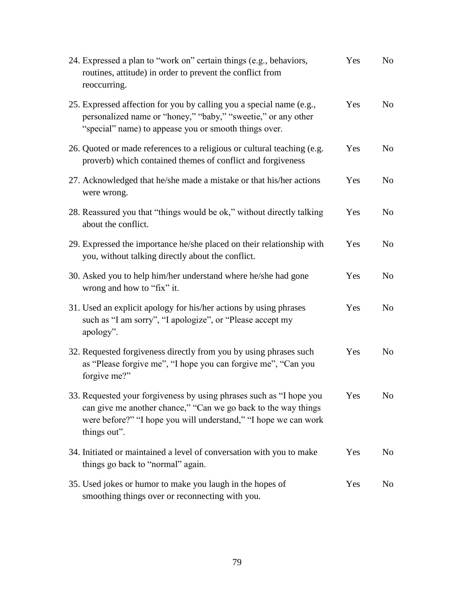| 24. Expressed a plan to "work on" certain things (e.g., behaviors,<br>routines, attitude) in order to prevent the conflict from<br>reoccurring.                                                                          | Yes | N <sub>0</sub> |
|--------------------------------------------------------------------------------------------------------------------------------------------------------------------------------------------------------------------------|-----|----------------|
| 25. Expressed affection for you by calling you a special name (e.g.,<br>personalized name or "honey," "baby," "sweetie," or any other<br>"special" name) to appease you or smooth things over.                           | Yes | N <sub>o</sub> |
| 26. Quoted or made references to a religious or cultural teaching (e.g.<br>proverb) which contained themes of conflict and forgiveness                                                                                   | Yes | N <sub>0</sub> |
| 27. Acknowledged that he/she made a mistake or that his/her actions<br>were wrong.                                                                                                                                       | Yes | N <sub>0</sub> |
| 28. Reassured you that "things would be ok," without directly talking<br>about the conflict.                                                                                                                             | Yes | N <sub>0</sub> |
| 29. Expressed the importance he/she placed on their relationship with<br>you, without talking directly about the conflict.                                                                                               | Yes | N <sub>0</sub> |
| 30. Asked you to help him/her understand where he/she had gone<br>wrong and how to "fix" it.                                                                                                                             | Yes | N <sub>0</sub> |
| 31. Used an explicit apology for his/her actions by using phrases<br>such as "I am sorry", "I apologize", or "Please accept my<br>apology".                                                                              | Yes | N <sub>o</sub> |
| 32. Requested forgiveness directly from you by using phrases such<br>as "Please forgive me", "I hope you can forgive me", "Can you<br>forgive me?"                                                                       | Yes | N <sub>0</sub> |
| 33. Requested your forgiveness by using phrases such as "I hope you<br>can give me another chance," "Can we go back to the way things<br>were before?" "I hope you will understand," "I hope we can work<br>things out". | Yes | No             |
| 34. Initiated or maintained a level of conversation with you to make<br>things go back to "normal" again.                                                                                                                | Yes | No             |
| 35. Used jokes or humor to make you laugh in the hopes of<br>smoothing things over or reconnecting with you.                                                                                                             | Yes | No             |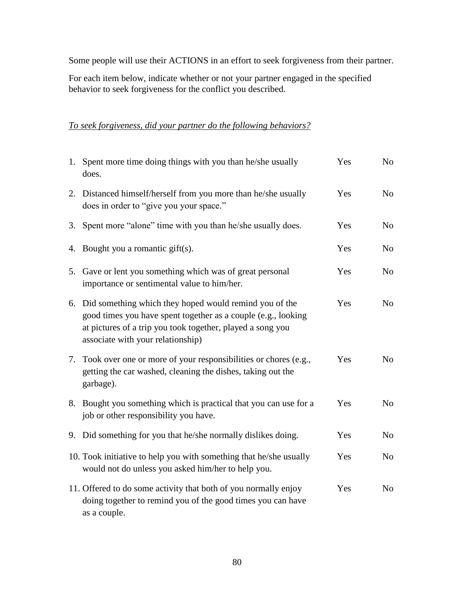Some people will use their ACTIONS in an effort to seek forgiveness from their partner.

For each item below, indicate whether or not your partner engaged in the specified behavior to seek forgiveness for the conflict you described.

# *To seek forgiveness, did your partner do the following behaviors?*

|    | 1. Spent more time doing things with you than he/she usually<br>does.                                                                                                                                                         | Yes | No             |
|----|-------------------------------------------------------------------------------------------------------------------------------------------------------------------------------------------------------------------------------|-----|----------------|
|    | 2. Distanced himself/herself from you more than he/she usually<br>does in order to "give you your space."                                                                                                                     | Yes | N <sub>o</sub> |
| 3. | Spent more "alone" time with you than he/she usually does.                                                                                                                                                                    | Yes | N <sub>o</sub> |
|    | 4. Bought you a romantic gift(s).                                                                                                                                                                                             | Yes | N <sub>o</sub> |
| 5. | Gave or lent you something which was of great personal<br>importance or sentimental value to him/her.                                                                                                                         | Yes | N <sub>o</sub> |
|    | 6. Did something which they hoped would remind you of the<br>good times you have spent together as a couple (e.g., looking<br>at pictures of a trip you took together, played a song you<br>associate with your relationship) | Yes | N <sub>o</sub> |
|    | 7. Took over one or more of your responsibilities or chores (e.g.,<br>getting the car washed, cleaning the dishes, taking out the<br>garbage).                                                                                | Yes | No             |
|    | 8. Bought you something which is practical that you can use for a<br>job or other responsibility you have.                                                                                                                    | Yes | N <sub>o</sub> |
|    | 9. Did something for you that he/she normally dislikes doing.                                                                                                                                                                 | Yes | N <sub>o</sub> |
|    | 10. Took initiative to help you with something that he/she usually<br>would not do unless you asked him/her to help you.                                                                                                      | Yes | N <sub>o</sub> |
|    | 11. Offered to do some activity that both of you normally enjoy<br>doing together to remind you of the good times you can have<br>as a couple.                                                                                | Yes | N <sub>o</sub> |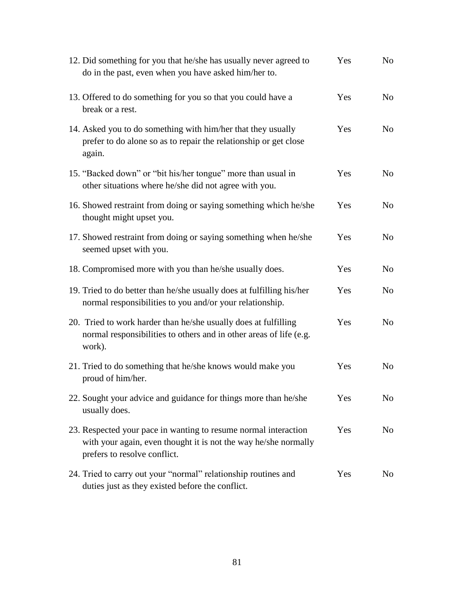| 12. Did something for you that he/she has usually never agreed to<br>do in the past, even when you have asked him/her to.                                          | Yes | N <sub>o</sub> |
|--------------------------------------------------------------------------------------------------------------------------------------------------------------------|-----|----------------|
| 13. Offered to do something for you so that you could have a<br>break or a rest.                                                                                   | Yes | N <sub>o</sub> |
| 14. Asked you to do something with him/her that they usually<br>prefer to do alone so as to repair the relationship or get close<br>again.                         | Yes | N <sub>o</sub> |
| 15. "Backed down" or "bit his/her tongue" more than usual in<br>other situations where he/she did not agree with you.                                              | Yes | N <sub>o</sub> |
| 16. Showed restraint from doing or saying something which he/she<br>thought might upset you.                                                                       | Yes | N <sub>o</sub> |
| 17. Showed restraint from doing or saying something when he/she<br>seemed upset with you.                                                                          | Yes | N <sub>o</sub> |
| 18. Compromised more with you than he/she usually does.                                                                                                            | Yes | N <sub>o</sub> |
| 19. Tried to do better than he/she usually does at fulfilling his/her<br>normal responsibilities to you and/or your relationship.                                  | Yes | N <sub>o</sub> |
| 20. Tried to work harder than he/she usually does at fulfilling<br>normal responsibilities to others and in other areas of life (e.g.<br>work).                    | Yes | N <sub>o</sub> |
| 21. Tried to do something that he/she knows would make you<br>proud of him/her.                                                                                    | Yes | N <sub>o</sub> |
| 22. Sought your advice and guidance for things more than he/she<br>usually does.                                                                                   | Yes | No             |
| 23. Respected your pace in wanting to resume normal interaction<br>with your again, even thought it is not the way he/she normally<br>prefers to resolve conflict. | Yes | N <sub>o</sub> |
| 24. Tried to carry out your "normal" relationship routines and<br>duties just as they existed before the conflict.                                                 | Yes | N <sub>o</sub> |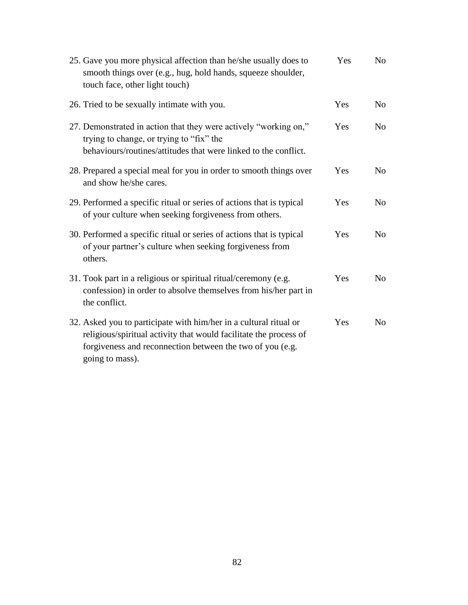| 25. Gave you more physical affection than he/she usually does to<br>smooth things over (e.g., hug, hold hands, squeeze shoulder,<br>touch face, other light touch)                                                     | Yes | No.            |
|------------------------------------------------------------------------------------------------------------------------------------------------------------------------------------------------------------------------|-----|----------------|
| 26. Tried to be sexually intimate with you.                                                                                                                                                                            | Yes | N <sub>0</sub> |
| 27. Demonstrated in action that they were actively "working on,"<br>trying to change, or trying to "fix" the<br>behaviours/routines/attitudes that were linked to the conflict.                                        | Yes | N <sub>o</sub> |
| 28. Prepared a special meal for you in order to smooth things over<br>and show he/she cares.                                                                                                                           | Yes | N <sub>0</sub> |
| 29. Performed a specific ritual or series of actions that is typical<br>of your culture when seeking forgiveness from others.                                                                                          | Yes | N <sub>o</sub> |
| 30. Performed a specific ritual or series of actions that is typical<br>of your partner's culture when seeking forgiveness from<br>others.                                                                             | Yes | N <sub>0</sub> |
| 31. Took part in a religious or spiritual ritual/ceremony (e.g.<br>confession) in order to absolve themselves from his/her part in<br>the conflict.                                                                    | Yes | N <sub>o</sub> |
| 32. Asked you to participate with him/her in a cultural ritual or<br>religious/spiritual activity that would facilitate the process of<br>forgiveness and reconnection between the two of you (e.g.<br>going to mass). | Yes | N <sub>o</sub> |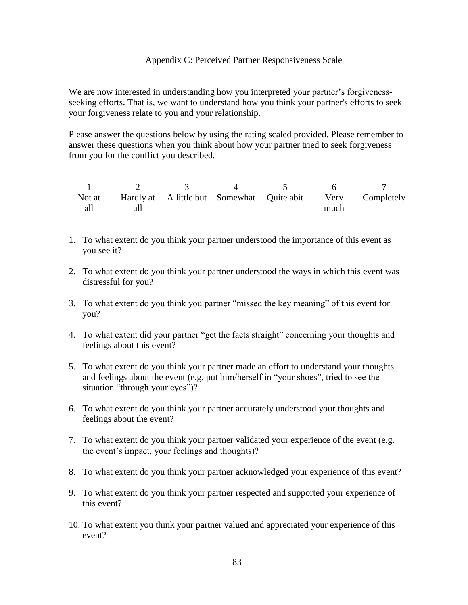### Appendix C: Perceived Partner Responsiveness Scale

We are now interested in understanding how you interpreted your partner's forgivenessseeking efforts. That is, we want to understand how you think your partner's efforts to seek your forgiveness relate to you and your relationship.

Please answer the questions below by using the rating scaled provided. Please remember to answer these questions when you think about how your partner tried to seek forgiveness from you for the conflict you described.

1 2 3 4 5 6 7 Not at all Hardly at all A little but Somewhat Quite abit Very much Completely

- 1. To what extent do you think your partner understood the importance of this event as you see it?
- 2. To what extent do you think your partner understood the ways in which this event was distressful for you?
- 3. To what extent do you think you partner "missed the key meaning" of this event for you?
- 4. To what extent did your partner "get the facts straight" concerning your thoughts and feelings about this event?
- 5. To what extent do you think your partner made an effort to understand your thoughts and feelings about the event (e.g. put him/herself in "your shoes", tried to see the situation "through your eyes")?
- 6. To what extent do you think your partner accurately understood your thoughts and feelings about the event?
- 7. To what extent do you think your partner validated your experience of the event (e.g. the event's impact, your feelings and thoughts)?
- 8. To what extent do you think your partner acknowledged your experience of this event?
- 9. To what extent do you think your partner respected and supported your experience of this event?
- 10. To what extent you think your partner valued and appreciated your experience of this event?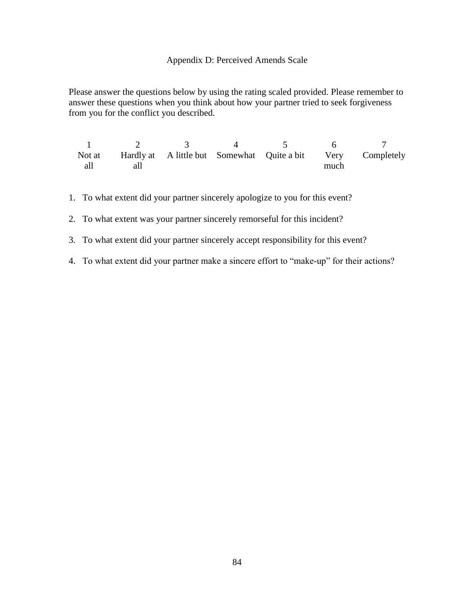### Appendix D: Perceived Amends Scale

Please answer the questions below by using the rating scaled provided. Please remember to answer these questions when you think about how your partner tried to seek forgiveness from you for the conflict you described.

1 2 3 4 5 6 7 Not at all Hardly at all A little but Somewhat Quite a bit Very much Completely

- 1. To what extent did your partner sincerely apologize to you for this event?
- 2. To what extent was your partner sincerely remorseful for this incident?
- 3. To what extent did your partner sincerely accept responsibility for this event?
- 4. To what extent did your partner make a sincere effort to "make-up" for their actions?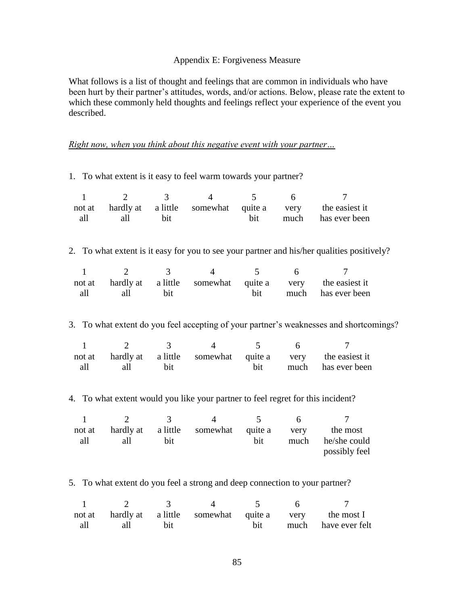## Appendix E: Forgiveness Measure

What follows is a list of thought and feelings that are common in individuals who have been hurt by their partner's attitudes, words, and/or actions. Below, please rate the extent to which these commonly held thoughts and feelings reflect your experience of the event you described.

## *Right now, when you think about this negative event with your partner…*

1. To what extent is it easy to feel warm towards your partner?

| $\mathbf{1}$<br>not at<br>all                                                   | $\overline{2}$<br>hardly at<br>all                                                      | 3<br>a little<br>bit | $\overline{4}$<br>somewhat | 5<br>quite a<br>bit | 6<br>very<br>much | 7<br>the easiest it<br>has ever been                                                   |  |  |  |  |
|---------------------------------------------------------------------------------|-----------------------------------------------------------------------------------------|----------------------|----------------------------|---------------------|-------------------|----------------------------------------------------------------------------------------|--|--|--|--|
| 2.                                                                              | To what extent is it easy for you to see your partner and his/her qualities positively? |                      |                            |                     |                   |                                                                                        |  |  |  |  |
| 1<br>not at<br>all                                                              | $\overline{2}$<br>hardly at<br>all                                                      | 3<br>a little<br>bit | $\overline{4}$<br>somewhat | 5<br>quite a<br>bit | 6<br>very<br>much | 7<br>the easiest it<br>has ever been                                                   |  |  |  |  |
|                                                                                 |                                                                                         |                      |                            |                     |                   | 3. To what extent do you feel accepting of your partner's weaknesses and shortcomings? |  |  |  |  |
| $\mathbf{1}$<br>not at<br>all                                                   | 2<br>hardly at<br>all                                                                   | 3<br>a little<br>bit | $\overline{4}$<br>somewhat | 5<br>quite a<br>bit | 6<br>very<br>much | 7<br>the easiest it<br>has ever been                                                   |  |  |  |  |
| 4. To what extent would you like your partner to feel regret for this incident? |                                                                                         |                      |                            |                     |                   |                                                                                        |  |  |  |  |
| $\mathbf{1}$<br>not at<br>all                                                   | $\overline{2}$<br>hardly at<br>all                                                      | 3<br>a little<br>bit | $\overline{4}$<br>somewhat | 5<br>quite a<br>bit | 6<br>very<br>much | 7<br>the most<br>he/she could<br>possibly feel                                         |  |  |  |  |

5. To what extent do you feel a strong and deep connection to your partner?

| $\frac{1}{2}$ 3 |  |  |                                                            |
|-----------------|--|--|------------------------------------------------------------|
|                 |  |  | not at hardly at a little somewhat quite a very the most I |
| all all bit     |  |  | bit much have ever felt                                    |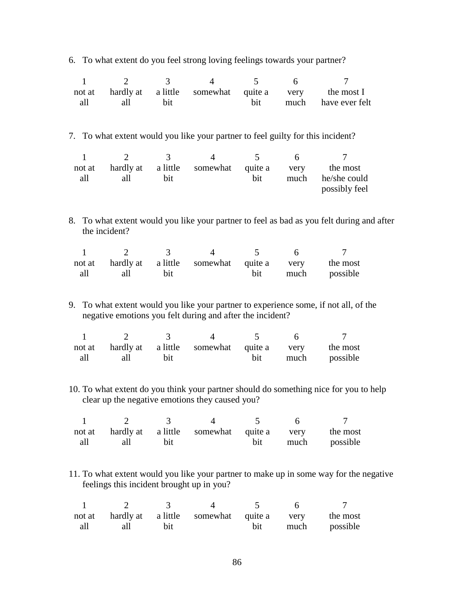6. To what extent do you feel strong loving feelings towards your partner?

| $\mathbf{1}$ | $\overline{2}$                            | 3        | $\overline{4}$                                                                  | 5       | 6    | $\overline{7}$                                                                            |
|--------------|-------------------------------------------|----------|---------------------------------------------------------------------------------|---------|------|-------------------------------------------------------------------------------------------|
| not at       | hardly at                                 | a little | somewhat                                                                        | quite a | very | the most I                                                                                |
| all          | all                                       | bit      |                                                                                 | bit     | much | have ever felt                                                                            |
|              |                                           |          |                                                                                 |         |      |                                                                                           |
|              |                                           |          | 7. To what extent would you like your partner to feel guilty for this incident? |         |      |                                                                                           |
| $\mathbf{1}$ | $\overline{2}$                            | 3        | $\overline{4}$                                                                  | 5       | 6    | 7                                                                                         |
| not at       | hardly at                                 | a little | somewhat                                                                        | quite a | very | the most                                                                                  |
| all          | all                                       | bit      |                                                                                 | bit     | much | he/she could                                                                              |
|              |                                           |          |                                                                                 |         |      | possibly feel                                                                             |
|              |                                           |          |                                                                                 |         |      |                                                                                           |
|              | the incident?                             |          |                                                                                 |         |      | 8. To what extent would you like your partner to feel as bad as you felt during and after |
| $\mathbf{1}$ | $\overline{2}$                            | 3        | $\overline{4}$                                                                  | 5       | 6    | 7                                                                                         |
| not at       | hardly at                                 | a little | somewhat                                                                        | quite a | very | the most                                                                                  |
| all          | all                                       | bit      |                                                                                 | bit     | much | possible                                                                                  |
|              |                                           |          |                                                                                 |         |      |                                                                                           |
|              |                                           |          | negative emotions you felt during and after the incident?                       |         |      | 9. To what extent would you like your partner to experience some, if not all, of the      |
| $\mathbf{1}$ | $\overline{2}$                            | 3        | $\overline{4}$                                                                  | 5       | 6    | $\overline{7}$                                                                            |
| not at       | hardly at                                 | a little | somewhat                                                                        | quite a | very | the most                                                                                  |
| all          | all                                       | bit      |                                                                                 | bit     | much | possible                                                                                  |
|              |                                           |          |                                                                                 |         |      |                                                                                           |
|              |                                           |          | clear up the negative emotions they caused you?                                 |         |      | 10. To what extent do you think your partner should do something nice for you to help     |
| $\mathbf{1}$ | $\overline{2}$                            | 3        | $\overline{4}$                                                                  | 5       | 6    | 7                                                                                         |
| not at       | hardly at                                 | a little | somewhat                                                                        | quite a | very | the most                                                                                  |
| all          | all                                       | bit      |                                                                                 | bit     | much | possible                                                                                  |
|              |                                           |          |                                                                                 |         |      |                                                                                           |
|              | feelings this incident brought up in you? |          |                                                                                 |         |      | 11. To what extent would you like your partner to make up in some way for the negative    |
| $\mathbf{1}$ | $\overline{2}$                            | 3        | $\overline{\mathcal{L}}$                                                        | 5       | 6    | 7                                                                                         |
| not at       | hardly at                                 | a little | somewhat                                                                        | quite a | very | the most                                                                                  |
| all          | all                                       | bit      |                                                                                 | bit     | much | possible                                                                                  |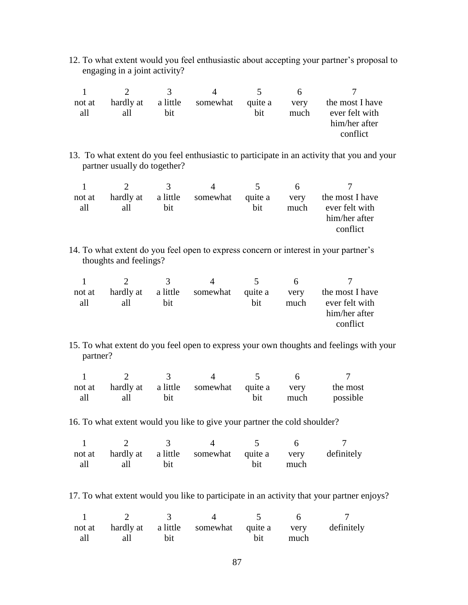12. To what extent would you feel enthusiastic about accepting your partner"s proposal to engaging in a joint activity?

|               |     | $\sim$ 3.4 $\sim$ |                                     | $\sim$ | h.           |                                                                |
|---------------|-----|-------------------|-------------------------------------|--------|--------------|----------------------------------------------------------------|
| not at<br>all | all | <b>bit</b>        | hardly at a little somewhat quite a | bit    | very<br>much | the most I have<br>ever felt with<br>him/her after<br>conflict |
|               |     |                   |                                     |        |              |                                                                |

13. To what extent do you feel enthusiastic to participate in an activity that you and your partner usually do together?

|        | $\mathcal{D}$ | -3. - - | $\Delta$ | $\sim$ 5 | h    |                                                          |
|--------|---------------|---------|----------|----------|------|----------------------------------------------------------|
| not at |               |         |          |          |      | hardly at a little somewhat quite a very the most I have |
| all    | all           | bit     |          | bit      | much | ever felt with                                           |
|        |               |         |          |          |      | him/her after                                            |
|        |               |         |          |          |      | conflict                                                 |

14. To what extent do you feel open to express concern or interest in your partner"s thoughts and feelings?

|               |     | $\sim$ 3 $\sim$ |                                     | $\sim$ $\sim$ |              |                                                                |
|---------------|-----|-----------------|-------------------------------------|---------------|--------------|----------------------------------------------------------------|
| not at<br>all | all | hit             | hardly at a little somewhat quite a | bit.          | very<br>much | the most I have<br>ever felt with<br>him/her after<br>conflict |

15. To what extent do you feel open to express your own thoughts and feelings with your partner?

|     |     |             | not at hardly at a little somewhat quite a very |     | the most      |
|-----|-----|-------------|-------------------------------------------------|-----|---------------|
| all | all | <b>b</b> it |                                                 | bit | much possible |

16. To what extent would you like to give your partner the cold shoulder?

|             | not at hardly at a little somewhat quite a very definitely |          |  |
|-------------|------------------------------------------------------------|----------|--|
| all all bit |                                                            | bit much |  |

17. To what extent would you like to participate in an activity that your partner enjoys?

| $\sim$ 1 $\sim$ 2 $\sim$ 3 |                                                            | $\frac{4}{2}$ 5 |          |  |
|----------------------------|------------------------------------------------------------|-----------------|----------|--|
|                            | not at hardly at a little somewhat quite a very definitely |                 |          |  |
| all all bit                |                                                            |                 | bit much |  |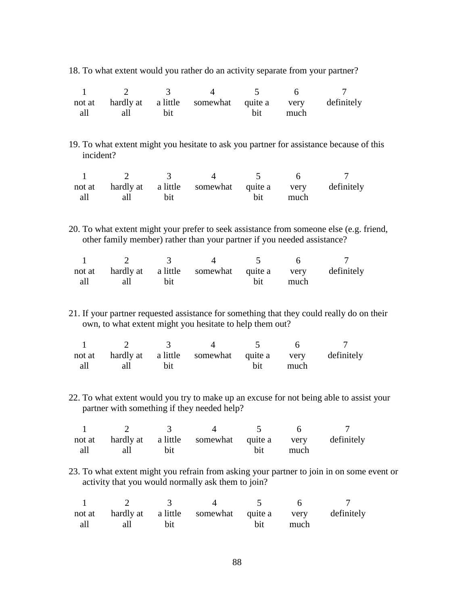18. To what extent would you rather do an activity separate from your partner?

| $\mathbf{1}$ | $\overline{2}$ | $\mathfrak{Z}$ | $\overline{4}$                                                          | 5              | 6                                      | $\overline{7}$                                                                            |  |
|--------------|----------------|----------------|-------------------------------------------------------------------------|----------------|----------------------------------------|-------------------------------------------------------------------------------------------|--|
| not at       | hardly at      | a little       | somewhat                                                                | quite a        | very                                   | definitely                                                                                |  |
| all          | all            | bit            |                                                                         | bit            | much                                   |                                                                                           |  |
|              |                |                |                                                                         |                |                                        |                                                                                           |  |
|              |                |                |                                                                         |                |                                        |                                                                                           |  |
|              |                |                |                                                                         |                |                                        | 19. To what extent might you hesitate to ask you partner for assistance because of this   |  |
| incident?    |                |                |                                                                         |                |                                        |                                                                                           |  |
|              |                |                |                                                                         |                |                                        |                                                                                           |  |
| $\mathbf{1}$ | $\overline{2}$ | $\mathfrak{Z}$ | $\overline{4}$                                                          | 5 <sup>5</sup> | 6                                      | $\tau$                                                                                    |  |
| not at       | hardly at      | a little       | somewhat                                                                | quite a        | very                                   | definitely                                                                                |  |
| all          | all            | bit            |                                                                         | bit            | much                                   |                                                                                           |  |
|              |                |                |                                                                         |                |                                        |                                                                                           |  |
|              |                |                |                                                                         |                |                                        |                                                                                           |  |
|              |                |                |                                                                         |                |                                        | 20. To what extent might your prefer to seek assistance from someone else (e.g. friend,   |  |
|              |                |                |                                                                         |                |                                        |                                                                                           |  |
|              |                |                | other family member) rather than your partner if you needed assistance? |                |                                        |                                                                                           |  |
| $\mathbf{1}$ | $\overline{2}$ | 3 <sup>1</sup> | $\overline{4}$                                                          | 5 <sup>5</sup> | 6                                      | $\tau$                                                                                    |  |
|              |                |                |                                                                         |                |                                        |                                                                                           |  |
| not at       | hardly at      |                | a little somewhat quite a                                               |                | very                                   | definitely                                                                                |  |
| all          | all            | bit            |                                                                         | bit            | much                                   |                                                                                           |  |
|              |                |                |                                                                         |                |                                        |                                                                                           |  |
|              |                |                |                                                                         |                |                                        |                                                                                           |  |
|              |                |                |                                                                         |                |                                        | 21. If your partner requested assistance for something that they could really do on their |  |
|              |                |                | own, to what extent might you hesitate to help them out?                |                |                                        |                                                                                           |  |
|              |                |                |                                                                         |                |                                        |                                                                                           |  |
| $\mathbf{1}$ | $\overline{2}$ | 3 <sup>7</sup> | $\overline{4}$                                                          | 5 <sup>5</sup> | 6                                      | $\tau$                                                                                    |  |
| not at       |                |                | hardly at a little somewhat quite a                                     |                | very                                   | definitely                                                                                |  |
| all          | all            | bit            |                                                                         | bit            | much                                   |                                                                                           |  |
|              |                |                |                                                                         |                |                                        |                                                                                           |  |
|              |                |                |                                                                         |                |                                        |                                                                                           |  |
|              |                |                |                                                                         |                |                                        | 22. To what extent would you try to make up an excuse for not being able to assist your   |  |
|              |                |                | partner with something if they needed help?                             |                |                                        |                                                                                           |  |
|              |                |                |                                                                         |                |                                        |                                                                                           |  |
|              |                |                | 2 3 4                                                                   |                | $\begin{array}{ccc} 5 & 6 \end{array}$ |                                                                                           |  |
|              | hardly at      |                |                                                                         |                |                                        | definitely                                                                                |  |
| not at       |                |                | a little somewhat                                                       | quite a        | very                                   |                                                                                           |  |
| all          | all            | bit            |                                                                         | bit            | much                                   |                                                                                           |  |
|              |                |                |                                                                         |                |                                        |                                                                                           |  |
|              |                |                |                                                                         |                |                                        | 23. To what extent might you refrain from asking your partner to join in on some event or |  |
|              |                |                | activity that you would normally ask them to join?                      |                |                                        |                                                                                           |  |
|              |                |                |                                                                         |                |                                        |                                                                                           |  |
| $\mathbf{1}$ | $\overline{2}$ | 3              | $\overline{4}$                                                          | 5              | 6                                      | 7                                                                                         |  |
| not at       | hardly at      | a little       | somewhat                                                                | quite a        | very                                   | definitely                                                                                |  |

bit

much

all

all

bit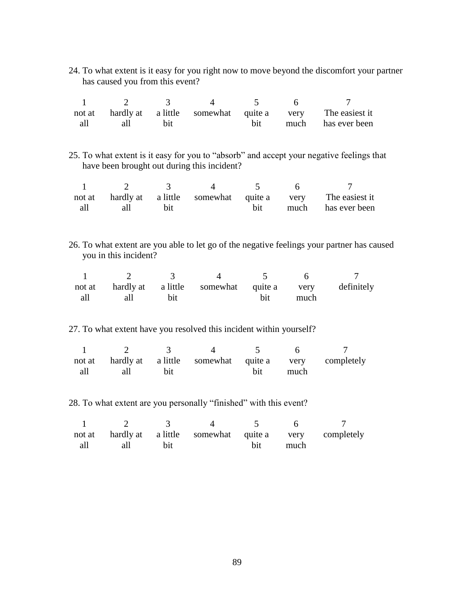| 24. To what extent is it easy for you right now to move beyond the discomfort your partner |  |  |
|--------------------------------------------------------------------------------------------|--|--|
| has caused you from this event?                                                            |  |  |

|     |     |             | $\overline{4}$ and $\overline{4}$ |  |                                                                |
|-----|-----|-------------|-----------------------------------|--|----------------------------------------------------------------|
|     |     |             |                                   |  | not at hardly at a little somewhat quite a very The easiest it |
| all | all | <b>b</b> it |                                   |  | bit much has ever been                                         |

25. To what extent is it easy for you to "absorb" and accept your negative feelings that have been brought out during this incident?

|     |     |  |  | not at hardly at a little somewhat quite a very The easiest it |
|-----|-----|--|--|----------------------------------------------------------------|
| all | all |  |  | bit much has ever been                                         |

26. To what extent are you able to let go of the negative feelings your partner has caused you in this incident?

|     |     |            | not at hardly at a little somewhat quite a very definitely |     |      |  |
|-----|-----|------------|------------------------------------------------------------|-----|------|--|
| all | all | <b>bit</b> |                                                            | bit | much |  |

27. To what extent have you resolved this incident within yourself?

|     |         | not at hardly at a little somewhat quite a very completely |          |  |
|-----|---------|------------------------------------------------------------|----------|--|
| all | all bit |                                                            | bit much |  |

28. To what extent are you personally "finished" with this event?

|         | $\sim$ 3   |  |          |                                                            |
|---------|------------|--|----------|------------------------------------------------------------|
|         |            |  |          | not at hardly at a little somewhat quite a very completely |
| all all | <b>bit</b> |  | bit much |                                                            |